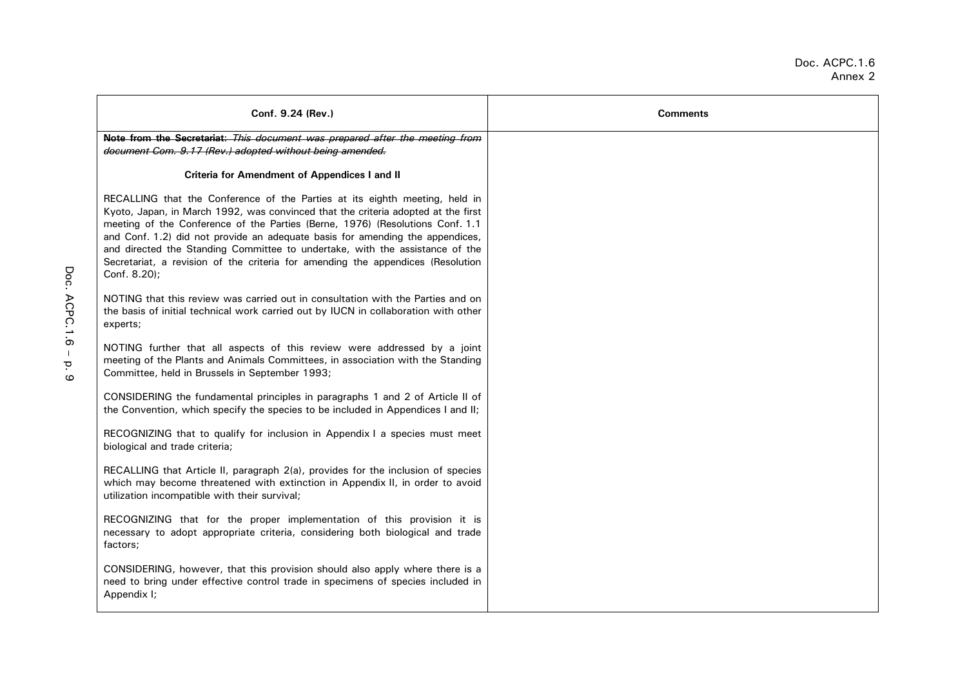# Doc. ACPC.1.6 Annex 2

| Conf. 9.24 (Rev.)                                                                                                                                                                                                                                                                                                                                                                                                                                                                                                     | <b>Comments</b> |
|-----------------------------------------------------------------------------------------------------------------------------------------------------------------------------------------------------------------------------------------------------------------------------------------------------------------------------------------------------------------------------------------------------------------------------------------------------------------------------------------------------------------------|-----------------|
| Note from the Secretariat: This document was prepared after the meeting from<br>document Com. 9.17 (Rev.) adopted without being amended.                                                                                                                                                                                                                                                                                                                                                                              |                 |
| Criteria for Amendment of Appendices I and II                                                                                                                                                                                                                                                                                                                                                                                                                                                                         |                 |
| RECALLING that the Conference of the Parties at its eighth meeting, held in<br>Kyoto, Japan, in March 1992, was convinced that the criteria adopted at the first<br>meeting of the Conference of the Parties (Berne, 1976) (Resolutions Conf. 1.1<br>and Conf. 1.2) did not provide an adequate basis for amending the appendices,<br>and directed the Standing Committee to undertake, with the assistance of the<br>Secretariat, a revision of the criteria for amending the appendices (Resolution<br>Conf. 8.20); |                 |
| NOTING that this review was carried out in consultation with the Parties and on<br>the basis of initial technical work carried out by IUCN in collaboration with other<br>experts;                                                                                                                                                                                                                                                                                                                                    |                 |
| NOTING further that all aspects of this review were addressed by a joint<br>meeting of the Plants and Animals Committees, in association with the Standing<br>Committee, held in Brussels in September 1993;                                                                                                                                                                                                                                                                                                          |                 |
| CONSIDERING the fundamental principles in paragraphs 1 and 2 of Article II of<br>the Convention, which specify the species to be included in Appendices I and II;                                                                                                                                                                                                                                                                                                                                                     |                 |
| RECOGNIZING that to qualify for inclusion in Appendix I a species must meet<br>biological and trade criteria;                                                                                                                                                                                                                                                                                                                                                                                                         |                 |
| RECALLING that Article II, paragraph 2(a), provides for the inclusion of species<br>which may become threatened with extinction in Appendix II, in order to avoid<br>utilization incompatible with their survival;                                                                                                                                                                                                                                                                                                    |                 |
| RECOGNIZING that for the proper implementation of this provision it is<br>necessary to adopt appropriate criteria, considering both biological and trade<br>factors;                                                                                                                                                                                                                                                                                                                                                  |                 |
| CONSIDERING, however, that this provision should also apply where there is a<br>need to bring under effective control trade in specimens of species included in<br>Appendix I;                                                                                                                                                                                                                                                                                                                                        |                 |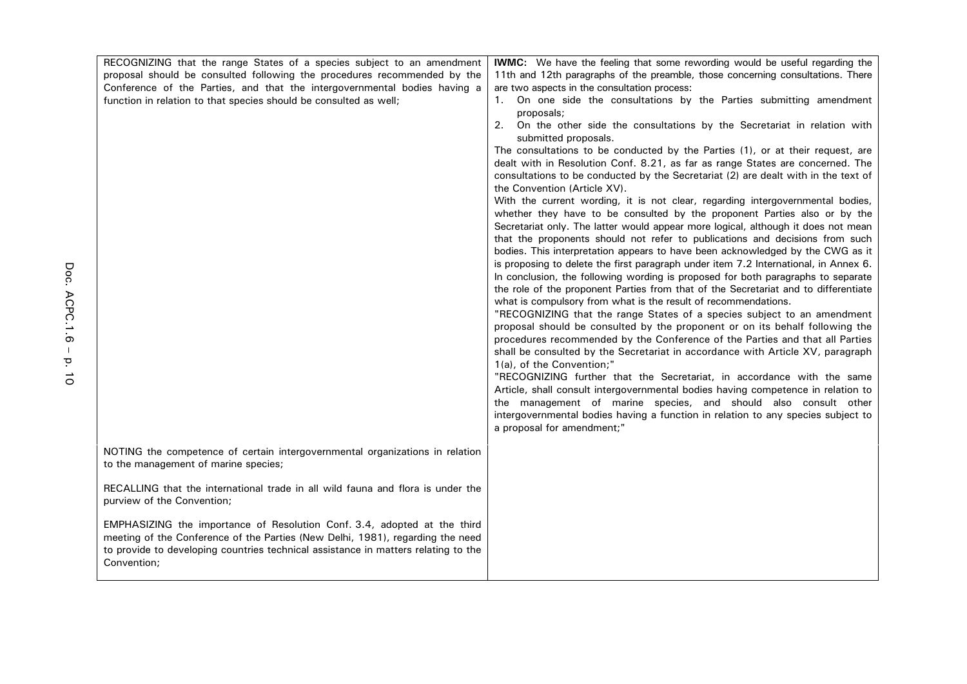| RECOGNIZING that the range States of a species subject to an amendment                                                                                                                                                                                          | <b>IWMC:</b> We have the feeling that some rewording would be useful regarding the                                                                                                                                                                                                                                                                                                                                                                                                                                                                                                                                                                                                                                                                                                                                                                                                                                                                                                                                                                                                                                                                                                                                                                                                                                                                                             |
|-----------------------------------------------------------------------------------------------------------------------------------------------------------------------------------------------------------------------------------------------------------------|--------------------------------------------------------------------------------------------------------------------------------------------------------------------------------------------------------------------------------------------------------------------------------------------------------------------------------------------------------------------------------------------------------------------------------------------------------------------------------------------------------------------------------------------------------------------------------------------------------------------------------------------------------------------------------------------------------------------------------------------------------------------------------------------------------------------------------------------------------------------------------------------------------------------------------------------------------------------------------------------------------------------------------------------------------------------------------------------------------------------------------------------------------------------------------------------------------------------------------------------------------------------------------------------------------------------------------------------------------------------------------|
| proposal should be consulted following the procedures recommended by the                                                                                                                                                                                        | 11th and 12th paragraphs of the preamble, those concerning consultations. There                                                                                                                                                                                                                                                                                                                                                                                                                                                                                                                                                                                                                                                                                                                                                                                                                                                                                                                                                                                                                                                                                                                                                                                                                                                                                                |
| Conference of the Parties, and that the intergovernmental bodies having a                                                                                                                                                                                       | are two aspects in the consultation process:                                                                                                                                                                                                                                                                                                                                                                                                                                                                                                                                                                                                                                                                                                                                                                                                                                                                                                                                                                                                                                                                                                                                                                                                                                                                                                                                   |
| function in relation to that species should be consulted as well;                                                                                                                                                                                               | On one side the consultations by the Parties submitting amendment<br>1.<br>proposals;                                                                                                                                                                                                                                                                                                                                                                                                                                                                                                                                                                                                                                                                                                                                                                                                                                                                                                                                                                                                                                                                                                                                                                                                                                                                                          |
|                                                                                                                                                                                                                                                                 | On the other side the consultations by the Secretariat in relation with<br>2.<br>submitted proposals.                                                                                                                                                                                                                                                                                                                                                                                                                                                                                                                                                                                                                                                                                                                                                                                                                                                                                                                                                                                                                                                                                                                                                                                                                                                                          |
|                                                                                                                                                                                                                                                                 | The consultations to be conducted by the Parties (1), or at their request, are<br>dealt with in Resolution Conf. 8.21, as far as range States are concerned. The<br>consultations to be conducted by the Secretariat (2) are dealt with in the text of<br>the Convention (Article XV).<br>With the current wording, it is not clear, regarding intergovernmental bodies,<br>whether they have to be consulted by the proponent Parties also or by the<br>Secretariat only. The latter would appear more logical, although it does not mean<br>that the proponents should not refer to publications and decisions from such<br>bodies. This interpretation appears to have been acknowledged by the CWG as it<br>is proposing to delete the first paragraph under item 7.2 International, in Annex 6.<br>In conclusion, the following wording is proposed for both paragraphs to separate<br>the role of the proponent Parties from that of the Secretariat and to differentiate<br>what is compulsory from what is the result of recommendations.<br>"RECOGNIZING that the range States of a species subject to an amendment<br>proposal should be consulted by the proponent or on its behalf following the<br>procedures recommended by the Conference of the Parties and that all Parties<br>shall be consulted by the Secretariat in accordance with Article XV, paragraph |
|                                                                                                                                                                                                                                                                 | 1(a), of the Convention;"<br>"RECOGNIZING further that the Secretariat, in accordance with the same<br>Article, shall consult intergovernmental bodies having competence in relation to<br>the management of marine species, and should also consult other<br>intergovernmental bodies having a function in relation to any species subject to<br>a proposal for amendment;"                                                                                                                                                                                                                                                                                                                                                                                                                                                                                                                                                                                                                                                                                                                                                                                                                                                                                                                                                                                                   |
| NOTING the competence of certain intergovernmental organizations in relation<br>to the management of marine species;                                                                                                                                            |                                                                                                                                                                                                                                                                                                                                                                                                                                                                                                                                                                                                                                                                                                                                                                                                                                                                                                                                                                                                                                                                                                                                                                                                                                                                                                                                                                                |
| RECALLING that the international trade in all wild fauna and flora is under the<br>purview of the Convention;                                                                                                                                                   |                                                                                                                                                                                                                                                                                                                                                                                                                                                                                                                                                                                                                                                                                                                                                                                                                                                                                                                                                                                                                                                                                                                                                                                                                                                                                                                                                                                |
| EMPHASIZING the importance of Resolution Conf. 3.4, adopted at the third<br>meeting of the Conference of the Parties (New Delhi, 1981), regarding the need<br>to provide to developing countries technical assistance in matters relating to the<br>Convention; |                                                                                                                                                                                                                                                                                                                                                                                                                                                                                                                                                                                                                                                                                                                                                                                                                                                                                                                                                                                                                                                                                                                                                                                                                                                                                                                                                                                |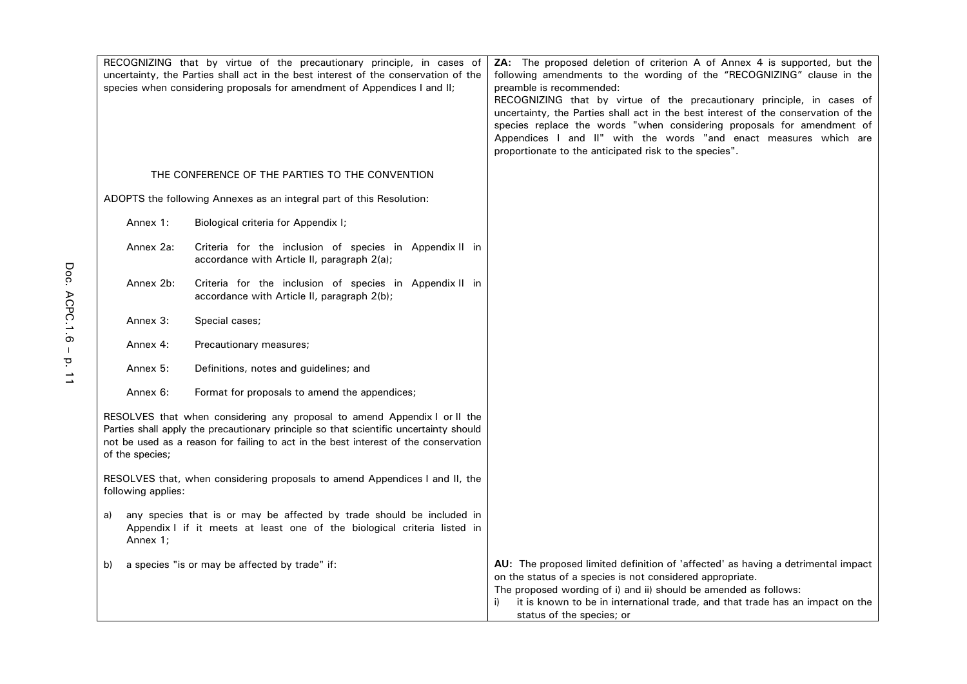| RECOGNIZING that by virtue of the precautionary principle, in cases of<br>uncertainty, the Parties shall act in the best interest of the conservation of the<br>species when considering proposals for amendment of Appendices I and II; |                                                                                                                                                                                                                                                           | ZA: The proposed deletion of criterion A of Annex 4 is supported, but the<br>following amendments to the wording of the "RECOGNIZING" clause in the<br>preamble is recommended:<br>RECOGNIZING that by virtue of the precautionary principle, in cases of<br>uncertainty, the Parties shall act in the best interest of the conservation of the<br>species replace the words "when considering proposals for amendment of<br>Appendices I and II" with the words "and enact measures which are<br>proportionate to the anticipated risk to the species". |
|------------------------------------------------------------------------------------------------------------------------------------------------------------------------------------------------------------------------------------------|-----------------------------------------------------------------------------------------------------------------------------------------------------------------------------------------------------------------------------------------------------------|----------------------------------------------------------------------------------------------------------------------------------------------------------------------------------------------------------------------------------------------------------------------------------------------------------------------------------------------------------------------------------------------------------------------------------------------------------------------------------------------------------------------------------------------------------|
|                                                                                                                                                                                                                                          | THE CONFERENCE OF THE PARTIES TO THE CONVENTION                                                                                                                                                                                                           |                                                                                                                                                                                                                                                                                                                                                                                                                                                                                                                                                          |
|                                                                                                                                                                                                                                          | ADOPTS the following Annexes as an integral part of this Resolution:                                                                                                                                                                                      |                                                                                                                                                                                                                                                                                                                                                                                                                                                                                                                                                          |
| Annex 1:                                                                                                                                                                                                                                 | Biological criteria for Appendix I;                                                                                                                                                                                                                       |                                                                                                                                                                                                                                                                                                                                                                                                                                                                                                                                                          |
| Annex 2a:                                                                                                                                                                                                                                | Criteria for the inclusion of species in Appendix II in<br>accordance with Article II, paragraph 2(a);                                                                                                                                                    |                                                                                                                                                                                                                                                                                                                                                                                                                                                                                                                                                          |
| Annex 2b:                                                                                                                                                                                                                                | Criteria for the inclusion of species in Appendix II in<br>accordance with Article II, paragraph 2(b);                                                                                                                                                    |                                                                                                                                                                                                                                                                                                                                                                                                                                                                                                                                                          |
| Annex 3:                                                                                                                                                                                                                                 | Special cases;                                                                                                                                                                                                                                            |                                                                                                                                                                                                                                                                                                                                                                                                                                                                                                                                                          |
| Annex 4:                                                                                                                                                                                                                                 | Precautionary measures;                                                                                                                                                                                                                                   |                                                                                                                                                                                                                                                                                                                                                                                                                                                                                                                                                          |
| Annex 5:                                                                                                                                                                                                                                 | Definitions, notes and guidelines; and                                                                                                                                                                                                                    |                                                                                                                                                                                                                                                                                                                                                                                                                                                                                                                                                          |
| Annex 6:                                                                                                                                                                                                                                 | Format for proposals to amend the appendices;                                                                                                                                                                                                             |                                                                                                                                                                                                                                                                                                                                                                                                                                                                                                                                                          |
| of the species;                                                                                                                                                                                                                          | RESOLVES that when considering any proposal to amend Appendix I or II the<br>Parties shall apply the precautionary principle so that scientific uncertainty should<br>not be used as a reason for failing to act in the best interest of the conservation |                                                                                                                                                                                                                                                                                                                                                                                                                                                                                                                                                          |
| following applies:                                                                                                                                                                                                                       | RESOLVES that, when considering proposals to amend Appendices I and II, the                                                                                                                                                                               |                                                                                                                                                                                                                                                                                                                                                                                                                                                                                                                                                          |
| a)<br>Annex 1;                                                                                                                                                                                                                           | any species that is or may be affected by trade should be included in<br>Appendix I if it meets at least one of the biological criteria listed in                                                                                                         |                                                                                                                                                                                                                                                                                                                                                                                                                                                                                                                                                          |
| b)                                                                                                                                                                                                                                       | a species "is or may be affected by trade" if:                                                                                                                                                                                                            | AU: The proposed limited definition of 'affected' as having a detrimental impact<br>on the status of a species is not considered appropriate.<br>The proposed wording of i) and ii) should be amended as follows:<br>it is known to be in international trade, and that trade has an impact on the<br>i)<br>status of the species; or                                                                                                                                                                                                                    |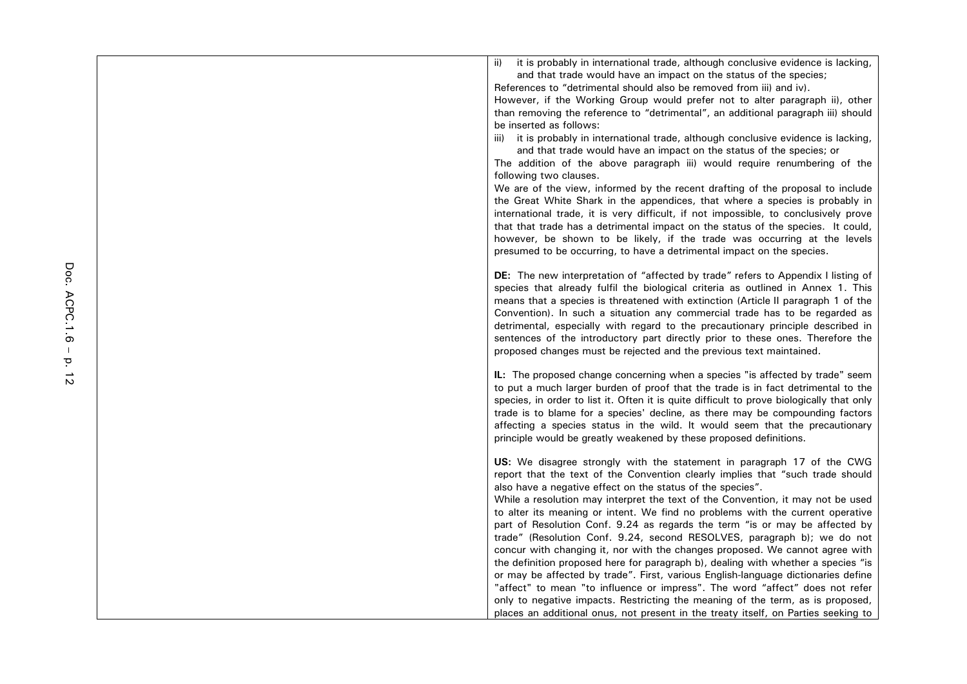| it is probably in international trade, although conclusive evidence is lacking,<br>ii)    |
|-------------------------------------------------------------------------------------------|
| and that trade would have an impact on the status of the species;                         |
| References to "detrimental should also be removed from iii) and iv).                      |
| However, if the Working Group would prefer not to alter paragraph ii), other              |
| than removing the reference to "detrimental", an additional paragraph iii) should         |
| be inserted as follows:                                                                   |
| it is probably in international trade, although conclusive evidence is lacking,<br>iii)   |
| and that trade would have an impact on the status of the species; or                      |
| The addition of the above paragraph iii) would require renumbering of the                 |
| following two clauses.                                                                    |
| We are of the view, informed by the recent drafting of the proposal to include            |
| the Great White Shark in the appendices, that where a species is probably in              |
| international trade, it is very difficult, if not impossible, to conclusively prove       |
| that that trade has a detrimental impact on the status of the species. It could,          |
| however, be shown to be likely, if the trade was occurring at the levels                  |
| presumed to be occurring, to have a detrimental impact on the species.                    |
|                                                                                           |
| <b>DE:</b> The new interpretation of "affected by trade" refers to Appendix I listing of  |
| species that already fulfil the biological criteria as outlined in Annex 1. This          |
| means that a species is threatened with extinction (Article II paragraph 1 of the         |
| Convention). In such a situation any commercial trade has to be regarded as               |
| detrimental, especially with regard to the precautionary principle described in           |
| sentences of the introductory part directly prior to these ones. Therefore the            |
| proposed changes must be rejected and the previous text maintained.                       |
| IL: The proposed change concerning when a species "is affected by trade" seem             |
| to put a much larger burden of proof that the trade is in fact detrimental to the         |
| species, in order to list it. Often it is quite difficult to prove biologically that only |
| trade is to blame for a species' decline, as there may be compounding factors             |
| affecting a species status in the wild. It would seem that the precautionary              |
| principle would be greatly weakened by these proposed definitions.                        |
|                                                                                           |
| US: We disagree strongly with the statement in paragraph 17 of the CWG                    |
| report that the text of the Convention clearly implies that "such trade should            |
| also have a negative effect on the status of the species".                                |
| While a resolution may interpret the text of the Convention, it may not be used           |
| to alter its meaning or intent. We find no problems with the current operative            |
| part of Resolution Conf. 9.24 as regards the term "is or may be affected by               |
| trade" (Resolution Conf. 9.24, second RESOLVES, paragraph b); we do not                   |
| concur with changing it, nor with the changes proposed. We cannot agree with              |
| the definition proposed here for paragraph b), dealing with whether a species "is         |
| or may be affected by trade". First, various English-language dictionaries define         |
| "affect" to mean "to influence or impress". The word "affect" does not refer              |
| only to negative impacts. Restricting the meaning of the term, as is proposed,            |
| places an additional onus, not present in the treaty itself, on Parties seeking to        |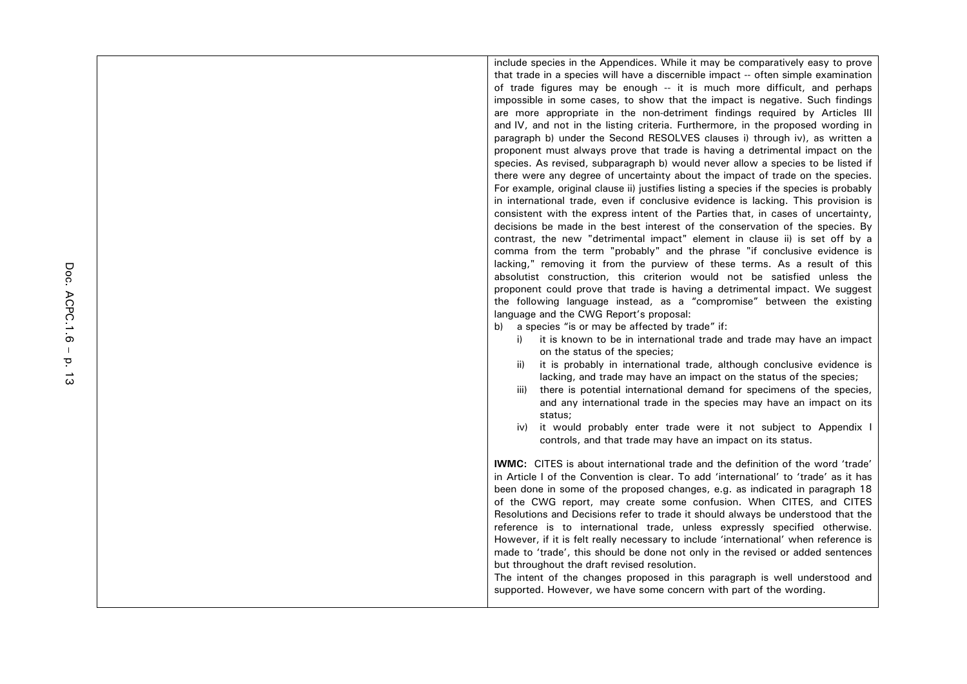include species in the Appendices. While it may be comparatively easy to prove that trade in a species will have a discernible impact -- often simple examination of trade figures may be enough -- it is much more difficult, and perhaps impossible in some cases, to show that the impact is negative. Such findings are more appropriate in the non-detriment findings required by Articles III and IV, and not in the listing criteria. Furthermore, in the proposed wording in paragraph b) under the Second RESOLVES clauses i) through iv), as written a proponent must always prove that trade is having a detrimental impact on the species. As revised, subparagraph b) would never allow a species to be listed if there were any degree of uncertainty about the impact of trade on the species. For example, original clause ii) justifies listing a species if the species is probably in international trade, even if conclusive evidence is lacking. This provision is consistent with the express intent of the Parties that, in cases of uncertainty, decisions be made in the best interest of the conservation of the species. By contrast, the new "detrimental impact" element in clause ii) is set off by a comma from the term "probably" and the phrase "if conclusive evidence is lacking," removing it from the purview of these terms. As a result of this absolutist construction, this criterion would not be satisfied unless the proponent could prove that trade is having a detrimental impact. We suggest the following language instead, as a "compromise" between the existing language and the CWG Report's proposal:

b) a species "is or may be affected by trade" if:

- i) it is known to be in international trade and trade may have an impact on the status of the species;
- ii) it is probably in international trade, although conclusive evidence is lacking, and trade may have an impact on the status of the species;
- iii) there is potential international demand for specimens of the species, and any international trade in the species may have an impact on its status;
- iv) it would probably enter trade were it not subject to Appendix I controls, and that trade may have an impact on its status.

**IWMC:** CITES is about international trade and the definition of the word 'trade' in Article I of the Convention is clear. To add 'international' to 'trade' as it has been done in some of the proposed changes, e.g. as indicated in paragraph 18 of the CWG report, may create some confusion. When CITES, and CITES Resolutions and Decisions refer to trade it should always be understood that the reference is to international trade, unless expressly specified otherwise. However, if it is felt really necessary to include 'international' when reference is made to 'trade', this should be done not only in the revised or added sentences but throughout the draft revised resolution.

The intent of the changes proposed in this paragraph is well understood and supported. However, we have some concern with part of the wording.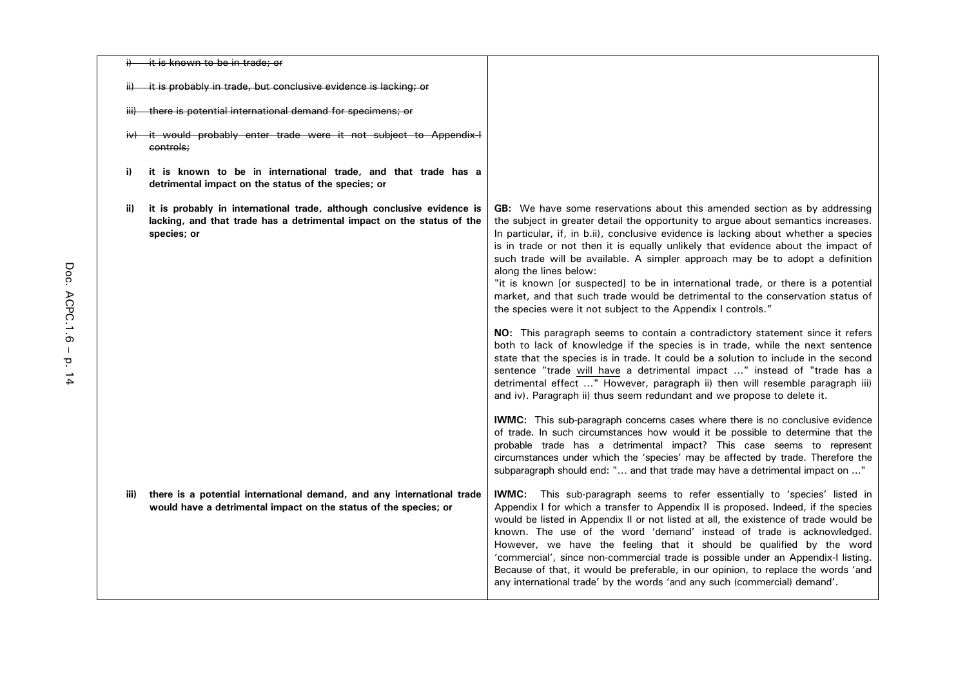|      | it is known to be in trade; or                                                                                                                                 |                                                                                                                                                                                                                                                                                                                                                                                                                                                                                                                                                                                                                                                                                                                                                                                     |
|------|----------------------------------------------------------------------------------------------------------------------------------------------------------------|-------------------------------------------------------------------------------------------------------------------------------------------------------------------------------------------------------------------------------------------------------------------------------------------------------------------------------------------------------------------------------------------------------------------------------------------------------------------------------------------------------------------------------------------------------------------------------------------------------------------------------------------------------------------------------------------------------------------------------------------------------------------------------------|
|      | it is probably in trade, but conclusive evidence is lacking; or                                                                                                |                                                                                                                                                                                                                                                                                                                                                                                                                                                                                                                                                                                                                                                                                                                                                                                     |
|      | there is potential international demand for specimens; or                                                                                                      |                                                                                                                                                                                                                                                                                                                                                                                                                                                                                                                                                                                                                                                                                                                                                                                     |
|      | <del>it would probably enter trade were it not subject to Appendix-I</del><br>controls;                                                                        |                                                                                                                                                                                                                                                                                                                                                                                                                                                                                                                                                                                                                                                                                                                                                                                     |
| i)   | it is known to be in international trade, and that trade has a<br>detrimental impact on the status of the species; or                                          |                                                                                                                                                                                                                                                                                                                                                                                                                                                                                                                                                                                                                                                                                                                                                                                     |
| ii)  | it is probably in international trade, although conclusive evidence is<br>lacking, and that trade has a detrimental impact on the status of the<br>species; or | <b>GB:</b> We have some reservations about this amended section as by addressing<br>the subject in greater detail the opportunity to argue about semantics increases.<br>In particular, if, in b.ii), conclusive evidence is lacking about whether a species<br>is in trade or not then it is equally unlikely that evidence about the impact of<br>such trade will be available. A simpler approach may be to adopt a definition<br>along the lines below:<br>"it is known [or suspected] to be in international trade, or there is a potential<br>market, and that such trade would be detrimental to the conservation status of<br>the species were it not subject to the Appendix I controls."<br>NO: This paragraph seems to contain a contradictory statement since it refers |
|      |                                                                                                                                                                | both to lack of knowledge if the species is in trade, while the next sentence<br>state that the species is in trade. It could be a solution to include in the second<br>sentence "trade will have a detrimental impact " instead of "trade has a<br>detrimental effect " However, paragraph ii) then will resemble paragraph iii)<br>and iv). Paragraph ii) thus seem redundant and we propose to delete it.                                                                                                                                                                                                                                                                                                                                                                        |
|      |                                                                                                                                                                | IWMC: This sub-paragraph concerns cases where there is no conclusive evidence<br>of trade. In such circumstances how would it be possible to determine that the<br>probable trade has a detrimental impact? This case seems to represent<br>circumstances under which the 'species' may be affected by trade. Therefore the<br>subparagraph should end: " and that trade may have a detrimental impact on "                                                                                                                                                                                                                                                                                                                                                                         |
| iii) | there is a potential international demand, and any international trade<br>would have a detrimental impact on the status of the species; or                     | <b>IWMC:</b> This sub-paragraph seems to refer essentially to 'species' listed in<br>Appendix I for which a transfer to Appendix II is proposed. Indeed, if the species<br>would be listed in Appendix II or not listed at all, the existence of trade would be<br>known. The use of the word 'demand' instead of trade is acknowledged.<br>However, we have the feeling that it should be qualified by the word<br>'commercial', since non-commercial trade is possible under an Appendix-I listing.<br>Because of that, it would be preferable, in our opinion, to replace the words 'and<br>any international trade' by the words 'and any such (commercial) demand'.                                                                                                            |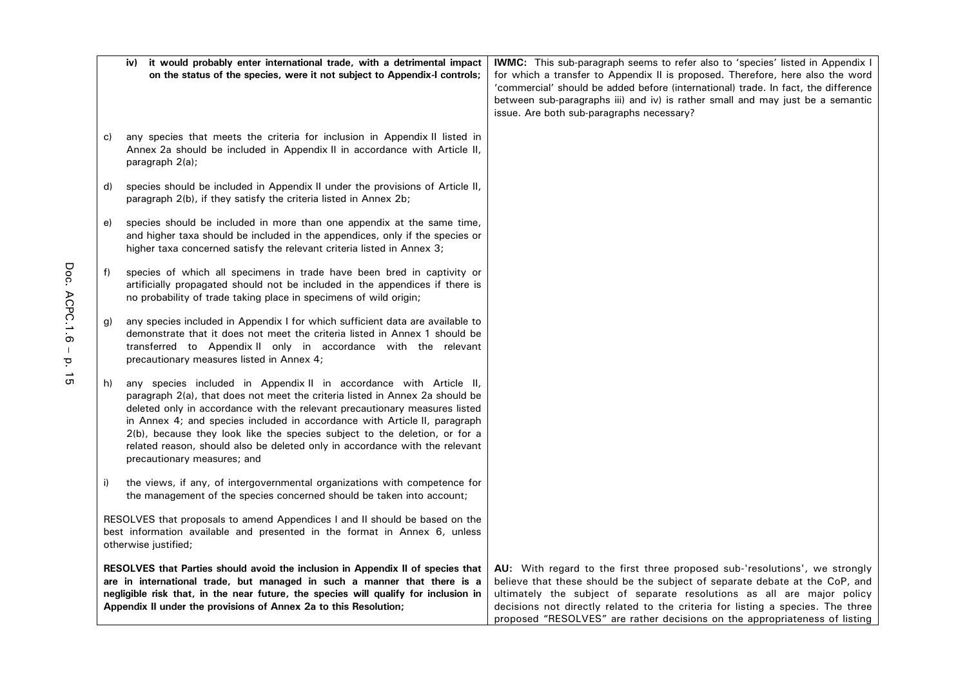|                                                                                                                                                                                                                                                                                                                        | it would probably enter international trade, with a detrimental impact<br>iv)<br>on the status of the species, were it not subject to Appendix-I controls;                                                                                                                                                                                                                                                                                                                                                | <b>IWMC:</b> This sub-paragraph seems to refer also to 'species' listed in Appendix I<br>for which a transfer to Appendix II is proposed. Therefore, here also the word<br>'commercial' should be added before (international) trade. In fact, the difference<br>between sub-paragraphs iii) and iv) is rather small and may just be a semantic<br>issue. Are both sub-paragraphs necessary?         |
|------------------------------------------------------------------------------------------------------------------------------------------------------------------------------------------------------------------------------------------------------------------------------------------------------------------------|-----------------------------------------------------------------------------------------------------------------------------------------------------------------------------------------------------------------------------------------------------------------------------------------------------------------------------------------------------------------------------------------------------------------------------------------------------------------------------------------------------------|------------------------------------------------------------------------------------------------------------------------------------------------------------------------------------------------------------------------------------------------------------------------------------------------------------------------------------------------------------------------------------------------------|
| C)                                                                                                                                                                                                                                                                                                                     | any species that meets the criteria for inclusion in Appendix II listed in<br>Annex 2a should be included in Appendix II in accordance with Article II,<br>paragraph 2(a);                                                                                                                                                                                                                                                                                                                                |                                                                                                                                                                                                                                                                                                                                                                                                      |
| d)                                                                                                                                                                                                                                                                                                                     | species should be included in Appendix II under the provisions of Article II,<br>paragraph 2(b), if they satisfy the criteria listed in Annex 2b;                                                                                                                                                                                                                                                                                                                                                         |                                                                                                                                                                                                                                                                                                                                                                                                      |
| e)                                                                                                                                                                                                                                                                                                                     | species should be included in more than one appendix at the same time,<br>and higher taxa should be included in the appendices, only if the species or<br>higher taxa concerned satisfy the relevant criteria listed in Annex 3;                                                                                                                                                                                                                                                                          |                                                                                                                                                                                                                                                                                                                                                                                                      |
| f)                                                                                                                                                                                                                                                                                                                     | species of which all specimens in trade have been bred in captivity or<br>artificially propagated should not be included in the appendices if there is<br>no probability of trade taking place in specimens of wild origin;                                                                                                                                                                                                                                                                               |                                                                                                                                                                                                                                                                                                                                                                                                      |
| g)                                                                                                                                                                                                                                                                                                                     | any species included in Appendix I for which sufficient data are available to<br>demonstrate that it does not meet the criteria listed in Annex 1 should be<br>transferred to Appendix II only in accordance with the relevant<br>precautionary measures listed in Annex 4;                                                                                                                                                                                                                               |                                                                                                                                                                                                                                                                                                                                                                                                      |
| h)                                                                                                                                                                                                                                                                                                                     | any species included in Appendix II in accordance with Article II,<br>paragraph 2(a), that does not meet the criteria listed in Annex 2a should be<br>deleted only in accordance with the relevant precautionary measures listed<br>in Annex 4; and species included in accordance with Article II, paragraph<br>2(b), because they look like the species subject to the deletion, or for a<br>related reason, should also be deleted only in accordance with the relevant<br>precautionary measures; and |                                                                                                                                                                                                                                                                                                                                                                                                      |
| i)                                                                                                                                                                                                                                                                                                                     | the views, if any, of intergovernmental organizations with competence for<br>the management of the species concerned should be taken into account;                                                                                                                                                                                                                                                                                                                                                        |                                                                                                                                                                                                                                                                                                                                                                                                      |
|                                                                                                                                                                                                                                                                                                                        | RESOLVES that proposals to amend Appendices I and II should be based on the<br>best information available and presented in the format in Annex 6, unless<br>otherwise justified;                                                                                                                                                                                                                                                                                                                          |                                                                                                                                                                                                                                                                                                                                                                                                      |
| RESOLVES that Parties should avoid the inclusion in Appendix II of species that<br>are in international trade, but managed in such a manner that there is a<br>negligible risk that, in the near future, the species will qualify for inclusion in<br>Appendix II under the provisions of Annex 2a to this Resolution; |                                                                                                                                                                                                                                                                                                                                                                                                                                                                                                           | AU: With regard to the first three proposed sub-'resolutions', we strongly<br>believe that these should be the subject of separate debate at the CoP, and<br>ultimately the subject of separate resolutions as all are major policy<br>decisions not directly related to the criteria for listing a species. The three<br>proposed "RESOLVES" are rather decisions on the appropriateness of listing |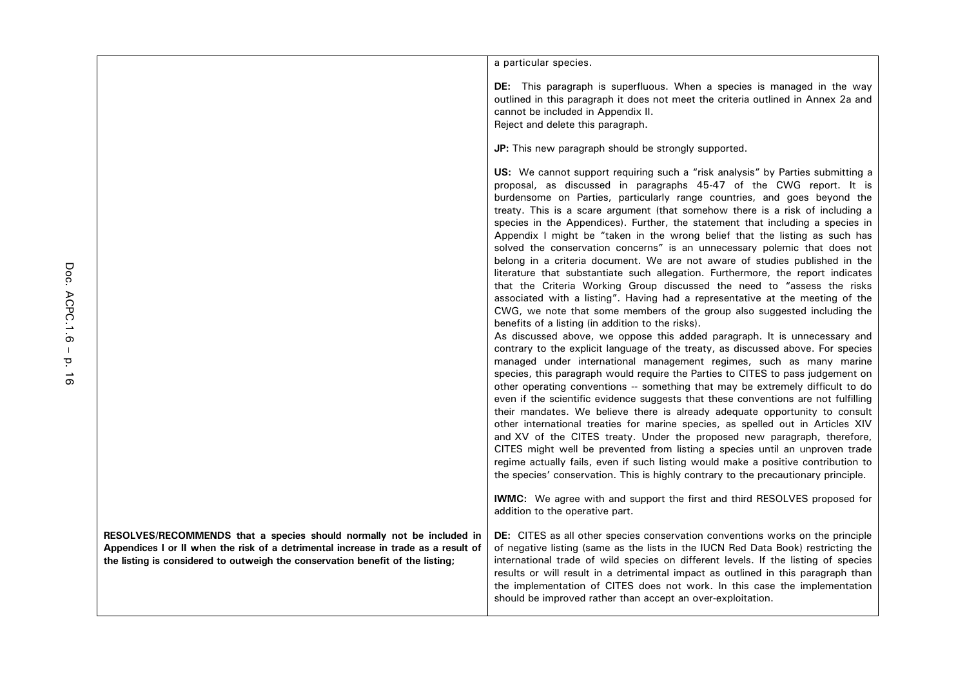a particular species.

**DE:** This paragraph is superfluous. When a species is managed in the way outlined in this paragraph it does not meet the criteria outlined in Annex 2a and cannot be included in Appendix II. Reject and delete this paragraph.

**JP:** This new paragraph should be strongly supported.

**US:** We cannot support requiring such a "risk analysis" by Parties submitting a proposal, as discussed in paragraphs 45-47 of the CWG report. It is burdensome on Parties, particularly range countries, and goes beyond the treaty. This is a scare argument (that somehow there is a risk of including a species in the Appendices). Further, the statement that including a species in Appendix I might be "taken in the wrong belief that the listing as such has solved the conservation concerns" is an unnecessary polemic that does not belong in a criteria document. We are not aware of studies published in the literature that substantiate such allegation. Furthermore, the report indicates that the Criteria Working Group discussed the need to "assess the risks associated with a listing". Having had a representative at the meeting of the CWG, we note that some members of the group also suggested including the benefits of a listing (in addition to the risks).

As discussed above, we oppose this added paragraph. It is unnecessary and contrary to the explicit language of the treaty, as discussed above. For species managed under international management regimes, such as many marine species, this paragraph would require the Parties to CITES to pass judgement on other operating conventions -- something that may be extremely difficult to do even if the scientific evidence suggests that these conventions are not fulfilling their mandates. We believe there is already adequate opportunity to consult other international treaties for marine species, as spelled out in Articles XIV and XV of the CITES treaty. Under the proposed new paragraph, therefore, CITES might well be prevented from listing a species until an unproven trade regime actually fails, even if such listing would make a positive contribution to the species' conservation. This is highly contrary to the precautionary principle.

**IWMC:** We agree with and support the first and third RESOLVES proposed for addition to the operative part.

**DE:** CITES as all other species conservation conventions works on the principle of negative listing (same as the lists in the IUCN Red Data Book) restricting the international trade of wild species on different levels. If the listing of species results or will result in a detrimental impact as outlined in this paragraph than the implementation of CITES does not work. In this case the implementation should be improved rather than accept an over-exploitation.

**RESOLVES/RECOMMENDS that a species should normally not be included in Appendices I or II when the risk of a detrimental increase in trade as a result of the listing is considered to outweigh the conservation benefit of the listing;**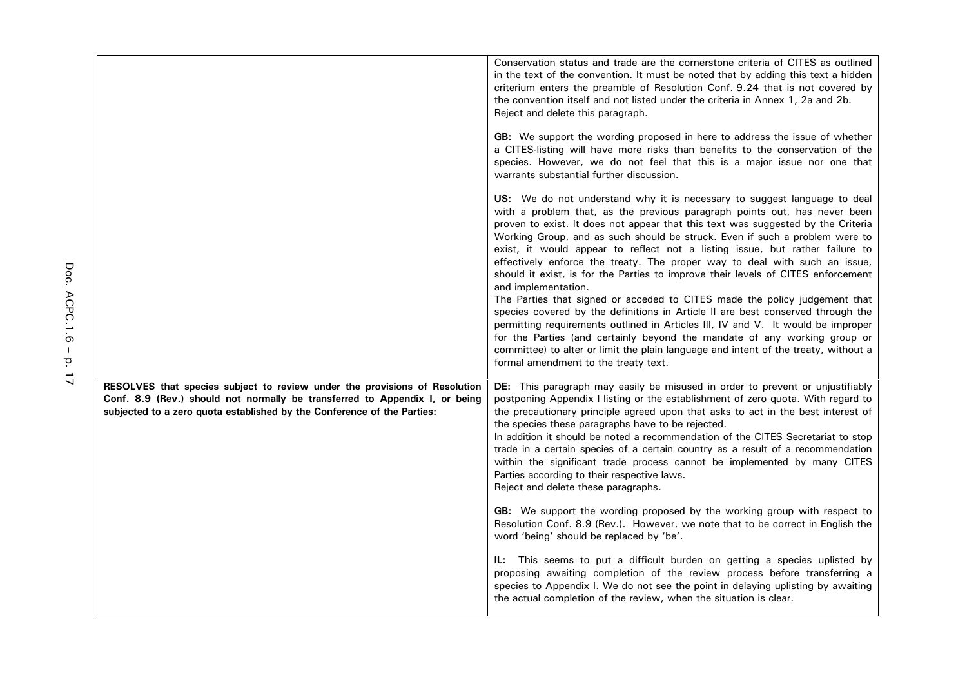|                                                                                                                                                                                                                                      | Conservation status and trade are the cornerstone criteria of CITES as outlined<br>in the text of the convention. It must be noted that by adding this text a hidden<br>criterium enters the preamble of Resolution Conf. 9.24 that is not covered by<br>the convention itself and not listed under the criteria in Annex 1, 2a and 2b.<br>Reject and delete this paragraph.<br>GB: We support the wording proposed in here to address the issue of whether<br>a CITES-listing will have more risks than benefits to the conservation of the<br>species. However, we do not feel that this is a major issue nor one that                                                                                                                                                                                                                                                                                                                                                                                                                                                                                              |
|--------------------------------------------------------------------------------------------------------------------------------------------------------------------------------------------------------------------------------------|-----------------------------------------------------------------------------------------------------------------------------------------------------------------------------------------------------------------------------------------------------------------------------------------------------------------------------------------------------------------------------------------------------------------------------------------------------------------------------------------------------------------------------------------------------------------------------------------------------------------------------------------------------------------------------------------------------------------------------------------------------------------------------------------------------------------------------------------------------------------------------------------------------------------------------------------------------------------------------------------------------------------------------------------------------------------------------------------------------------------------|
|                                                                                                                                                                                                                                      | warrants substantial further discussion.<br><b>US:</b> We do not understand why it is necessary to suggest language to deal<br>with a problem that, as the previous paragraph points out, has never been<br>proven to exist. It does not appear that this text was suggested by the Criteria<br>Working Group, and as such should be struck. Even if such a problem were to<br>exist, it would appear to reflect not a listing issue, but rather failure to<br>effectively enforce the treaty. The proper way to deal with such an issue,<br>should it exist, is for the Parties to improve their levels of CITES enforcement<br>and implementation.<br>The Parties that signed or acceded to CITES made the policy judgement that<br>species covered by the definitions in Article II are best conserved through the<br>permitting requirements outlined in Articles III, IV and V. It would be improper<br>for the Parties (and certainly beyond the mandate of any working group or<br>committee) to alter or limit the plain language and intent of the treaty, without a<br>formal amendment to the treaty text. |
| RESOLVES that species subject to review under the provisions of Resolution<br>Conf. 8.9 (Rev.) should not normally be transferred to Appendix I, or being<br>subjected to a zero quota established by the Conference of the Parties: | <b>DE:</b> This paragraph may easily be misused in order to prevent or unjustifiably<br>postponing Appendix I listing or the establishment of zero quota. With regard to<br>the precautionary principle agreed upon that asks to act in the best interest of<br>the species these paragraphs have to be rejected.<br>In addition it should be noted a recommendation of the CITES Secretariat to stop<br>trade in a certain species of a certain country as a result of a recommendation<br>within the significant trade process cannot be implemented by many CITES<br>Parties according to their respective laws.<br>Reject and delete these paragraphs.                                                                                                                                                                                                                                                                                                                                                                                                                                                            |
|                                                                                                                                                                                                                                      | GB: We support the wording proposed by the working group with respect to<br>Resolution Conf. 8.9 (Rev.). However, we note that to be correct in English the<br>word 'being' should be replaced by 'be'.                                                                                                                                                                                                                                                                                                                                                                                                                                                                                                                                                                                                                                                                                                                                                                                                                                                                                                               |
|                                                                                                                                                                                                                                      | This seems to put a difficult burden on getting a species uplisted by<br>IL:<br>proposing awaiting completion of the review process before transferring a<br>species to Appendix I. We do not see the point in delaying uplisting by awaiting<br>the actual completion of the review, when the situation is clear.                                                                                                                                                                                                                                                                                                                                                                                                                                                                                                                                                                                                                                                                                                                                                                                                    |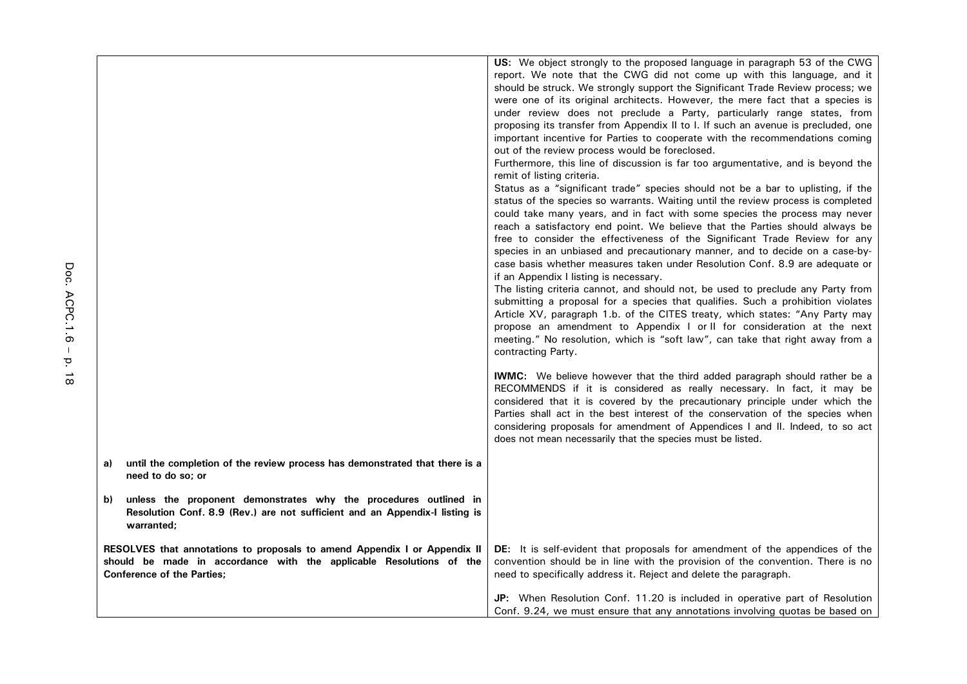|                                                                           |                                                                             | US: We object strongly to the proposed language in paragraph 53 of the CWG        |
|---------------------------------------------------------------------------|-----------------------------------------------------------------------------|-----------------------------------------------------------------------------------|
|                                                                           |                                                                             | report. We note that the CWG did not come up with this language, and it           |
|                                                                           |                                                                             | should be struck. We strongly support the Significant Trade Review process; we    |
|                                                                           |                                                                             | were one of its original architects. However, the mere fact that a species is     |
|                                                                           |                                                                             | under review does not preclude a Party, particularly range states, from           |
|                                                                           |                                                                             | proposing its transfer from Appendix II to I. If such an avenue is precluded, one |
|                                                                           |                                                                             | important incentive for Parties to cooperate with the recommendations coming      |
|                                                                           |                                                                             | out of the review process would be foreclosed.                                    |
|                                                                           |                                                                             | Furthermore, this line of discussion is far too argumentative, and is beyond the  |
|                                                                           |                                                                             | remit of listing criteria.                                                        |
|                                                                           |                                                                             | Status as a "significant trade" species should not be a bar to uplisting, if the  |
|                                                                           |                                                                             | status of the species so warrants. Waiting until the review process is completed  |
|                                                                           |                                                                             | could take many years, and in fact with some species the process may never        |
|                                                                           |                                                                             | reach a satisfactory end point. We believe that the Parties should always be      |
|                                                                           |                                                                             | free to consider the effectiveness of the Significant Trade Review for any        |
|                                                                           |                                                                             | species in an unbiased and precautionary manner, and to decide on a case-by-      |
|                                                                           |                                                                             | case basis whether measures taken under Resolution Conf. 8.9 are adequate or      |
|                                                                           |                                                                             | if an Appendix I listing is necessary.                                            |
|                                                                           |                                                                             | The listing criteria cannot, and should not, be used to preclude any Party from   |
|                                                                           |                                                                             | submitting a proposal for a species that qualifies. Such a prohibition violates   |
|                                                                           |                                                                             | Article XV, paragraph 1.b. of the CITES treaty, which states: "Any Party may      |
|                                                                           |                                                                             | propose an amendment to Appendix I or II for consideration at the next            |
|                                                                           |                                                                             | meeting." No resolution, which is "soft law", can take that right away from a     |
|                                                                           |                                                                             | contracting Party.                                                                |
|                                                                           |                                                                             |                                                                                   |
|                                                                           |                                                                             | <b>IWMC:</b> We believe however that the third added paragraph should rather be a |
|                                                                           |                                                                             | RECOMMENDS if it is considered as really necessary. In fact, it may be            |
|                                                                           |                                                                             | considered that it is covered by the precautionary principle under which the      |
|                                                                           |                                                                             | Parties shall act in the best interest of the conservation of the species when    |
|                                                                           |                                                                             | considering proposals for amendment of Appendices I and II. Indeed, to so act     |
|                                                                           |                                                                             | does not mean necessarily that the species must be listed.                        |
|                                                                           |                                                                             |                                                                                   |
| a)                                                                        | until the completion of the review process has demonstrated that there is a |                                                                                   |
| need to do so; or                                                         |                                                                             |                                                                                   |
|                                                                           |                                                                             |                                                                                   |
| b)                                                                        | unless the proponent demonstrates why the procedures outlined in            |                                                                                   |
|                                                                           | Resolution Conf. 8.9 (Rev.) are not sufficient and an Appendix-I listing is |                                                                                   |
| warranted;                                                                |                                                                             |                                                                                   |
|                                                                           |                                                                             |                                                                                   |
| RESOLVES that annotations to proposals to amend Appendix I or Appendix II |                                                                             | DE: It is self-evident that proposals for amendment of the appendices of the      |
| should be made in accordance with the applicable Resolutions of the       |                                                                             | convention should be in line with the provision of the convention. There is no    |
| <b>Conference of the Parties:</b>                                         |                                                                             | need to specifically address it. Reject and delete the paragraph.                 |
|                                                                           |                                                                             | JP: When Resolution Conf. 11.20 is included in operative part of Resolution       |
|                                                                           |                                                                             |                                                                                   |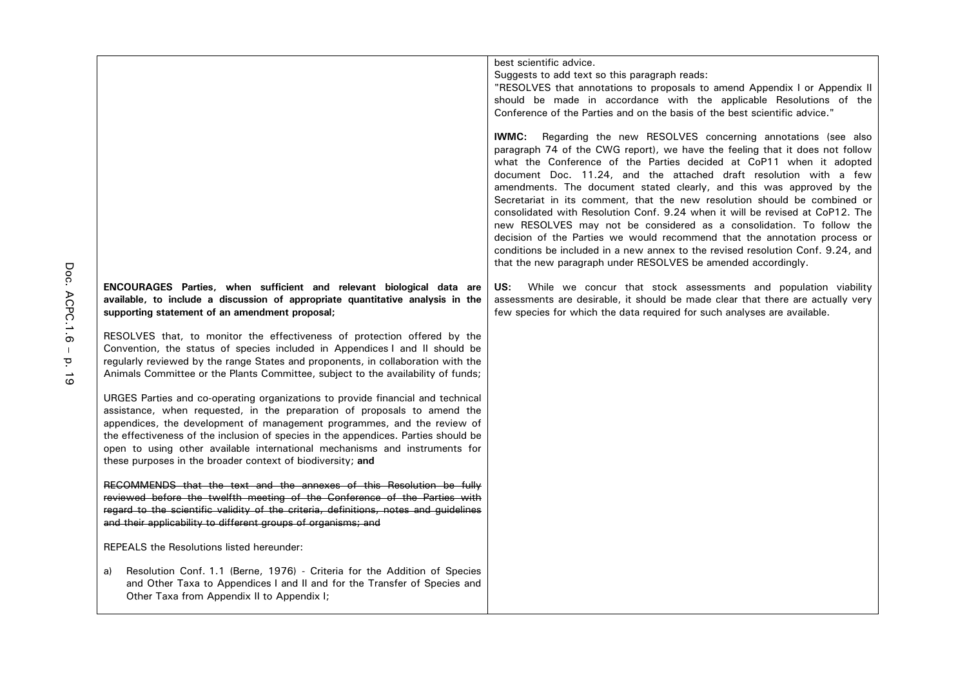|                                                                                                                                                                                                                                                                                                                                                                                                                                                                          | best scientific advice.<br>Suggests to add text so this paragraph reads:<br>"RESOLVES that annotations to proposals to amend Appendix I or Appendix II<br>should be made in accordance with the applicable Resolutions of the<br>Conference of the Parties and on the basis of the best scientific advice."<br><b>IWMC:</b><br>Regarding the new RESOLVES concerning annotations (see also<br>paragraph 74 of the CWG report), we have the feeling that it does not follow<br>what the Conference of the Parties decided at CoP11 when it adopted<br>document Doc. 11.24, and the attached draft resolution with a few<br>amendments. The document stated clearly, and this was approved by the<br>Secretariat in its comment, that the new resolution should be combined or<br>consolidated with Resolution Conf. 9.24 when it will be revised at CoP12. The |
|--------------------------------------------------------------------------------------------------------------------------------------------------------------------------------------------------------------------------------------------------------------------------------------------------------------------------------------------------------------------------------------------------------------------------------------------------------------------------|---------------------------------------------------------------------------------------------------------------------------------------------------------------------------------------------------------------------------------------------------------------------------------------------------------------------------------------------------------------------------------------------------------------------------------------------------------------------------------------------------------------------------------------------------------------------------------------------------------------------------------------------------------------------------------------------------------------------------------------------------------------------------------------------------------------------------------------------------------------|
|                                                                                                                                                                                                                                                                                                                                                                                                                                                                          | new RESOLVES may not be considered as a consolidation. To follow the<br>decision of the Parties we would recommend that the annotation process or<br>conditions be included in a new annex to the revised resolution Conf. 9.24, and<br>that the new paragraph under RESOLVES be amended accordingly.                                                                                                                                                                                                                                                                                                                                                                                                                                                                                                                                                         |
| ENCOURAGES Parties, when sufficient and relevant biological data are<br>available, to include a discussion of appropriate quantitative analysis in the<br>supporting statement of an amendment proposal;                                                                                                                                                                                                                                                                 | US:<br>While we concur that stock assessments and population viability<br>assessments are desirable, it should be made clear that there are actually very<br>few species for which the data required for such analyses are available.                                                                                                                                                                                                                                                                                                                                                                                                                                                                                                                                                                                                                         |
| RESOLVES that, to monitor the effectiveness of protection offered by the<br>Convention, the status of species included in Appendices I and II should be<br>regularly reviewed by the range States and proponents, in collaboration with the<br>Animals Committee or the Plants Committee, subject to the availability of funds;                                                                                                                                          |                                                                                                                                                                                                                                                                                                                                                                                                                                                                                                                                                                                                                                                                                                                                                                                                                                                               |
| URGES Parties and co-operating organizations to provide financial and technical<br>assistance, when requested, in the preparation of proposals to amend the<br>appendices, the development of management programmes, and the review of<br>the effectiveness of the inclusion of species in the appendices. Parties should be<br>open to using other available international mechanisms and instruments for<br>these purposes in the broader context of biodiversity; and |                                                                                                                                                                                                                                                                                                                                                                                                                                                                                                                                                                                                                                                                                                                                                                                                                                                               |
| RECOMMENDS that the text and the annexes of this Resolution be fully<br>reviewed before the twelfth meeting of the Conference of the Parties with<br>regard to the scientific validity of the criteria, definitions, notes and guidelines<br>and their applicability to different groups of organisms; and                                                                                                                                                               |                                                                                                                                                                                                                                                                                                                                                                                                                                                                                                                                                                                                                                                                                                                                                                                                                                                               |
| <b>REPEALS</b> the Resolutions listed hereunder:                                                                                                                                                                                                                                                                                                                                                                                                                         |                                                                                                                                                                                                                                                                                                                                                                                                                                                                                                                                                                                                                                                                                                                                                                                                                                                               |
| Resolution Conf. 1.1 (Berne, 1976) - Criteria for the Addition of Species<br>a)<br>and Other Taxa to Appendices I and II and for the Transfer of Species and<br>Other Taxa from Appendix II to Appendix I;                                                                                                                                                                                                                                                               |                                                                                                                                                                                                                                                                                                                                                                                                                                                                                                                                                                                                                                                                                                                                                                                                                                                               |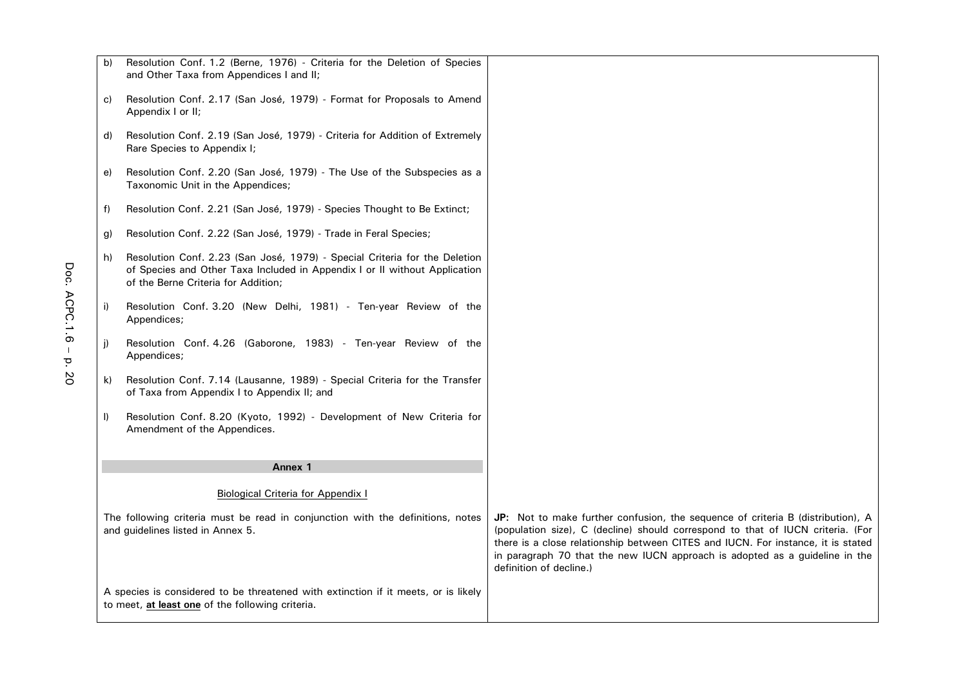| b) | Resolution Conf. 1.2 (Berne, 1976) - Criteria for the Deletion of Species<br>and Other Taxa from Appendices I and II;                                                                           |                                                                                                                                                                                                                                                                                                                                                                  |
|----|-------------------------------------------------------------------------------------------------------------------------------------------------------------------------------------------------|------------------------------------------------------------------------------------------------------------------------------------------------------------------------------------------------------------------------------------------------------------------------------------------------------------------------------------------------------------------|
| C) | Resolution Conf. 2.17 (San José, 1979) - Format for Proposals to Amend<br>Appendix I or II;                                                                                                     |                                                                                                                                                                                                                                                                                                                                                                  |
| d) | Resolution Conf. 2.19 (San José, 1979) - Criteria for Addition of Extremely<br>Rare Species to Appendix I;                                                                                      |                                                                                                                                                                                                                                                                                                                                                                  |
| e) | Resolution Conf. 2.20 (San José, 1979) - The Use of the Subspecies as a<br>Taxonomic Unit in the Appendices;                                                                                    |                                                                                                                                                                                                                                                                                                                                                                  |
| f) | Resolution Conf. 2.21 (San José, 1979) - Species Thought to Be Extinct;                                                                                                                         |                                                                                                                                                                                                                                                                                                                                                                  |
| g) | Resolution Conf. 2.22 (San José, 1979) - Trade in Feral Species;                                                                                                                                |                                                                                                                                                                                                                                                                                                                                                                  |
| h) | Resolution Conf. 2.23 (San José, 1979) - Special Criteria for the Deletion<br>of Species and Other Taxa Included in Appendix I or II without Application<br>of the Berne Criteria for Addition; |                                                                                                                                                                                                                                                                                                                                                                  |
| i) | Resolution Conf. 3.20 (New Delhi, 1981) - Ten-year Review of the<br>Appendices;                                                                                                                 |                                                                                                                                                                                                                                                                                                                                                                  |
| j) | Resolution Conf. 4.26 (Gaborone, 1983) - Ten-year Review of the<br>Appendices;                                                                                                                  |                                                                                                                                                                                                                                                                                                                                                                  |
| k) | Resolution Conf. 7.14 (Lausanne, 1989) - Special Criteria for the Transfer<br>of Taxa from Appendix I to Appendix II; and                                                                       |                                                                                                                                                                                                                                                                                                                                                                  |
| I) | Resolution Conf. 8.20 (Kyoto, 1992) - Development of New Criteria for<br>Amendment of the Appendices.                                                                                           |                                                                                                                                                                                                                                                                                                                                                                  |
|    | Annex 1                                                                                                                                                                                         |                                                                                                                                                                                                                                                                                                                                                                  |
|    |                                                                                                                                                                                                 |                                                                                                                                                                                                                                                                                                                                                                  |
|    | <b>Biological Criteria for Appendix I</b>                                                                                                                                                       |                                                                                                                                                                                                                                                                                                                                                                  |
|    | The following criteria must be read in conjunction with the definitions, notes<br>and guidelines listed in Annex 5.                                                                             | JP: Not to make further confusion, the sequence of criteria B (distribution), A<br>(population size), C (decline) should correspond to that of IUCN criteria. (For<br>there is a close relationship between CITES and IUCN. For instance, it is stated<br>in paragraph 70 that the new IUCN approach is adopted as a guideline in the<br>definition of decline.) |
|    | A species is considered to be threatened with extinction if it meets, or is likely<br>to meet, at least one of the following criteria.                                                          |                                                                                                                                                                                                                                                                                                                                                                  |

г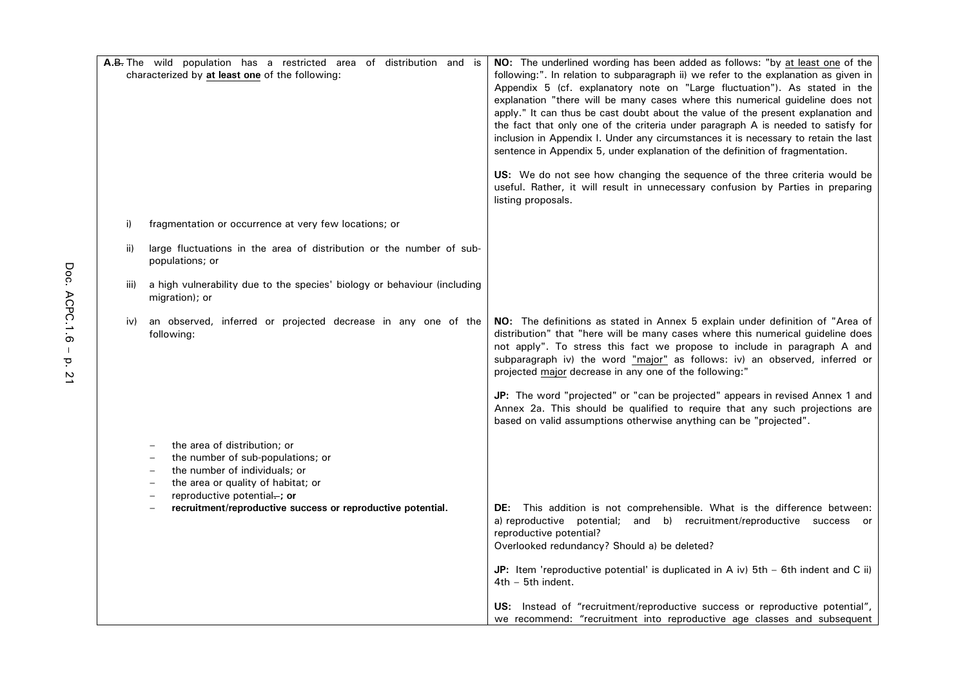| A.B. The wild population has a restricted area of distribution and is<br>characterized by at least one of the following: |                                                                                                                                                                         | NO: The underlined wording has been added as follows: "by at least one of the<br>following:". In relation to subparagraph ii) we refer to the explanation as given in<br>Appendix 5 (cf. explanatory note on "Large fluctuation"). As stated in the<br>explanation "there will be many cases where this numerical guideline does not<br>apply." It can thus be cast doubt about the value of the present explanation and<br>the fact that only one of the criteria under paragraph A is needed to satisfy for<br>inclusion in Appendix I. Under any circumstances it is necessary to retain the last<br>sentence in Appendix 5, under explanation of the definition of fragmentation. |
|--------------------------------------------------------------------------------------------------------------------------|-------------------------------------------------------------------------------------------------------------------------------------------------------------------------|---------------------------------------------------------------------------------------------------------------------------------------------------------------------------------------------------------------------------------------------------------------------------------------------------------------------------------------------------------------------------------------------------------------------------------------------------------------------------------------------------------------------------------------------------------------------------------------------------------------------------------------------------------------------------------------|
|                                                                                                                          |                                                                                                                                                                         | US: We do not see how changing the sequence of the three criteria would be<br>useful. Rather, it will result in unnecessary confusion by Parties in preparing<br>listing proposals.                                                                                                                                                                                                                                                                                                                                                                                                                                                                                                   |
| i)                                                                                                                       | fragmentation or occurrence at very few locations; or                                                                                                                   |                                                                                                                                                                                                                                                                                                                                                                                                                                                                                                                                                                                                                                                                                       |
| ii)                                                                                                                      | large fluctuations in the area of distribution or the number of sub-<br>populations; or                                                                                 |                                                                                                                                                                                                                                                                                                                                                                                                                                                                                                                                                                                                                                                                                       |
| iii)                                                                                                                     | a high vulnerability due to the species' biology or behaviour (including<br>migration); or                                                                              |                                                                                                                                                                                                                                                                                                                                                                                                                                                                                                                                                                                                                                                                                       |
| iv)                                                                                                                      | an observed, inferred or projected decrease in any one of the<br>following:                                                                                             | NO: The definitions as stated in Annex 5 explain under definition of "Area of<br>distribution" that "here will be many cases where this numerical guideline does<br>not apply". To stress this fact we propose to include in paragraph A and<br>subparagraph iv) the word "major" as follows: iv) an observed, inferred or<br>projected major decrease in any one of the following:"                                                                                                                                                                                                                                                                                                  |
|                                                                                                                          |                                                                                                                                                                         | JP: The word "projected" or "can be projected" appears in revised Annex 1 and<br>Annex 2a. This should be qualified to require that any such projections are<br>based on valid assumptions otherwise anything can be "projected".                                                                                                                                                                                                                                                                                                                                                                                                                                                     |
|                                                                                                                          | the area of distribution; or<br>the number of sub-populations; or<br>the number of individuals; or<br>the area or quality of habitat; or<br>reproductive potential-; or |                                                                                                                                                                                                                                                                                                                                                                                                                                                                                                                                                                                                                                                                                       |
|                                                                                                                          | recruitment/reproductive success or reproductive potential.                                                                                                             | <b>DE:</b> This addition is not comprehensible. What is the difference between:<br>a) reproductive potential; and b) recruitment/reproductive success or<br>reproductive potential?<br>Overlooked redundancy? Should a) be deleted?                                                                                                                                                                                                                                                                                                                                                                                                                                                   |
|                                                                                                                          |                                                                                                                                                                         | JP: Item 'reproductive potential' is duplicated in A iv) $5th - 6th$ indent and C ii)<br>$4th - 5th$ indent.                                                                                                                                                                                                                                                                                                                                                                                                                                                                                                                                                                          |
|                                                                                                                          |                                                                                                                                                                         | US: Instead of "recruitment/reproductive success or reproductive potential",<br>we recommend: "recruitment into reproductive age classes and subsequent                                                                                                                                                                                                                                                                                                                                                                                                                                                                                                                               |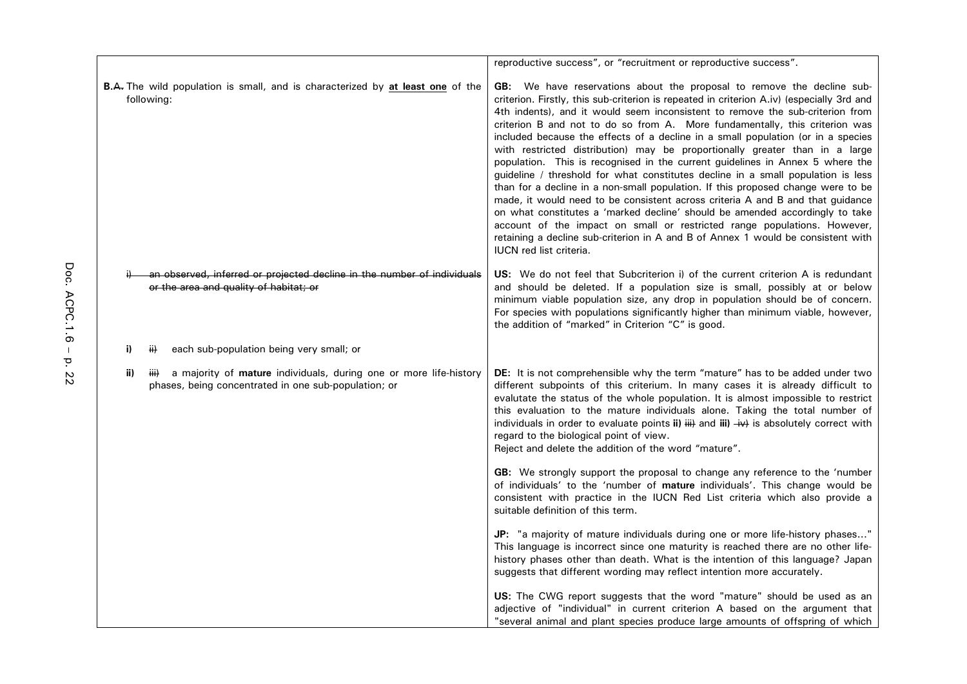|     |                                                                                                                                   | reproductive success", or "recruitment or reproductive success".                                                                                                                                                                                                                                                                                                                                                                                                                                                                                                                                                                                                                                                                                                                                                                                                                                                                                                                                                                                                                                                                           |
|-----|-----------------------------------------------------------------------------------------------------------------------------------|--------------------------------------------------------------------------------------------------------------------------------------------------------------------------------------------------------------------------------------------------------------------------------------------------------------------------------------------------------------------------------------------------------------------------------------------------------------------------------------------------------------------------------------------------------------------------------------------------------------------------------------------------------------------------------------------------------------------------------------------------------------------------------------------------------------------------------------------------------------------------------------------------------------------------------------------------------------------------------------------------------------------------------------------------------------------------------------------------------------------------------------------|
|     | <b>B.A.</b> The wild population is small, and is characterized by at least one of the<br>following:                               | <b>GB:</b> We have reservations about the proposal to remove the decline sub-<br>criterion. Firstly, this sub-criterion is repeated in criterion A.iv) (especially 3rd and<br>4th indents), and it would seem inconsistent to remove the sub-criterion from<br>criterion B and not to do so from A. More fundamentally, this criterion was<br>included because the effects of a decline in a small population (or in a species<br>with restricted distribution) may be proportionally greater than in a large<br>population. This is recognised in the current guidelines in Annex 5 where the<br>guideline / threshold for what constitutes decline in a small population is less<br>than for a decline in a non-small population. If this proposed change were to be<br>made, it would need to be consistent across criteria A and B and that guidance<br>on what constitutes a 'marked decline' should be amended accordingly to take<br>account of the impact on small or restricted range populations. However,<br>retaining a decline sub-criterion in A and B of Annex 1 would be consistent with<br><b>IUCN</b> red list criteria. |
|     | an observed, inferred or projected decline in the number of individuals<br>or the area and quality of habitat; or                 | <b>US:</b> We do not feel that Subcriterion i) of the current criterion A is redundant<br>and should be deleted. If a population size is small, possibly at or below<br>minimum viable population size, any drop in population should be of concern.<br>For species with populations significantly higher than minimum viable, however,<br>the addition of "marked" in Criterion "C" is good.                                                                                                                                                                                                                                                                                                                                                                                                                                                                                                                                                                                                                                                                                                                                              |
| i)  | each sub-population being very small; or<br>$\ddot{H}$                                                                            |                                                                                                                                                                                                                                                                                                                                                                                                                                                                                                                                                                                                                                                                                                                                                                                                                                                                                                                                                                                                                                                                                                                                            |
| ii) | a majority of mature individuals, during one or more life-history<br>iii)<br>phases, being concentrated in one sub-population; or | DE: It is not comprehensible why the term "mature" has to be added under two<br>different subpoints of this criterium. In many cases it is already difficult to<br>evalutate the status of the whole population. It is almost impossible to restrict<br>this evaluation to the mature individuals alone. Taking the total number of<br>individuals in order to evaluate points ii) $\frac{1}{2}$ and iii) $\frac{1}{2}$ is absolutely correct with<br>regard to the biological point of view.<br>Reject and delete the addition of the word "mature".                                                                                                                                                                                                                                                                                                                                                                                                                                                                                                                                                                                      |
|     |                                                                                                                                   | <b>GB:</b> We strongly support the proposal to change any reference to the 'number<br>of individuals' to the 'number of mature individuals'. This change would be<br>consistent with practice in the IUCN Red List criteria which also provide a<br>suitable definition of this term.                                                                                                                                                                                                                                                                                                                                                                                                                                                                                                                                                                                                                                                                                                                                                                                                                                                      |
|     |                                                                                                                                   | <b>JP:</b> "a majority of mature individuals during one or more life-history phases"<br>This language is incorrect since one maturity is reached there are no other life-<br>history phases other than death. What is the intention of this language? Japan<br>suggests that different wording may reflect intention more accurately.                                                                                                                                                                                                                                                                                                                                                                                                                                                                                                                                                                                                                                                                                                                                                                                                      |
|     |                                                                                                                                   | US: The CWG report suggests that the word "mature" should be used as an<br>adjective of "individual" in current criterion A based on the argument that<br>"several animal and plant species produce large amounts of offspring of which                                                                                                                                                                                                                                                                                                                                                                                                                                                                                                                                                                                                                                                                                                                                                                                                                                                                                                    |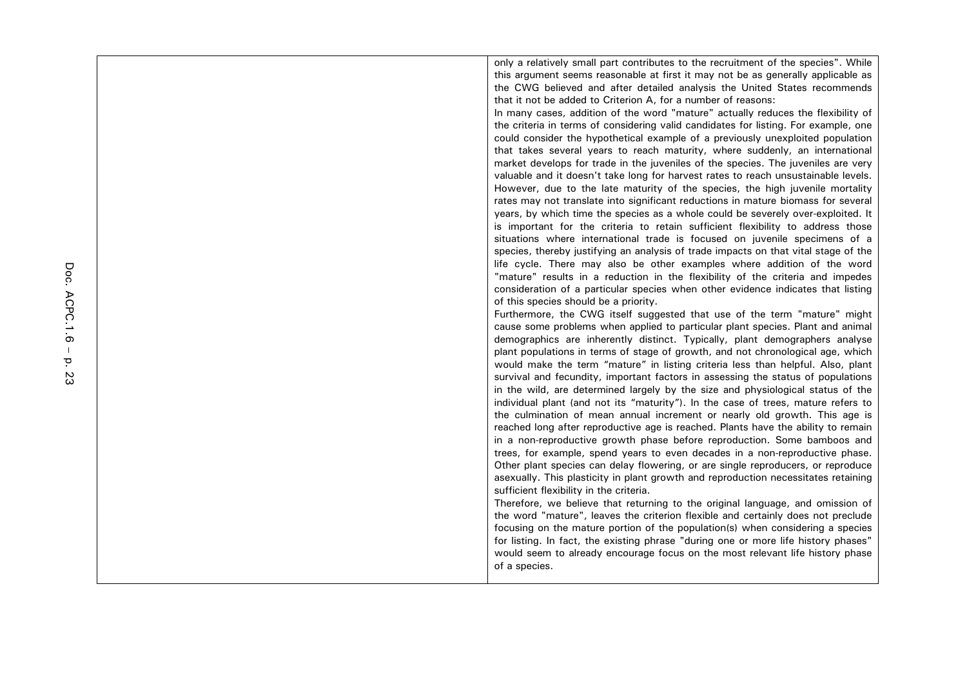only a relatively small part contributes to the recruitment of the species". While this argument seems reasonable at first it may not be as generally applicable as the CWG believed and after detailed analysis the United States recommends that it not be added to Criterion A, for a number of reasons:

In many cases, addition of the word "mature" actually reduces the flexibility of the criteria in terms of considering valid candidates for listing. For example, one could consider the hypothetical example of a previously unexploited population that takes several years to reach maturity, where suddenly, an international market develops for trade in the juveniles of the species. The juveniles are very valuable and it doesn't take long for harvest rates to reach unsustainable levels. However, due to the late maturity of the species, the high juvenile mortality rates may not translate into significant reductions in mature biomass for several years, by which time the species as a whole could be severely over-exploited. It is important for the criteria to retain sufficient flexibility to address those situations where international trade is focused on juvenile specimens of a species, thereby justifying an analysis of trade impacts on that vital stage of the life cycle. There may also be other examples where addition of the word "mature" results in a reduction in the flexibility of the criteria and impedes consideration of a particular species when other evidence indicates that listing of this species should be a priority.

Furthermore, the CWG itself suggested that use of the term "mature" might cause some problems when applied to particular plant species. Plant and animal demographics are inherently distinct. Typically, plant demographers analyse plant populations in terms of stage of growth, and not chronological age, which would make the term "mature" in listing criteria less than helpful. Also, plant survival and fecundity, important factors in assessing the status of populations in the wild, are determined largely by the size and physiological status of the individual plant (and not its "maturity"). In the case of trees, mature refers to the culmination of mean annual increment or nearly old growth. This age is reached long after reproductive age is reached. Plants have the ability to remain in a non-reproductive growth phase before reproduction. Some bamboos and trees, for example, spend years to even decades in a non-reproductive phase. Other plant species can delay flowering, or are single reproducers, or reproduce asexually. This plasticity in plant growth and reproduction necessitates retaining sufficient flexibility in the criteria.

Therefore, we believe that returning to the original language, and omission of the word "mature", leaves the criterion flexible and certainly does not preclude focusing on the mature portion of the population(s) when considering a species for listing. In fact, the existing phrase "during one or more life history phases" would seem to already encourage focus on the most relevant life history phase of a species.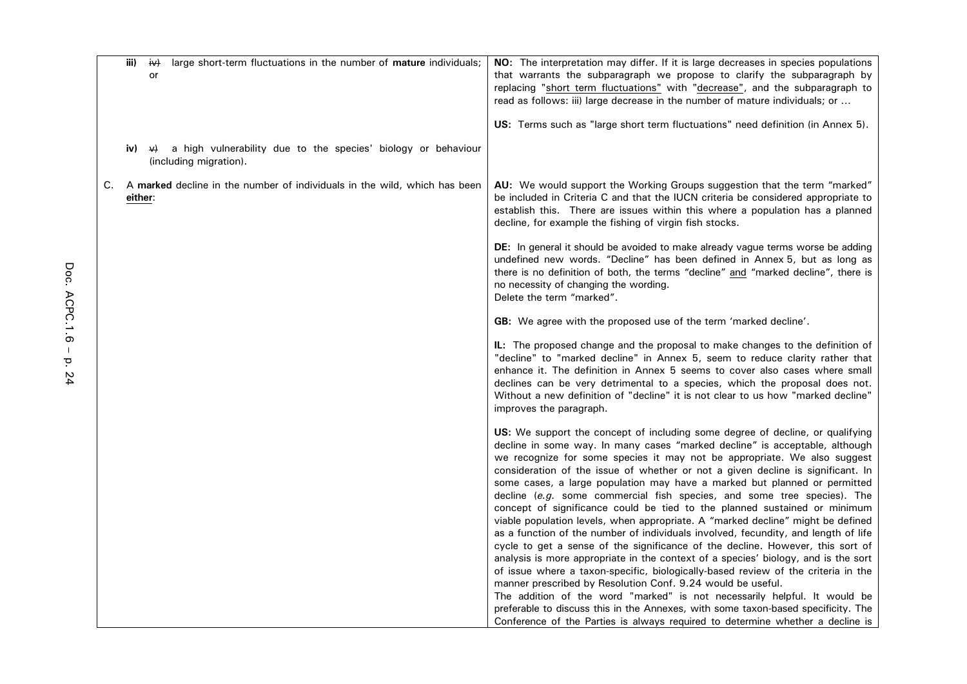|    | iii)    | iv)<br>large short-term fluctuations in the number of <b>mature</b> individuals;<br>or               | NO: The interpretation may differ. If it is large decreases in species populations<br>that warrants the subparagraph we propose to clarify the subparagraph by<br>replacing "short term fluctuations" with "decrease", and the subparagraph to<br>read as follows: iii) large decrease in the number of mature individuals; or<br>US: Terms such as "large short term fluctuations" need definition (in Annex 5).                                                                                                                                                                                                                                                                                                                                                                                                                                                                                                                                                                                                                                                                                                                                                                                                                                                                                                         |
|----|---------|------------------------------------------------------------------------------------------------------|---------------------------------------------------------------------------------------------------------------------------------------------------------------------------------------------------------------------------------------------------------------------------------------------------------------------------------------------------------------------------------------------------------------------------------------------------------------------------------------------------------------------------------------------------------------------------------------------------------------------------------------------------------------------------------------------------------------------------------------------------------------------------------------------------------------------------------------------------------------------------------------------------------------------------------------------------------------------------------------------------------------------------------------------------------------------------------------------------------------------------------------------------------------------------------------------------------------------------------------------------------------------------------------------------------------------------|
|    | iv)     | a high vulnerability due to the species' biology or behaviour<br>$\forall$<br>(including migration). |                                                                                                                                                                                                                                                                                                                                                                                                                                                                                                                                                                                                                                                                                                                                                                                                                                                                                                                                                                                                                                                                                                                                                                                                                                                                                                                           |
| С. | either: | A marked decline in the number of individuals in the wild, which has been                            | AU: We would support the Working Groups suggestion that the term "marked"<br>be included in Criteria C and that the IUCN criteria be considered appropriate to<br>establish this. There are issues within this where a population has a planned<br>decline, for example the fishing of virgin fish stocks.                                                                                                                                                                                                                                                                                                                                                                                                                                                                                                                                                                                                                                                                                                                                                                                                                                                                                                                                                                                                                |
|    |         |                                                                                                      | <b>DE:</b> In general it should be avoided to make already vague terms worse be adding<br>undefined new words. "Decline" has been defined in Annex 5, but as long as<br>there is no definition of both, the terms "decline" and "marked decline", there is<br>no necessity of changing the wording.<br>Delete the term "marked".                                                                                                                                                                                                                                                                                                                                                                                                                                                                                                                                                                                                                                                                                                                                                                                                                                                                                                                                                                                          |
|    |         |                                                                                                      | <b>GB:</b> We agree with the proposed use of the term 'marked decline'.                                                                                                                                                                                                                                                                                                                                                                                                                                                                                                                                                                                                                                                                                                                                                                                                                                                                                                                                                                                                                                                                                                                                                                                                                                                   |
|    |         |                                                                                                      | IL: The proposed change and the proposal to make changes to the definition of<br>"decline" to "marked decline" in Annex 5, seem to reduce clarity rather that<br>enhance it. The definition in Annex 5 seems to cover also cases where small<br>declines can be very detrimental to a species, which the proposal does not.<br>Without a new definition of "decline" it is not clear to us how "marked decline"<br>improves the paragraph.                                                                                                                                                                                                                                                                                                                                                                                                                                                                                                                                                                                                                                                                                                                                                                                                                                                                                |
|    |         |                                                                                                      | US: We support the concept of including some degree of decline, or qualifying<br>decline in some way. In many cases "marked decline" is acceptable, although<br>we recognize for some species it may not be appropriate. We also suggest<br>consideration of the issue of whether or not a given decline is significant. In<br>some cases, a large population may have a marked but planned or permitted<br>decline (e.g. some commercial fish species, and some tree species). The<br>concept of significance could be tied to the planned sustained or minimum<br>viable population levels, when appropriate. A "marked decline" might be defined<br>as a function of the number of individuals involved, fecundity, and length of life<br>cycle to get a sense of the significance of the decline. However, this sort of<br>analysis is more appropriate in the context of a species' biology, and is the sort<br>of issue where a taxon-specific, biologically-based review of the criteria in the<br>manner prescribed by Resolution Conf. 9.24 would be useful.<br>The addition of the word "marked" is not necessarily helpful. It would be<br>preferable to discuss this in the Annexes, with some taxon-based specificity. The<br>Conference of the Parties is always required to determine whether a decline is |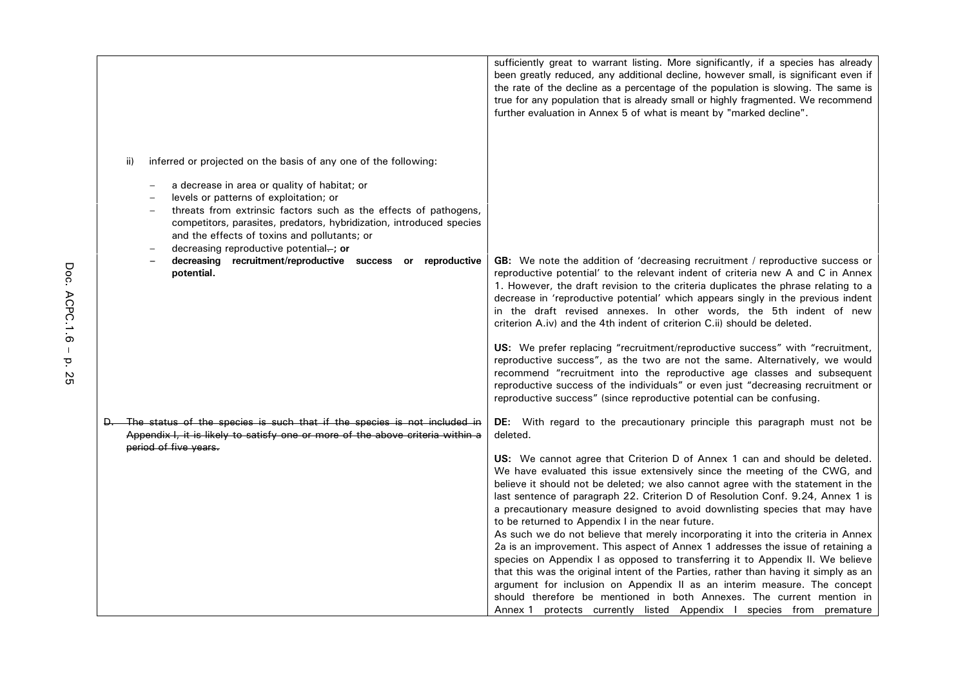|                                                                                                                                                                                                                                                                                                                              | sufficiently great to warrant listing. More significantly, if a species has already<br>been greatly reduced, any additional decline, however small, is significant even if<br>the rate of the decline as a percentage of the population is slowing. The same is<br>true for any population that is already small or highly fragmented. We recommend<br>further evaluation in Annex 5 of what is meant by "marked decline".                                                                                                                                                                                                                                                                                                                                                                                                                                                                                                                                                                                                                       |
|------------------------------------------------------------------------------------------------------------------------------------------------------------------------------------------------------------------------------------------------------------------------------------------------------------------------------|--------------------------------------------------------------------------------------------------------------------------------------------------------------------------------------------------------------------------------------------------------------------------------------------------------------------------------------------------------------------------------------------------------------------------------------------------------------------------------------------------------------------------------------------------------------------------------------------------------------------------------------------------------------------------------------------------------------------------------------------------------------------------------------------------------------------------------------------------------------------------------------------------------------------------------------------------------------------------------------------------------------------------------------------------|
|                                                                                                                                                                                                                                                                                                                              |                                                                                                                                                                                                                                                                                                                                                                                                                                                                                                                                                                                                                                                                                                                                                                                                                                                                                                                                                                                                                                                  |
| ii)<br>inferred or projected on the basis of any one of the following:                                                                                                                                                                                                                                                       |                                                                                                                                                                                                                                                                                                                                                                                                                                                                                                                                                                                                                                                                                                                                                                                                                                                                                                                                                                                                                                                  |
| a decrease in area or quality of habitat; or<br>levels or patterns of exploitation; or<br>threats from extrinsic factors such as the effects of pathogens,<br>competitors, parasites, predators, hybridization, introduced species<br>and the effects of toxins and pollutants; or<br>decreasing reproductive potential-; or |                                                                                                                                                                                                                                                                                                                                                                                                                                                                                                                                                                                                                                                                                                                                                                                                                                                                                                                                                                                                                                                  |
| decreasing recruitment/reproductive success or reproductive<br>potential.                                                                                                                                                                                                                                                    | GB: We note the addition of 'decreasing recruitment / reproductive success or<br>reproductive potential' to the relevant indent of criteria new A and C in Annex<br>1. However, the draft revision to the criteria duplicates the phrase relating to a<br>decrease in 'reproductive potential' which appears singly in the previous indent<br>in the draft revised annexes. In other words, the 5th indent of new<br>criterion A.iv) and the 4th indent of criterion C.ii) should be deleted.                                                                                                                                                                                                                                                                                                                                                                                                                                                                                                                                                    |
|                                                                                                                                                                                                                                                                                                                              | US: We prefer replacing "recruitment/reproductive success" with "recruitment,<br>reproductive success", as the two are not the same. Alternatively, we would<br>recommend "recruitment into the reproductive age classes and subsequent<br>reproductive success of the individuals" or even just "decreasing recruitment or<br>reproductive success" (since reproductive potential can be confusing.                                                                                                                                                                                                                                                                                                                                                                                                                                                                                                                                                                                                                                             |
| D. The status of the species is such that if the species is not included in<br>Appendix I, it is likely to satisfy one or more of the above criteria within a<br>period of five years.                                                                                                                                       | DE: With regard to the precautionary principle this paragraph must not be<br>deleted.                                                                                                                                                                                                                                                                                                                                                                                                                                                                                                                                                                                                                                                                                                                                                                                                                                                                                                                                                            |
|                                                                                                                                                                                                                                                                                                                              | US: We cannot agree that Criterion D of Annex 1 can and should be deleted.<br>We have evaluated this issue extensively since the meeting of the CWG, and<br>believe it should not be deleted; we also cannot agree with the statement in the<br>last sentence of paragraph 22. Criterion D of Resolution Conf. 9.24, Annex 1 is<br>a precautionary measure designed to avoid downlisting species that may have<br>to be returned to Appendix I in the near future.<br>As such we do not believe that merely incorporating it into the criteria in Annex<br>2a is an improvement. This aspect of Annex 1 addresses the issue of retaining a<br>species on Appendix I as opposed to transferring it to Appendix II. We believe<br>that this was the original intent of the Parties, rather than having it simply as an<br>argument for inclusion on Appendix II as an interim measure. The concept<br>should therefore be mentioned in both Annexes. The current mention in<br>Annex 1 protects currently listed Appendix I species from premature |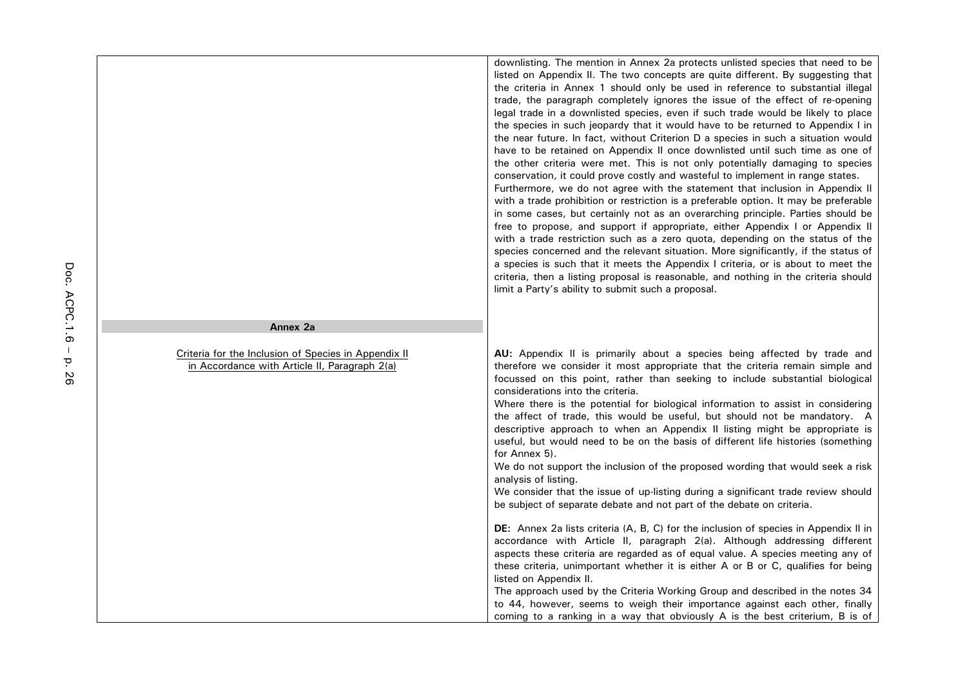|                                                                                                       | downlisting. The mention in Annex 2a protects unlisted species that need to be<br>listed on Appendix II. The two concepts are quite different. By suggesting that<br>the criteria in Annex 1 should only be used in reference to substantial illegal<br>trade, the paragraph completely ignores the issue of the effect of re-opening<br>legal trade in a downlisted species, even if such trade would be likely to place<br>the species in such jeopardy that it would have to be returned to Appendix I in<br>the near future. In fact, without Criterion D a species in such a situation would<br>have to be retained on Appendix II once downlisted until such time as one of<br>the other criteria were met. This is not only potentially damaging to species<br>conservation, it could prove costly and wasteful to implement in range states.<br>Furthermore, we do not agree with the statement that inclusion in Appendix II<br>with a trade prohibition or restriction is a preferable option. It may be preferable<br>in some cases, but certainly not as an overarching principle. Parties should be<br>free to propose, and support if appropriate, either Appendix I or Appendix II<br>with a trade restriction such as a zero quota, depending on the status of the<br>species concerned and the relevant situation. More significantly, if the status of<br>a species is such that it meets the Appendix I criteria, or is about to meet the<br>criteria, then a listing proposal is reasonable, and nothing in the criteria should<br>limit a Party's ability to submit such a proposal. |
|-------------------------------------------------------------------------------------------------------|-----------------------------------------------------------------------------------------------------------------------------------------------------------------------------------------------------------------------------------------------------------------------------------------------------------------------------------------------------------------------------------------------------------------------------------------------------------------------------------------------------------------------------------------------------------------------------------------------------------------------------------------------------------------------------------------------------------------------------------------------------------------------------------------------------------------------------------------------------------------------------------------------------------------------------------------------------------------------------------------------------------------------------------------------------------------------------------------------------------------------------------------------------------------------------------------------------------------------------------------------------------------------------------------------------------------------------------------------------------------------------------------------------------------------------------------------------------------------------------------------------------------------------------------------------------------------------------------------------------|
| Annex 2a                                                                                              |                                                                                                                                                                                                                                                                                                                                                                                                                                                                                                                                                                                                                                                                                                                                                                                                                                                                                                                                                                                                                                                                                                                                                                                                                                                                                                                                                                                                                                                                                                                                                                                                           |
| Criteria for the Inclusion of Species in Appendix II<br>in Accordance with Article II, Paragraph 2(a) | AU: Appendix II is primarily about a species being affected by trade and<br>therefore we consider it most appropriate that the criteria remain simple and<br>focussed on this point, rather than seeking to include substantial biological<br>considerations into the criteria.<br>Where there is the potential for biological information to assist in considering<br>the affect of trade, this would be useful, but should not be mandatory. A<br>descriptive approach to when an Appendix II listing might be appropriate is<br>useful, but would need to be on the basis of different life histories (something<br>for Annex 5).<br>We do not support the inclusion of the proposed wording that would seek a risk<br>analysis of listing.<br>We consider that the issue of up-listing during a significant trade review should<br>be subject of separate debate and not part of the debate on criteria.                                                                                                                                                                                                                                                                                                                                                                                                                                                                                                                                                                                                                                                                                              |
|                                                                                                       | <b>DE:</b> Annex 2a lists criteria (A, B, C) for the inclusion of species in Appendix II in<br>accordance with Article II, paragraph 2(a). Although addressing different<br>aspects these criteria are regarded as of equal value. A species meeting any of<br>these criteria, unimportant whether it is either A or B or C, qualifies for being<br>listed on Appendix II.<br>The approach used by the Criteria Working Group and described in the notes 34<br>to 44, however, seems to weigh their importance against each other, finally                                                                                                                                                                                                                                                                                                                                                                                                                                                                                                                                                                                                                                                                                                                                                                                                                                                                                                                                                                                                                                                                |

coming to a ranking in a way that obviously A is the best criterium, B is of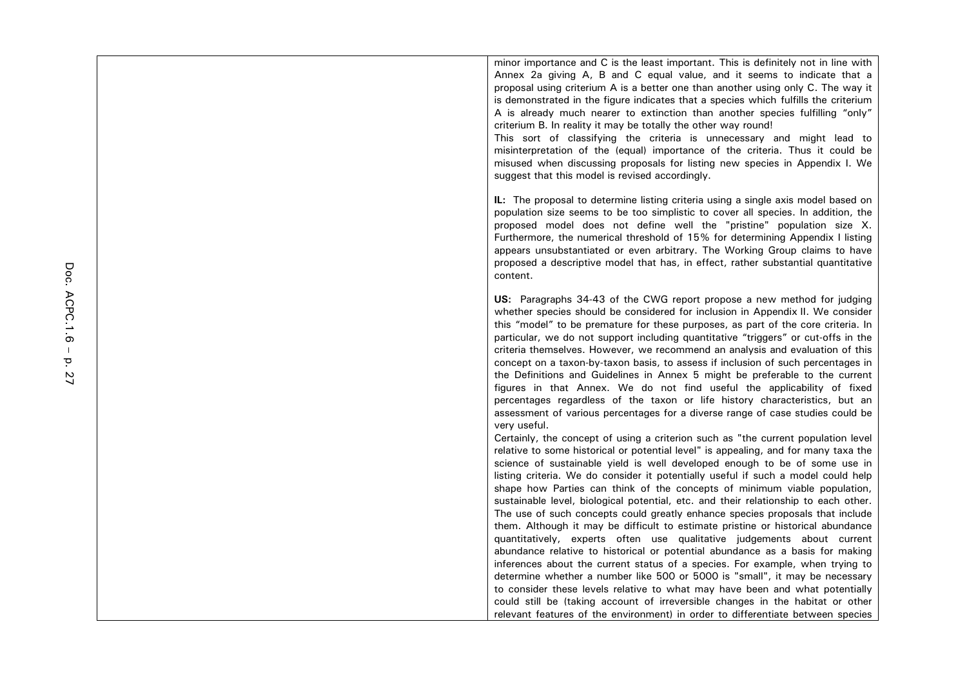minor importance and C is the least important. This is definitely not in line with Annex 2a giving A, B and C equal value, and it seems to indicate that a proposal using criterium A is a better one than another using only C. The way it is demonstrated in the figure indicates that a species which fulfills the criterium A is already much nearer to extinction than another species fulfilling "only" criterium B. In reality it may be totally the other way round!

This sort of classifying the criteria is unnecessary and might lead to misinterpretation of the (equal) importance of the criteria. Thus it could be misused when discussing proposals for listing new species in Appendix I. We suggest that this model is revised accordingly.

**IL:** The proposal to determine listing criteria using a single axis model based on population size seems to be too simplistic to cover all species. In addition, the proposed model does not define well the "pristine" population size X. Furthermore, the numerical threshold of 15% for determining Appendix I listing appears unsubstantiated or even arbitrary. The Working Group claims to have proposed a descriptive model that has, in effect, rather substantial quantitative content.

**US:** Paragraphs 34-43 of the CWG report propose a new method for judging whether species should be considered for inclusion in Appendix II. We consider this "model" to be premature for these purposes, as part of the core criteria. In particular, we do not support including quantitative "triggers" or cut-offs in the criteria themselves. However, we recommend an analysis and evaluation of this concept on a taxon-by-taxon basis, to assess if inclusion of such percentages in the Definitions and Guidelines in Annex 5 might be preferable to the current figures in that Annex. We do not find useful the applicability of fixed percentages regardless of the taxon or life history characteristics, but an assessment of various percentages for a diverse range of case studies could be very useful.

Certainly, the concept of using a criterion such as "the current population level relative to some historical or potential level" is appealing, and for many taxa the science of sustainable yield is well developed enough to be of some use in listing criteria. We do consider it potentially useful if such a model could help shape how Parties can think of the concepts of minimum viable population, sustainable level, biological potential, etc. and their relationship to each other. The use of such concepts could greatly enhance species proposals that include them. Although it may be difficult to estimate pristine or historical abundance quantitatively, experts often use qualitative judgements about current abundance relative to historical or potential abundance as a basis for making inferences about the current status of a species. For example, when trying to determine whether a number like 500 or 5000 is "small", it may be necessary to consider these levels relative to what may have been and what potentially could still be (taking account of irreversible changes in the habitat or other relevant features of the environment) in order to differentiate between species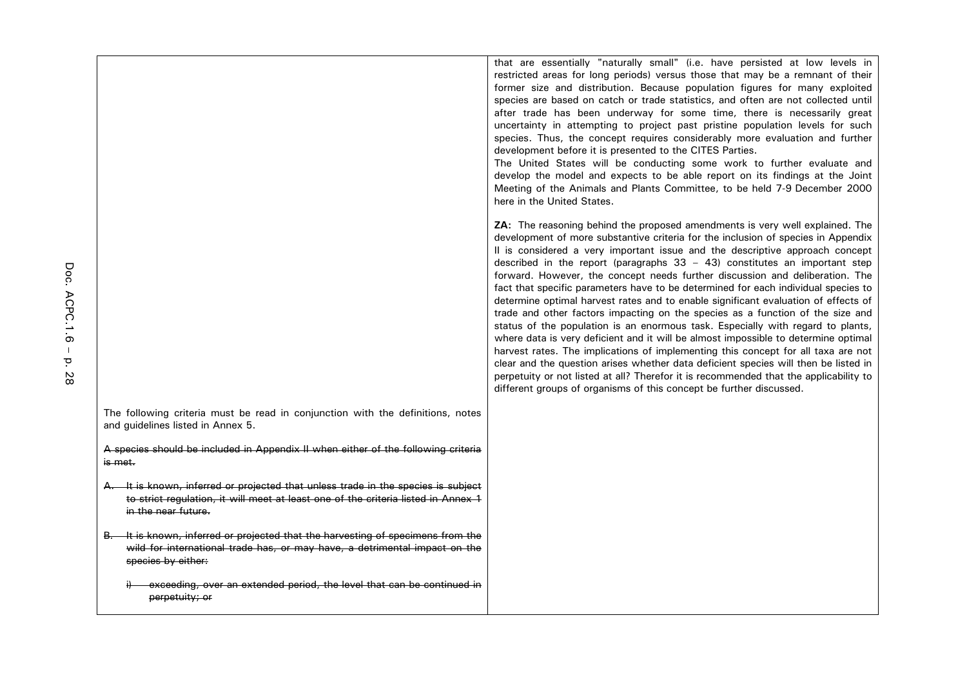The following criteria must be read in conjunction with the definitions, notes and guidelines listed in Annex 5.

A species should be included in Appendix II when either of the following criteria is met.

- A. It is known, inferred or projected that unless trade in the species is subject to strict regulation, it will meet at least one of the criteria listed in Annex 1 in the near future.
- B. It is known, inferred or projected that the harvesting of specimens from the wild for international trade has, or may have, a detrimental impact on the species by either:
	- exceeding, over an extended period, the level that can be continued in perpetuity; or

that are essentially "naturally small" (i.e. have persisted at low levels in restricted areas for long periods) versus those that may be a remnant of their former size and distribution. Because population figures for many exploited species are based on catch or trade statistics, and often are not collected until after trade has been underway for some time, there is necessarily great uncertainty in attempting to project past pristine population levels for such species. Thus, the concept requires considerably more evaluation and further development before it is presented to the CITES Parties.

The United States will be conducting some work to further evaluate and develop the model and expects to be able report on its findings at the Joint Meeting of the Animals and Plants Committee, to be held 7-9 December 2000 here in the United States.

**ZA:** The reasoning behind the proposed amendments is very well explained. The development of more substantive criteria for the inclusion of species in Appendix II is considered a very important issue and the descriptive approach concept described in the report (paragraphs  $33 - 43$ ) constitutes an important step forward. However, the concept needs further discussion and deliberation. The fact that specific parameters have to be determined for each individual species to determine optimal harvest rates and to enable significant evaluation of effects of trade and other factors impacting on the species as a function of the size and status of the population is an enormous task. Especially with regard to plants, where data is very deficient and it will be almost impossible to determine optimal harvest rates. The implications of implementing this concept for all taxa are not clear and the question arises whether data deficient species will then be listed in perpetuity or not listed at all? Therefor it is recommended that the applicability to different groups of organisms of this concept be further discussed.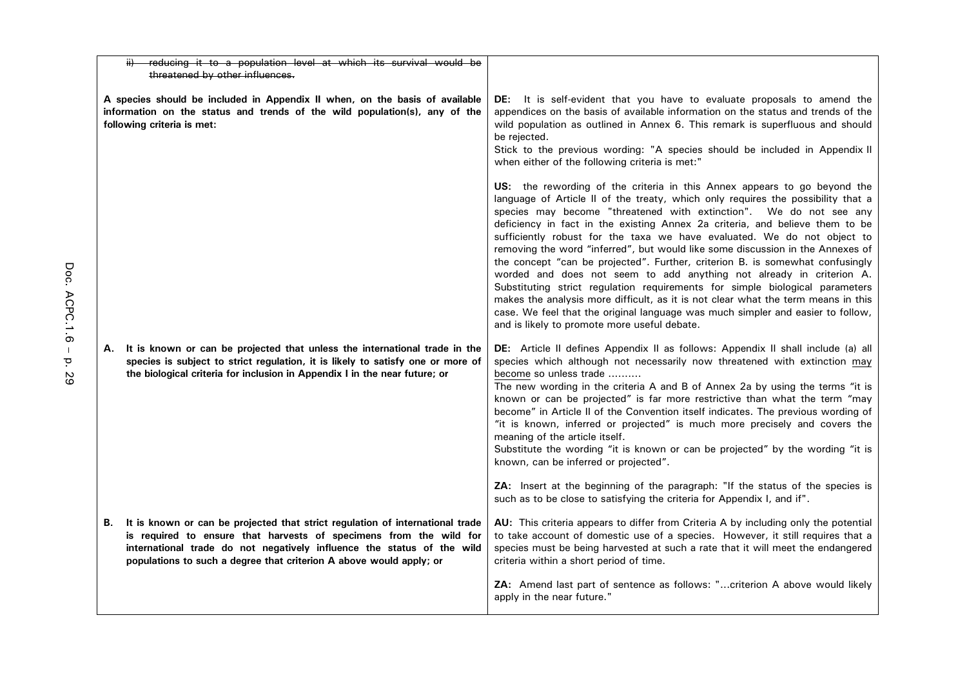| ii) reducing it to a population level at which its survival would be<br>threatened by other influences.                                                                                                                                                                                                    |                                                                                                                                                                                                                                                                                                                                                                                                                                                                                                                                                                                                                                                                                                                                                                                                                                                                                                                                                  |
|------------------------------------------------------------------------------------------------------------------------------------------------------------------------------------------------------------------------------------------------------------------------------------------------------------|--------------------------------------------------------------------------------------------------------------------------------------------------------------------------------------------------------------------------------------------------------------------------------------------------------------------------------------------------------------------------------------------------------------------------------------------------------------------------------------------------------------------------------------------------------------------------------------------------------------------------------------------------------------------------------------------------------------------------------------------------------------------------------------------------------------------------------------------------------------------------------------------------------------------------------------------------|
| A species should be included in Appendix II when, on the basis of available<br>information on the status and trends of the wild population(s), any of the<br>following criteria is met:                                                                                                                    | DE: It is self-evident that you have to evaluate proposals to amend the<br>appendices on the basis of available information on the status and trends of the<br>wild population as outlined in Annex 6. This remark is superfluous and should<br>be rejected.<br>Stick to the previous wording: "A species should be included in Appendix II<br>when either of the following criteria is met:"                                                                                                                                                                                                                                                                                                                                                                                                                                                                                                                                                    |
|                                                                                                                                                                                                                                                                                                            | US: the rewording of the criteria in this Annex appears to go beyond the<br>language of Article II of the treaty, which only requires the possibility that a<br>species may become "threatened with extinction". We do not see any<br>deficiency in fact in the existing Annex 2a criteria, and believe them to be<br>sufficiently robust for the taxa we have evaluated. We do not object to<br>removing the word "inferred", but would like some discussion in the Annexes of<br>the concept "can be projected". Further, criterion B. is somewhat confusingly<br>worded and does not seem to add anything not already in criterion A.<br>Substituting strict regulation requirements for simple biological parameters<br>makes the analysis more difficult, as it is not clear what the term means in this<br>case. We feel that the original language was much simpler and easier to follow,<br>and is likely to promote more useful debate. |
| It is known or can be projected that unless the international trade in the<br>А.<br>species is subject to strict regulation, it is likely to satisfy one or more of<br>the biological criteria for inclusion in Appendix I in the near future; or                                                          | <b>DE:</b> Article II defines Appendix II as follows: Appendix II shall include (a) all<br>species which although not necessarily now threatened with extinction may<br>become so unless trade<br>The new wording in the criteria A and B of Annex 2a by using the terms "it is<br>known or can be projected" is far more restrictive than what the term "may<br>become" in Article II of the Convention itself indicates. The previous wording of<br>"it is known, inferred or projected" is much more precisely and covers the<br>meaning of the article itself.<br>Substitute the wording "it is known or can be projected" by the wording "it is<br>known, can be inferred or projected".                                                                                                                                                                                                                                                    |
|                                                                                                                                                                                                                                                                                                            | ZA: Insert at the beginning of the paragraph: "If the status of the species is<br>such as to be close to satisfying the criteria for Appendix I, and if".                                                                                                                                                                                                                                                                                                                                                                                                                                                                                                                                                                                                                                                                                                                                                                                        |
| It is known or can be projected that strict regulation of international trade<br>В.<br>is required to ensure that harvests of specimens from the wild for<br>international trade do not negatively influence the status of the wild<br>populations to such a degree that criterion A above would apply; or | AU: This criteria appears to differ from Criteria A by including only the potential<br>to take account of domestic use of a species. However, it still requires that a<br>species must be being harvested at such a rate that it will meet the endangered<br>criteria within a short period of time.                                                                                                                                                                                                                                                                                                                                                                                                                                                                                                                                                                                                                                             |
|                                                                                                                                                                                                                                                                                                            | ZA: Amend last part of sentence as follows: "criterion A above would likely<br>apply in the near future."                                                                                                                                                                                                                                                                                                                                                                                                                                                                                                                                                                                                                                                                                                                                                                                                                                        |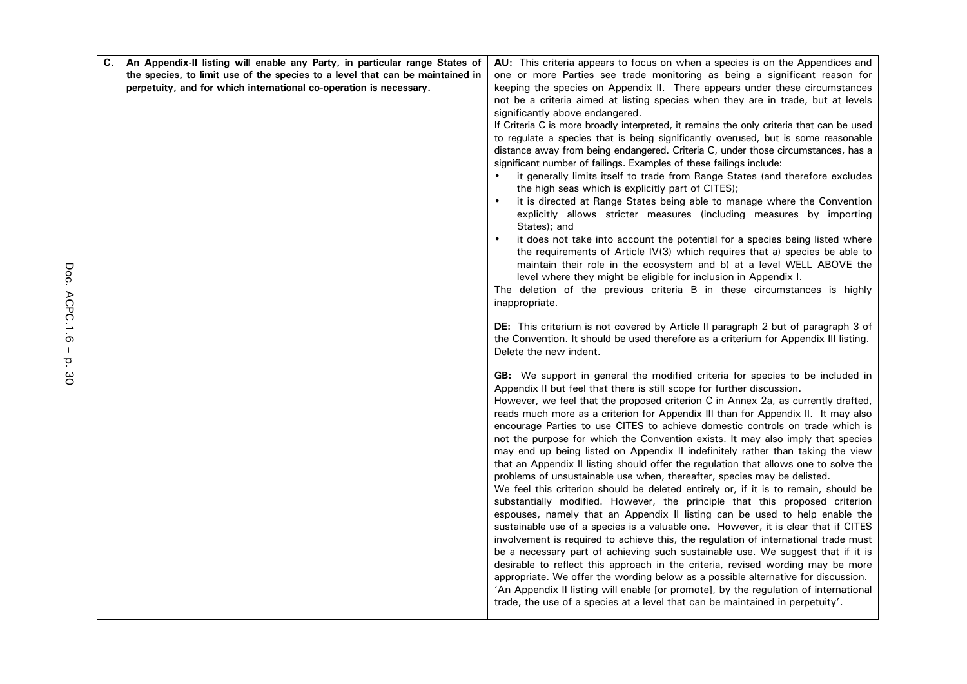| C. | An Appendix-II listing will enable any Party, in particular range States of   | <b>AU:</b> This criteria appears to focus on when a species is on the Appendices and                                                                                   |
|----|-------------------------------------------------------------------------------|------------------------------------------------------------------------------------------------------------------------------------------------------------------------|
|    | the species, to limit use of the species to a level that can be maintained in | one or more Parties see trade monitoring as being a significant reason for                                                                                             |
|    | perpetuity, and for which international co-operation is necessary.            | keeping the species on Appendix II. There appears under these circumstances                                                                                            |
|    |                                                                               | not be a criteria aimed at listing species when they are in trade, but at levels                                                                                       |
|    |                                                                               | significantly above endangered.                                                                                                                                        |
|    |                                                                               | If Criteria C is more broadly interpreted, it remains the only criteria that can be used                                                                               |
|    |                                                                               | to regulate a species that is being significantly overused, but is some reasonable                                                                                     |
|    |                                                                               | distance away from being endangered. Criteria C, under those circumstances, has a                                                                                      |
|    |                                                                               | significant number of failings. Examples of these failings include:<br>it generally limits itself to trade from Range States (and therefore excludes                   |
|    |                                                                               | the high seas which is explicitly part of CITES);                                                                                                                      |
|    |                                                                               | it is directed at Range States being able to manage where the Convention                                                                                               |
|    |                                                                               | explicitly allows stricter measures (including measures by importing<br>States); and                                                                                   |
|    |                                                                               | it does not take into account the potential for a species being listed where                                                                                           |
|    |                                                                               | the requirements of Article IV(3) which requires that a) species be able to<br>maintain their role in the ecosystem and b) at a level WELL ABOVE the                   |
|    |                                                                               | level where they might be eligible for inclusion in Appendix I.                                                                                                        |
|    |                                                                               | The deletion of the previous criteria B in these circumstances is highly                                                                                               |
|    |                                                                               | inappropriate.                                                                                                                                                         |
|    |                                                                               | DE: This criterium is not covered by Article II paragraph 2 but of paragraph 3 of                                                                                      |
|    |                                                                               | the Convention. It should be used therefore as a criterium for Appendix III listing.                                                                                   |
|    |                                                                               | Delete the new indent.                                                                                                                                                 |
|    |                                                                               | GB: We support in general the modified criteria for species to be included in                                                                                          |
|    |                                                                               | Appendix II but feel that there is still scope for further discussion.                                                                                                 |
|    |                                                                               | However, we feel that the proposed criterion C in Annex 2a, as currently drafted,                                                                                      |
|    |                                                                               | reads much more as a criterion for Appendix III than for Appendix II. It may also<br>encourage Parties to use CITES to achieve domestic controls on trade which is     |
|    |                                                                               | not the purpose for which the Convention exists. It may also imply that species                                                                                        |
|    |                                                                               | may end up being listed on Appendix II indefinitely rather than taking the view                                                                                        |
|    |                                                                               | that an Appendix II listing should offer the regulation that allows one to solve the                                                                                   |
|    |                                                                               | problems of unsustainable use when, thereafter, species may be delisted.                                                                                               |
|    |                                                                               | We feel this criterion should be deleted entirely or, if it is to remain, should be                                                                                    |
|    |                                                                               | substantially modified. However, the principle that this proposed criterion                                                                                            |
|    |                                                                               | espouses, namely that an Appendix II listing can be used to help enable the                                                                                            |
|    |                                                                               | sustainable use of a species is a valuable one. However, it is clear that if CITES                                                                                     |
|    |                                                                               | involvement is required to achieve this, the regulation of international trade must<br>be a necessary part of achieving such sustainable use. We suggest that if it is |
|    |                                                                               | desirable to reflect this approach in the criteria, revised wording may be more                                                                                        |
|    |                                                                               | appropriate. We offer the wording below as a possible alternative for discussion.                                                                                      |
|    |                                                                               | 'An Appendix II listing will enable [or promote], by the regulation of international                                                                                   |
|    |                                                                               | trade, the use of a species at a level that can be maintained in perpetuity'.                                                                                          |
|    |                                                                               |                                                                                                                                                                        |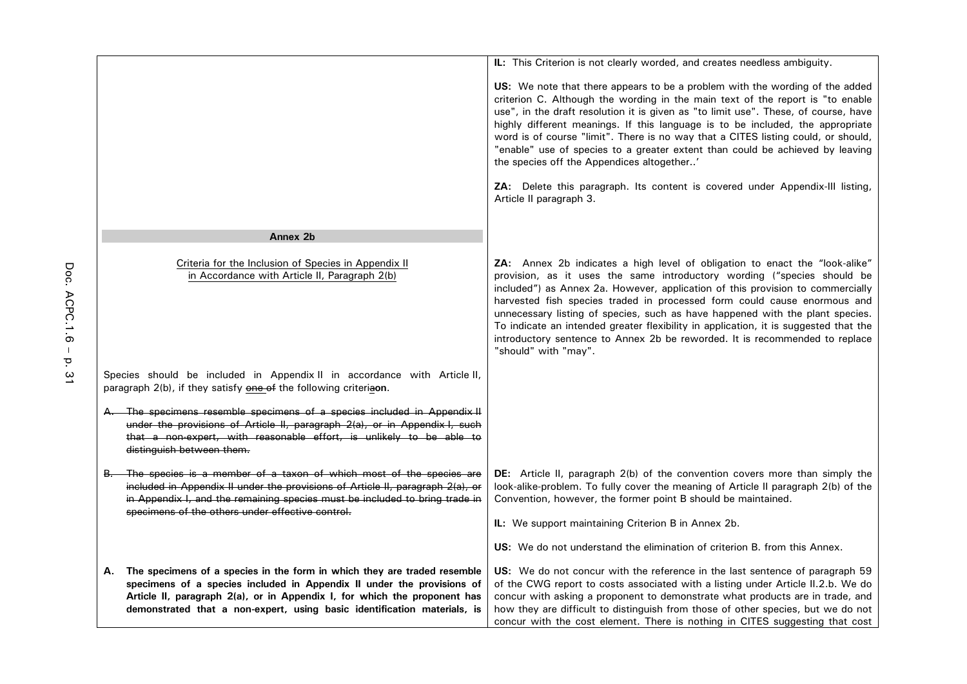|                                                                                                                                                                                                                                                                                                                   | IL: This Criterion is not clearly worded, and creates needless ambiguity.                                                                                                                                                                                                                                                                                                                                                                                                                                                                                                                            |
|-------------------------------------------------------------------------------------------------------------------------------------------------------------------------------------------------------------------------------------------------------------------------------------------------------------------|------------------------------------------------------------------------------------------------------------------------------------------------------------------------------------------------------------------------------------------------------------------------------------------------------------------------------------------------------------------------------------------------------------------------------------------------------------------------------------------------------------------------------------------------------------------------------------------------------|
|                                                                                                                                                                                                                                                                                                                   |                                                                                                                                                                                                                                                                                                                                                                                                                                                                                                                                                                                                      |
|                                                                                                                                                                                                                                                                                                                   | US: We note that there appears to be a problem with the wording of the added<br>criterion C. Although the wording in the main text of the report is "to enable<br>use", in the draft resolution it is given as "to limit use". These, of course, have<br>highly different meanings. If this language is to be included, the appropriate<br>word is of course "limit". There is no way that a CITES listing could, or should,<br>"enable" use of species to a greater extent than could be achieved by leaving<br>the species off the Appendices altogether'                                          |
|                                                                                                                                                                                                                                                                                                                   | <b>ZA:</b> Delete this paragraph. Its content is covered under Appendix-III listing,<br>Article II paragraph 3.                                                                                                                                                                                                                                                                                                                                                                                                                                                                                      |
| Annex <sub>2b</sub>                                                                                                                                                                                                                                                                                               |                                                                                                                                                                                                                                                                                                                                                                                                                                                                                                                                                                                                      |
| Criteria for the Inclusion of Species in Appendix II<br>in Accordance with Article II, Paragraph 2(b)                                                                                                                                                                                                             | ZA: Annex 2b indicates a high level of obligation to enact the "look-alike"<br>provision, as it uses the same introductory wording ("species should be<br>included") as Annex 2a. However, application of this provision to commercially<br>harvested fish species traded in processed form could cause enormous and<br>unnecessary listing of species, such as have happened with the plant species.<br>To indicate an intended greater flexibility in application, it is suggested that the<br>introductory sentence to Annex 2b be reworded. It is recommended to replace<br>"should" with "may". |
| Species should be included in Appendix II in accordance with Article II,<br>paragraph 2(b), if they satisfy one of the following criteriaon.                                                                                                                                                                      |                                                                                                                                                                                                                                                                                                                                                                                                                                                                                                                                                                                                      |
| The specimens resemble specimens of a species included in Appendix II<br>under the provisions of Article II, paragraph 2(a), or in Appendix I, such<br>that a non-expert, with reasonable effort, is unlikely to be able to<br>distinguish between them.                                                          |                                                                                                                                                                                                                                                                                                                                                                                                                                                                                                                                                                                                      |
| The species is a member of a taxon of which most of the species are<br>included in Appendix II under the provisions of Article II, paragraph 2(a), or<br>in Appendix I, and the remaining species must be included to bring trade in<br>specimens of the others under effective control.                          | DE: Article II, paragraph 2(b) of the convention covers more than simply the<br>look-alike-problem. To fully cover the meaning of Article II paragraph 2(b) of the<br>Convention, however, the former point B should be maintained.                                                                                                                                                                                                                                                                                                                                                                  |
|                                                                                                                                                                                                                                                                                                                   | IL: We support maintaining Criterion B in Annex 2b.                                                                                                                                                                                                                                                                                                                                                                                                                                                                                                                                                  |
|                                                                                                                                                                                                                                                                                                                   | US: We do not understand the elimination of criterion B. from this Annex.                                                                                                                                                                                                                                                                                                                                                                                                                                                                                                                            |
| The specimens of a species in the form in which they are traded resemble<br>А.<br>specimens of a species included in Appendix II under the provisions of<br>Article II, paragraph 2(a), or in Appendix I, for which the proponent has<br>demonstrated that a non-expert, using basic identification materials, is | US: We do not concur with the reference in the last sentence of paragraph 59<br>of the CWG report to costs associated with a listing under Article II.2.b. We do<br>concur with asking a proponent to demonstrate what products are in trade, and<br>how they are difficult to distinguish from those of other species, but we do not<br>concur with the cost element. There is nothing in CITES suggesting that cost                                                                                                                                                                                |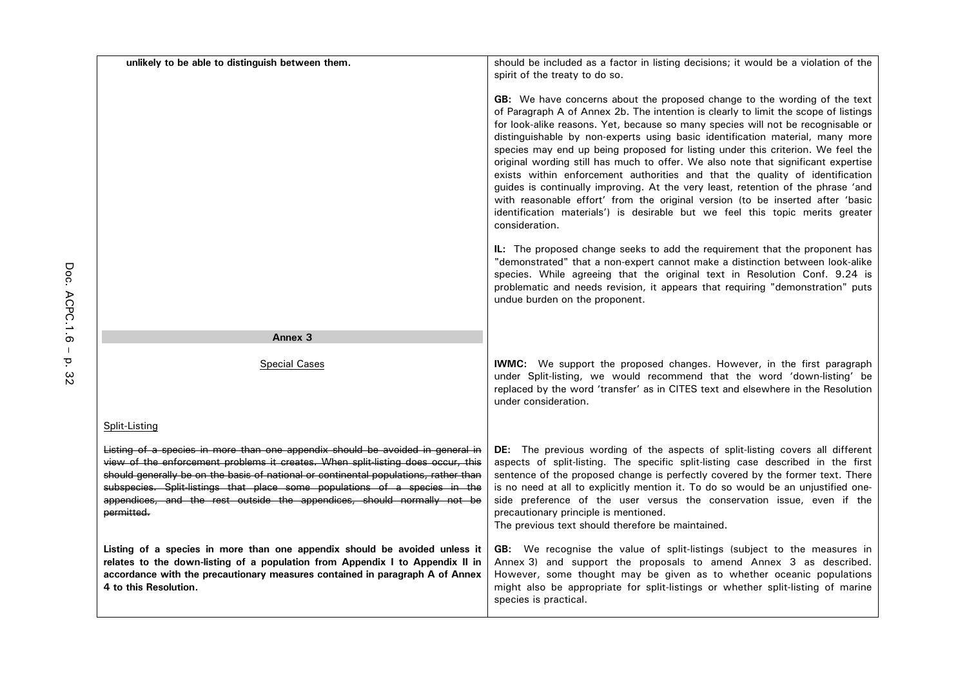| unlikely to be able to distinguish between them.                                                                                                                                                                                                                                                                                                                                                                                  | should be included as a factor in listing decisions; it would be a violation of the                                                                                                                                                                                                                                                                                                                                                                                                                                                                                                                                                                                                                                                                                                                                                                                    |
|-----------------------------------------------------------------------------------------------------------------------------------------------------------------------------------------------------------------------------------------------------------------------------------------------------------------------------------------------------------------------------------------------------------------------------------|------------------------------------------------------------------------------------------------------------------------------------------------------------------------------------------------------------------------------------------------------------------------------------------------------------------------------------------------------------------------------------------------------------------------------------------------------------------------------------------------------------------------------------------------------------------------------------------------------------------------------------------------------------------------------------------------------------------------------------------------------------------------------------------------------------------------------------------------------------------------|
|                                                                                                                                                                                                                                                                                                                                                                                                                                   | spirit of the treaty to do so.                                                                                                                                                                                                                                                                                                                                                                                                                                                                                                                                                                                                                                                                                                                                                                                                                                         |
|                                                                                                                                                                                                                                                                                                                                                                                                                                   | GB: We have concerns about the proposed change to the wording of the text<br>of Paragraph A of Annex 2b. The intention is clearly to limit the scope of listings<br>for look-alike reasons. Yet, because so many species will not be recognisable or<br>distinguishable by non-experts using basic identification material, many more<br>species may end up being proposed for listing under this criterion. We feel the<br>original wording still has much to offer. We also note that significant expertise<br>exists within enforcement authorities and that the quality of identification<br>guides is continually improving. At the very least, retention of the phrase 'and<br>with reasonable effort' from the original version (to be inserted after 'basic<br>identification materials') is desirable but we feel this topic merits greater<br>consideration. |
|                                                                                                                                                                                                                                                                                                                                                                                                                                   | IL: The proposed change seeks to add the requirement that the proponent has<br>"demonstrated" that a non-expert cannot make a distinction between look-alike<br>species. While agreeing that the original text in Resolution Conf. 9.24 is<br>problematic and needs revision, it appears that requiring "demonstration" puts<br>undue burden on the proponent.                                                                                                                                                                                                                                                                                                                                                                                                                                                                                                         |
| Annex <sub>3</sub>                                                                                                                                                                                                                                                                                                                                                                                                                |                                                                                                                                                                                                                                                                                                                                                                                                                                                                                                                                                                                                                                                                                                                                                                                                                                                                        |
| <b>Special Cases</b>                                                                                                                                                                                                                                                                                                                                                                                                              | <b>IWMC:</b> We support the proposed changes. However, in the first paragraph<br>under Split-listing, we would recommend that the word 'down-listing' be<br>replaced by the word 'transfer' as in CITES text and elsewhere in the Resolution<br>under consideration.                                                                                                                                                                                                                                                                                                                                                                                                                                                                                                                                                                                                   |
| Split-Listing                                                                                                                                                                                                                                                                                                                                                                                                                     |                                                                                                                                                                                                                                                                                                                                                                                                                                                                                                                                                                                                                                                                                                                                                                                                                                                                        |
| Listing of a species in more than one appendix should be avoided in general in<br>view of the enforcement problems it creates. When split listing does occur, this<br>should generally be on the basis of national or continental populations, rather than<br>subspecies. Split-listings that place some populations of a species in the<br>appendices, and the rest outside the appendices, should normally not be<br>permitted. | DE: The previous wording of the aspects of split-listing covers all different<br>aspects of split-listing. The specific split-listing case described in the first<br>sentence of the proposed change is perfectly covered by the former text. There<br>is no need at all to explicitly mention it. To do so would be an unjustified one-<br>side preference of the user versus the conservation issue, even if the<br>precautionary principle is mentioned.<br>The previous text should therefore be maintained.                                                                                                                                                                                                                                                                                                                                                       |
| Listing of a species in more than one appendix should be avoided unless it<br>relates to the down-listing of a population from Appendix I to Appendix II in<br>accordance with the precautionary measures contained in paragraph A of Annex<br>4 to this Resolution.                                                                                                                                                              | GB: We recognise the value of split-listings (subject to the measures in<br>Annex 3) and support the proposals to amend Annex 3 as described.<br>However, some thought may be given as to whether oceanic populations<br>might also be appropriate for split-listings or whether split-listing of marine<br>species is practical.                                                                                                                                                                                                                                                                                                                                                                                                                                                                                                                                      |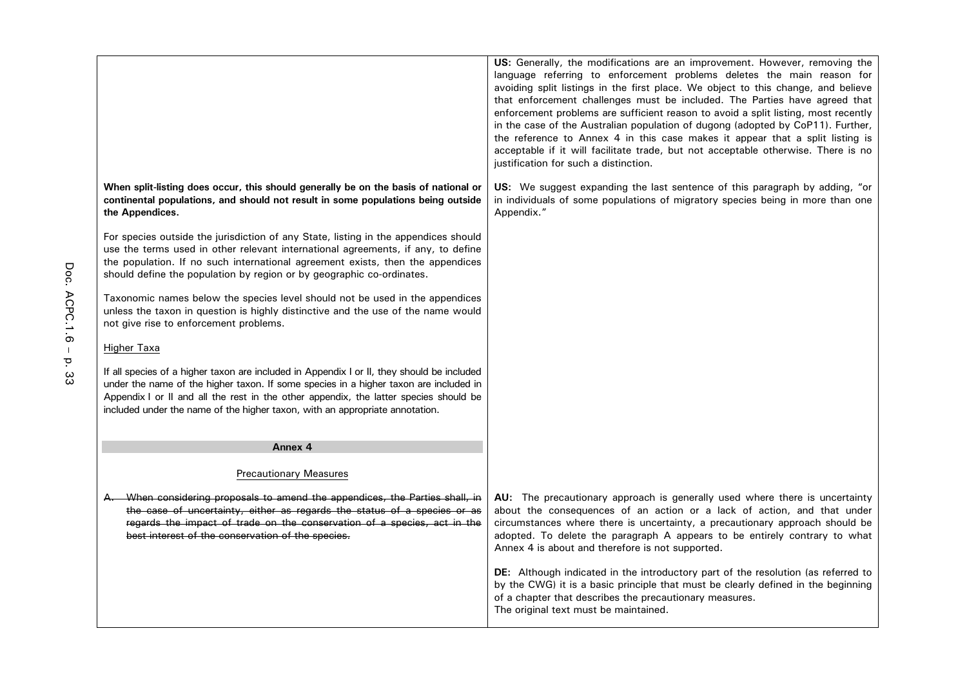|                                                                                                                                                                                                                                                                                                                                                              | US: Generally, the modifications are an improvement. However, removing the<br>language referring to enforcement problems deletes the main reason for<br>avoiding split listings in the first place. We object to this change, and believe<br>that enforcement challenges must be included. The Parties have agreed that<br>enforcement problems are sufficient reason to avoid a split listing, most recently<br>in the case of the Australian population of dugong (adopted by CoP11). Further,<br>the reference to Annex 4 in this case makes it appear that a split listing is<br>acceptable if it will facilitate trade, but not acceptable otherwise. There is no<br>justification for such a distinction. |
|--------------------------------------------------------------------------------------------------------------------------------------------------------------------------------------------------------------------------------------------------------------------------------------------------------------------------------------------------------------|-----------------------------------------------------------------------------------------------------------------------------------------------------------------------------------------------------------------------------------------------------------------------------------------------------------------------------------------------------------------------------------------------------------------------------------------------------------------------------------------------------------------------------------------------------------------------------------------------------------------------------------------------------------------------------------------------------------------|
| When split-listing does occur, this should generally be on the basis of national or<br>continental populations, and should not result in some populations being outside<br>the Appendices.                                                                                                                                                                   | US: We suggest expanding the last sentence of this paragraph by adding, "or<br>in individuals of some populations of migratory species being in more than one<br>Appendix."                                                                                                                                                                                                                                                                                                                                                                                                                                                                                                                                     |
| For species outside the jurisdiction of any State, listing in the appendices should<br>use the terms used in other relevant international agreements, if any, to define<br>the population. If no such international agreement exists, then the appendices<br>should define the population by region or by geographic co-ordinates.                           |                                                                                                                                                                                                                                                                                                                                                                                                                                                                                                                                                                                                                                                                                                                 |
| Taxonomic names below the species level should not be used in the appendices<br>unless the taxon in question is highly distinctive and the use of the name would<br>not give rise to enforcement problems.                                                                                                                                                   |                                                                                                                                                                                                                                                                                                                                                                                                                                                                                                                                                                                                                                                                                                                 |
| Higher Taxa                                                                                                                                                                                                                                                                                                                                                  |                                                                                                                                                                                                                                                                                                                                                                                                                                                                                                                                                                                                                                                                                                                 |
| If all species of a higher taxon are included in Appendix I or II, they should be included<br>under the name of the higher taxon. If some species in a higher taxon are included in<br>Appendix I or II and all the rest in the other appendix, the latter species should be<br>included under the name of the higher taxon, with an appropriate annotation. |                                                                                                                                                                                                                                                                                                                                                                                                                                                                                                                                                                                                                                                                                                                 |
| Annex 4                                                                                                                                                                                                                                                                                                                                                      |                                                                                                                                                                                                                                                                                                                                                                                                                                                                                                                                                                                                                                                                                                                 |
| <b>Precautionary Measures</b>                                                                                                                                                                                                                                                                                                                                |                                                                                                                                                                                                                                                                                                                                                                                                                                                                                                                                                                                                                                                                                                                 |
| When considering proposals to amend the appendices, the Parties shall, in<br>the case of uncertainty, either as regards the status of a species or as<br>regards the impact of trade on the conservation of a species, act in the<br>best interest of the conservation of the species.                                                                       | AU: The precautionary approach is generally used where there is uncertainty<br>about the consequences of an action or a lack of action, and that under<br>circumstances where there is uncertainty, a precautionary approach should be<br>adopted. To delete the paragraph A appears to be entirely contrary to what<br>Annex 4 is about and therefore is not supported.                                                                                                                                                                                                                                                                                                                                        |
|                                                                                                                                                                                                                                                                                                                                                              | DE: Although indicated in the introductory part of the resolution (as referred to<br>by the CWG) it is a basic principle that must be clearly defined in the beginning<br>of a chapter that describes the precautionary measures.<br>The original text must be maintained.                                                                                                                                                                                                                                                                                                                                                                                                                                      |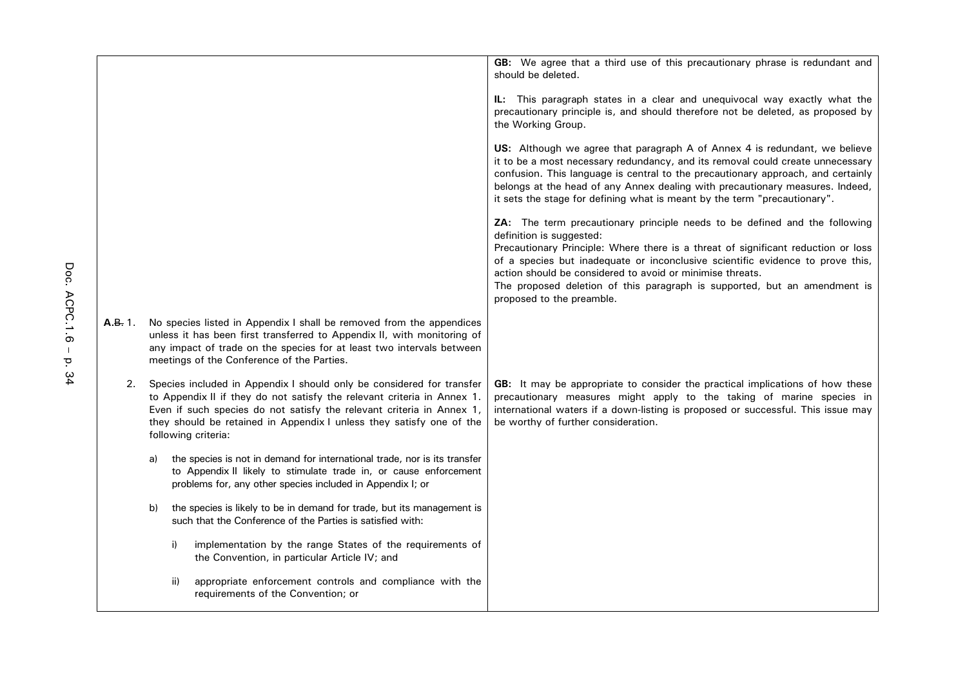|         |    |                                                                                                                                                                                                                                                                                                                          | GB: We agree that a third use of this precautionary phrase is redundant and<br>should be deleted.                                                                                                                                                                                                                                                                                                                                                    |
|---------|----|--------------------------------------------------------------------------------------------------------------------------------------------------------------------------------------------------------------------------------------------------------------------------------------------------------------------------|------------------------------------------------------------------------------------------------------------------------------------------------------------------------------------------------------------------------------------------------------------------------------------------------------------------------------------------------------------------------------------------------------------------------------------------------------|
|         |    |                                                                                                                                                                                                                                                                                                                          | <b>IL:</b> This paragraph states in a clear and unequivocal way exactly what the<br>precautionary principle is, and should therefore not be deleted, as proposed by<br>the Working Group.                                                                                                                                                                                                                                                            |
|         |    |                                                                                                                                                                                                                                                                                                                          | US: Although we agree that paragraph A of Annex 4 is redundant, we believe<br>it to be a most necessary redundancy, and its removal could create unnecessary<br>confusion. This language is central to the precautionary approach, and certainly<br>belongs at the head of any Annex dealing with precautionary measures. Indeed,<br>it sets the stage for defining what is meant by the term "precautionary".                                       |
|         |    |                                                                                                                                                                                                                                                                                                                          | ZA: The term precautionary principle needs to be defined and the following<br>definition is suggested:<br>Precautionary Principle: Where there is a threat of significant reduction or loss<br>of a species but inadequate or inconclusive scientific evidence to prove this,<br>action should be considered to avoid or minimise threats.<br>The proposed deletion of this paragraph is supported, but an amendment is<br>proposed to the preamble. |
| A.B. 1. |    | No species listed in Appendix I shall be removed from the appendices<br>unless it has been first transferred to Appendix II, with monitoring of<br>any impact of trade on the species for at least two intervals between<br>meetings of the Conference of the Parties.                                                   |                                                                                                                                                                                                                                                                                                                                                                                                                                                      |
| 2.      |    | Species included in Appendix I should only be considered for transfer<br>to Appendix II if they do not satisfy the relevant criteria in Annex 1.<br>Even if such species do not satisfy the relevant criteria in Annex 1,<br>they should be retained in Appendix I unless they satisfy one of the<br>following criteria: | GB: It may be appropriate to consider the practical implications of how these<br>precautionary measures might apply to the taking of marine species in<br>international waters if a down-listing is proposed or successful. This issue may<br>be worthy of further consideration.                                                                                                                                                                    |
|         | a) | the species is not in demand for international trade, nor is its transfer<br>to Appendix II likely to stimulate trade in, or cause enforcement<br>problems for, any other species included in Appendix I; or                                                                                                             |                                                                                                                                                                                                                                                                                                                                                                                                                                                      |
|         | b) | the species is likely to be in demand for trade, but its management is<br>such that the Conference of the Parties is satisfied with:                                                                                                                                                                                     |                                                                                                                                                                                                                                                                                                                                                                                                                                                      |
|         |    | i)<br>implementation by the range States of the requirements of<br>the Convention, in particular Article IV; and                                                                                                                                                                                                         |                                                                                                                                                                                                                                                                                                                                                                                                                                                      |
|         |    | ii)<br>appropriate enforcement controls and compliance with the<br>requirements of the Convention; or                                                                                                                                                                                                                    |                                                                                                                                                                                                                                                                                                                                                                                                                                                      |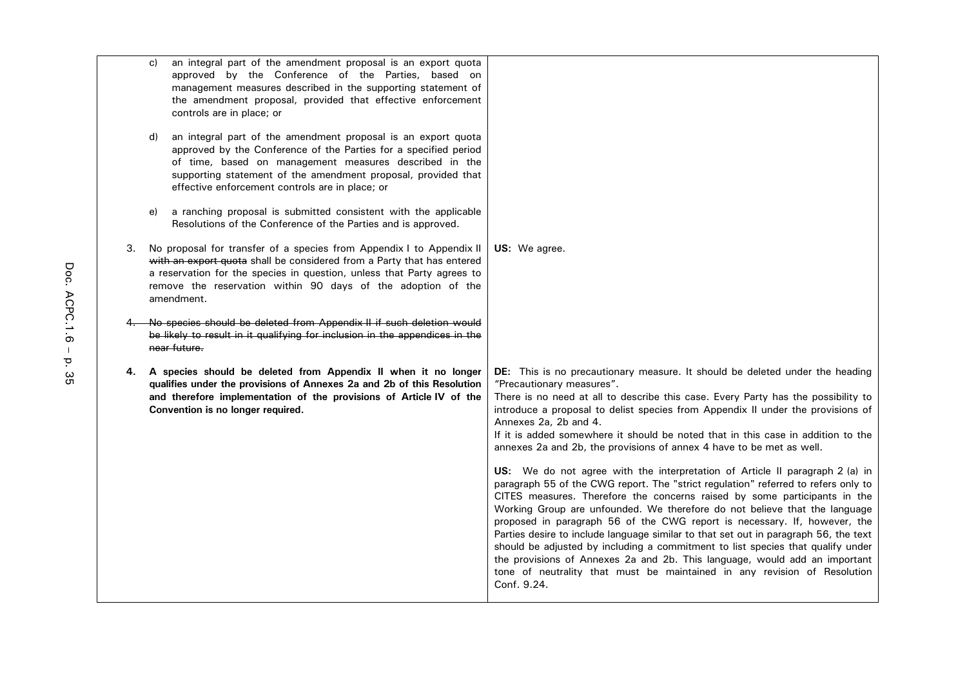|    | C)<br>d)                                                                                                                                                                                                                                             | an integral part of the amendment proposal is an export quota<br>approved by the Conference of the Parties, based on<br>management measures described in the supporting statement of<br>the amendment proposal, provided that effective enforcement<br>controls are in place; or<br>an integral part of the amendment proposal is an export quota<br>approved by the Conference of the Parties for a specified period<br>of time, based on management measures described in the<br>supporting statement of the amendment proposal, provided that |                                                                                                                                                                                                                                                                                                                                                                                                                                                                                                                                                                                                                                                                                                                                                                                                                                                                                                                                                                                                                                                                                                                                                                                                                                          |
|----|------------------------------------------------------------------------------------------------------------------------------------------------------------------------------------------------------------------------------------------------------|--------------------------------------------------------------------------------------------------------------------------------------------------------------------------------------------------------------------------------------------------------------------------------------------------------------------------------------------------------------------------------------------------------------------------------------------------------------------------------------------------------------------------------------------------|------------------------------------------------------------------------------------------------------------------------------------------------------------------------------------------------------------------------------------------------------------------------------------------------------------------------------------------------------------------------------------------------------------------------------------------------------------------------------------------------------------------------------------------------------------------------------------------------------------------------------------------------------------------------------------------------------------------------------------------------------------------------------------------------------------------------------------------------------------------------------------------------------------------------------------------------------------------------------------------------------------------------------------------------------------------------------------------------------------------------------------------------------------------------------------------------------------------------------------------|
|    | e)                                                                                                                                                                                                                                                   | effective enforcement controls are in place; or<br>a ranching proposal is submitted consistent with the applicable<br>Resolutions of the Conference of the Parties and is approved.                                                                                                                                                                                                                                                                                                                                                              |                                                                                                                                                                                                                                                                                                                                                                                                                                                                                                                                                                                                                                                                                                                                                                                                                                                                                                                                                                                                                                                                                                                                                                                                                                          |
| 3. |                                                                                                                                                                                                                                                      | No proposal for transfer of a species from Appendix I to Appendix II<br>with an export quota shall be considered from a Party that has entered<br>a reservation for the species in question, unless that Party agrees to<br>remove the reservation within 90 days of the adoption of the<br>amendment.                                                                                                                                                                                                                                           | US: We agree.                                                                                                                                                                                                                                                                                                                                                                                                                                                                                                                                                                                                                                                                                                                                                                                                                                                                                                                                                                                                                                                                                                                                                                                                                            |
|    | No species should be deleted from Appendix II if such deletion would<br>be likely to result in it qualifying for inclusion in the appendices in the<br>near future.                                                                                  |                                                                                                                                                                                                                                                                                                                                                                                                                                                                                                                                                  |                                                                                                                                                                                                                                                                                                                                                                                                                                                                                                                                                                                                                                                                                                                                                                                                                                                                                                                                                                                                                                                                                                                                                                                                                                          |
| 4. | A species should be deleted from Appendix II when it no longer<br>qualifies under the provisions of Annexes 2a and 2b of this Resolution<br>and therefore implementation of the provisions of Article IV of the<br>Convention is no longer required. |                                                                                                                                                                                                                                                                                                                                                                                                                                                                                                                                                  | DE: This is no precautionary measure. It should be deleted under the heading<br>"Precautionary measures".<br>There is no need at all to describe this case. Every Party has the possibility to<br>introduce a proposal to delist species from Appendix II under the provisions of<br>Annexes 2a, 2b and 4.<br>If it is added somewhere it should be noted that in this case in addition to the<br>annexes 2a and 2b, the provisions of annex 4 have to be met as well.<br>US: We do not agree with the interpretation of Article II paragraph 2 (a) in<br>paragraph 55 of the CWG report. The "strict regulation" referred to refers only to<br>CITES measures. Therefore the concerns raised by some participants in the<br>Working Group are unfounded. We therefore do not believe that the language<br>proposed in paragraph 56 of the CWG report is necessary. If, however, the<br>Parties desire to include language similar to that set out in paragraph 56, the text<br>should be adjusted by including a commitment to list species that qualify under<br>the provisions of Annexes 2a and 2b. This language, would add an important<br>tone of neutrality that must be maintained in any revision of Resolution<br>Conf. 9.24. |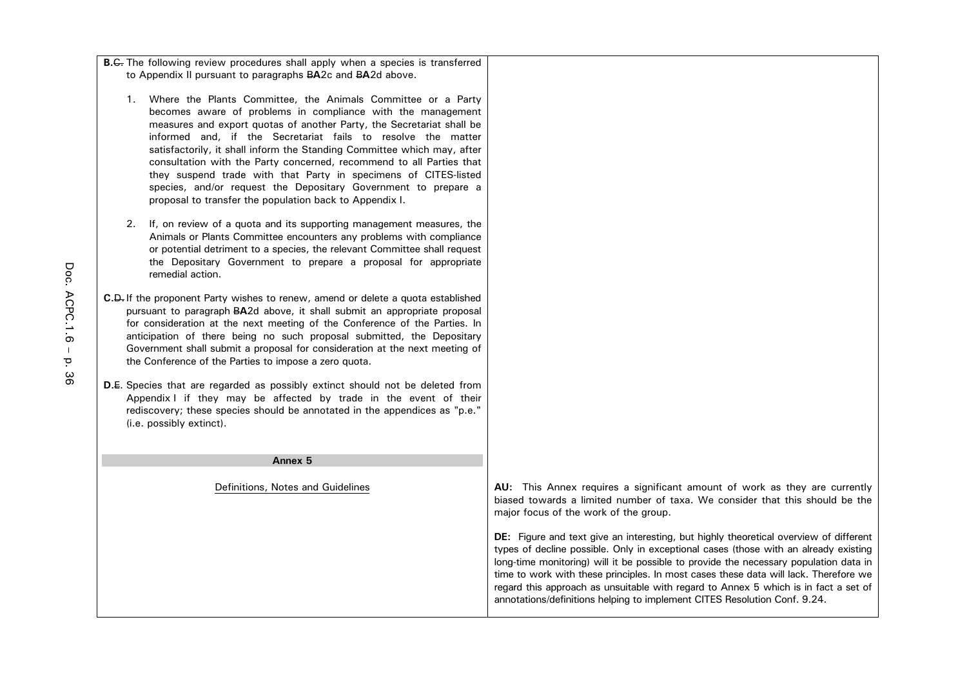| <b>B.C.</b> The following review procedures shall apply when a species is transferred |  |
|---------------------------------------------------------------------------------------|--|
| to Appendix II pursuant to paragraphs BA2c and BA2d above.                            |  |

- 1. Where the Plants Committee, the Animals Committee or a Party becomes aware of problems in compliance with the management measures and export quotas of another Party, the Secretariat shall be informed and, if the Secretariat fails to resolve the matter satisfactorily, it shall inform the Standing Committee which may, after consultation with the Party concerned, recommend to all Parties that they suspend trade with that Party in specimens of CITES-listed species, and/or request the Depositary Government to prepare a proposal to transfer the population back to Appendix I.
- 2. If, on review of a quota and its supporting management measures, the Animals or Plants Committee encounters any problems with compliance or potential detriment to a species, the relevant Committee shall request the Depositary Government to prepare a proposal for appropriate remedial action.
- **C.**D.If the proponent Party wishes to renew, amend or delete a quota established pursuant to paragraph B**A**2d above, it shall submit an appropriate proposal for consideration at the next meeting of the Conference of the Parties. In anticipation of there being no such proposal submitted, the Depositary Government shall submit a proposal for consideration at the next meeting of the Conference of the Parties to impose a zero quota.
- **D.**E. Species that are regarded as possibly extinct should not be deleted from Appendix I if they may be affected by trade in the event of their rediscovery; these species should be annotated in the appendices as "p.e." (i.e. possibly extinct).

#### **Annex 5**

Definitions, Notes and Guidelines **AU:** This Annex requires a significant amount of work as they are currently biased towards a limited number of taxa. We consider that this should be the major focus of the work of the group.

> **DE:** Figure and text give an interesting, but highly theoretical overview of different types of decline possible. Only in exceptional cases (those with an already existing long-time monitoring) will it be possible to provide the necessary population data in time to work with these principles. In most cases these data will lack. Therefore we regard this approach as unsuitable with regard to Annex 5 which is in fact a set of annotations/definitions helping to implement CITES Resolution Conf. 9.24.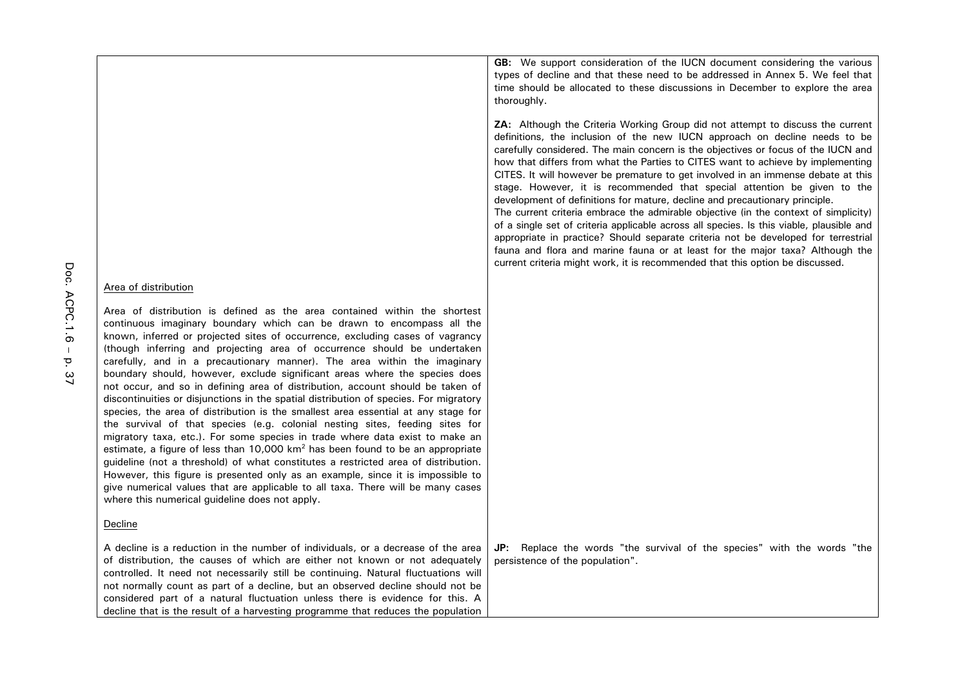|                                                                                                                                                                                                                                                                                                                                                                                                                                                                                                                                                                                                                                                                                                                                                                                                                                                                                                                                                                                                                                                                                                                                                                                                                                                                                                                       | ZA: Although the Criteria Working Group did not attempt to discuss the current<br>definitions, the inclusion of the new IUCN approach on decline needs to be<br>carefully considered. The main concern is the objectives or focus of the IUCN and<br>how that differs from what the Parties to CITES want to achieve by implementing<br>CITES. It will however be premature to get involved in an immense debate at this<br>stage. However, it is recommended that special attention be given to the<br>development of definitions for mature, decline and precautionary principle.<br>The current criteria embrace the admirable objective (in the context of simplicity)<br>of a single set of criteria applicable across all species. Is this viable, plausible and<br>appropriate in practice? Should separate criteria not be developed for terrestrial<br>fauna and flora and marine fauna or at least for the major taxa? Although the<br>current criteria might work, it is recommended that this option be discussed. |
|-----------------------------------------------------------------------------------------------------------------------------------------------------------------------------------------------------------------------------------------------------------------------------------------------------------------------------------------------------------------------------------------------------------------------------------------------------------------------------------------------------------------------------------------------------------------------------------------------------------------------------------------------------------------------------------------------------------------------------------------------------------------------------------------------------------------------------------------------------------------------------------------------------------------------------------------------------------------------------------------------------------------------------------------------------------------------------------------------------------------------------------------------------------------------------------------------------------------------------------------------------------------------------------------------------------------------|--------------------------------------------------------------------------------------------------------------------------------------------------------------------------------------------------------------------------------------------------------------------------------------------------------------------------------------------------------------------------------------------------------------------------------------------------------------------------------------------------------------------------------------------------------------------------------------------------------------------------------------------------------------------------------------------------------------------------------------------------------------------------------------------------------------------------------------------------------------------------------------------------------------------------------------------------------------------------------------------------------------------------------|
| Area of distribution                                                                                                                                                                                                                                                                                                                                                                                                                                                                                                                                                                                                                                                                                                                                                                                                                                                                                                                                                                                                                                                                                                                                                                                                                                                                                                  |                                                                                                                                                                                                                                                                                                                                                                                                                                                                                                                                                                                                                                                                                                                                                                                                                                                                                                                                                                                                                                |
| Area of distribution is defined as the area contained within the shortest<br>continuous imaginary boundary which can be drawn to encompass all the<br>known, inferred or projected sites of occurrence, excluding cases of vagrancy<br>(though inferring and projecting area of occurrence should be undertaken<br>carefully, and in a precautionary manner). The area within the imaginary<br>boundary should, however, exclude significant areas where the species does<br>not occur, and so in defining area of distribution, account should be taken of<br>discontinuities or disjunctions in the spatial distribution of species. For migratory<br>species, the area of distribution is the smallest area essential at any stage for<br>the survival of that species (e.g. colonial nesting sites, feeding sites for<br>migratory taxa, etc.). For some species in trade where data exist to make an<br>estimate, a figure of less than 10,000 km <sup>2</sup> has been found to be an appropriate<br>guideline (not a threshold) of what constitutes a restricted area of distribution.<br>However, this figure is presented only as an example, since it is impossible to<br>give numerical values that are applicable to all taxa. There will be many cases<br>where this numerical guideline does not apply. |                                                                                                                                                                                                                                                                                                                                                                                                                                                                                                                                                                                                                                                                                                                                                                                                                                                                                                                                                                                                                                |
| Decline                                                                                                                                                                                                                                                                                                                                                                                                                                                                                                                                                                                                                                                                                                                                                                                                                                                                                                                                                                                                                                                                                                                                                                                                                                                                                                               |                                                                                                                                                                                                                                                                                                                                                                                                                                                                                                                                                                                                                                                                                                                                                                                                                                                                                                                                                                                                                                |
| A decline is a reduction in the number of individuals, or a decrease of the area<br>of distribution, the causes of which are either not known or not adequately<br>controlled. It need not necessarily still be continuing. Natural fluctuations will<br>not normally count as part of a decline, but an observed decline should not be<br>considered part of a natural fluctuation unless there is evidence for this. A                                                                                                                                                                                                                                                                                                                                                                                                                                                                                                                                                                                                                                                                                                                                                                                                                                                                                              | Replace the words "the survival of the species" with the words "the<br>JP:<br>persistence of the population".                                                                                                                                                                                                                                                                                                                                                                                                                                                                                                                                                                                                                                                                                                                                                                                                                                                                                                                  |

decline that is the result of a harvesting programme that reduces the population

GB: We support consideration of the IUCN document considering the various types of decline and that these need to be addressed in Annex 5. We feel that time should be allocated to these discussions in December to explore the area thoroughly.

Doc. ACPC.1.6-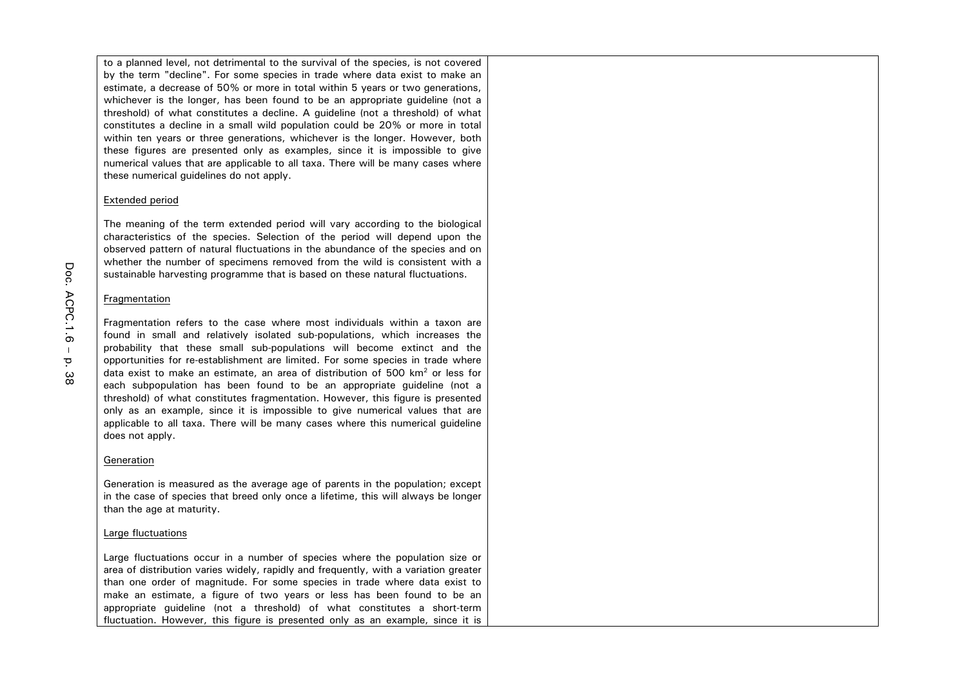to a planned level, not detrimental to the survival of the species, is not covered by the term "decline". For some species in trade where data exist to make an estimate, a decrease of 50% or more in total within 5 years or two generations, whichever is the longer, has been found to be an appropriate guideline (not a threshold) of what constitutes a decline. A guideline (not a threshold) of what constitutes a decline in a small wild population could be 20% or more in total within ten years or three generations, whichever is the longer. However, both these figures are presented only as examples, since it is impossible to give numerical values that are applicable to all taxa. There will be many cases where these numerical guidelines do not apply.

### Extended period

The meaning of the term extended period will vary according to the biological characteristics of the species. Selection of the period will depend upon the observed pattern of natural fluctuations in the abundance of the species and on whether the number of specimens removed from the wild is consistent with a sustainable harvesting programme that is based on these natural fluctuations.

### Fragmentation

Fragmentation refers to the case where most individuals within a taxon are found in small and relatively isolated sub-populations, which increases the probability that these small sub-populations will become extinct and the opportunities for re-establishment are limited. For some species in trade where data exist to make an estimate, an area of distribution of 500 km<sup>2</sup> or less for each subpopulation has been found to be an appropriate guideline (not a threshold) of what constitutes fragmentation. However, this figure is presented only as an example, since it is impossible to give numerical values that are applicable to all taxa. There will be many cases where this numerical guideline does not apply.

## Generation

Generation is measured as the average age of parents in the population; except in the case of species that breed only once a lifetime, this will always be longer than the age at maturity.

## Large fluctuations

Large fluctuations occur in a number of species where the population size or area of distribution varies widely, rapidly and frequently, with a variation greater than one order of magnitude. For some species in trade where data exist to make an estimate, a figure of two years or less has been found to be an appropriate guideline (not a threshold) of what constitutes a short-term fluctuation. However, this figure is presented only as an example, since it is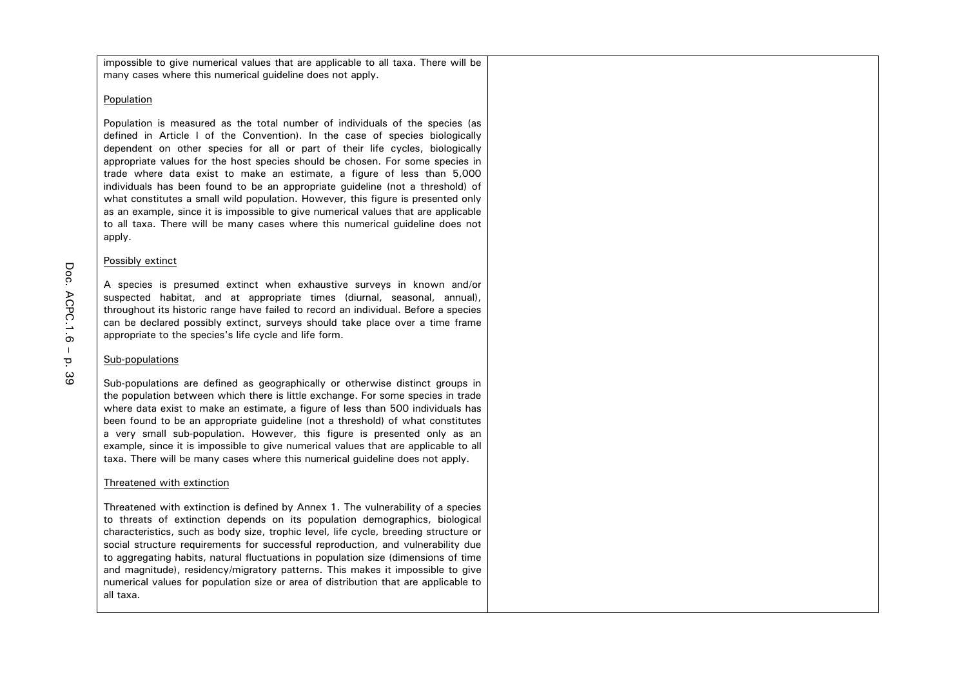impossible to give numerical values that are applicable to all taxa. There will be many cases where this numerical quideline does not apply.

### Population

Population is measured as the total number of individuals of the species (as defined in Article I of the Convention). In the case of species biologically dependent on other species for all or part of their life cycles, biologically appropriate values for the host species should be chosen. For some species in trade where data exist to make an estimate, a figure of less than 5,000 individuals has been found to be an appropriate guideline (not a threshold) of what constitutes a small wild population. However, this figure is presented only as an example, since it is impossible to give numerical values that are applicable to all taxa. There will be many cases where this numerical guideline does not apply.

### Possibly extinct

A species is presumed extinct when exhaustive surveys in known and/or suspected habitat, and at appropriate times (diurnal, seasonal, annual), throughout its historic range have failed to record an individual. Before a species can be declared possibly extinct, surveys should take place over a time frame appropriate to the species's life cycle and life form.

## Sub-populations

Sub-populations are defined as geographically or otherwise distinct groups in the population between which there is little exchange. For some species in trade where data exist to make an estimate, a figure of less than 500 individuals has been found to be an appropriate guideline (not a threshold) of what constitutes a very small sub-population. However, this figure is presented only as an example, since it is impossible to give numerical values that are applicable to all taxa. There will be many cases where this numerical guideline does not apply.

## Threatened with extinction

Threatened with extinction is defined by Annex 1. The vulnerability of a species to threats of extinction depends on its population demographics, biological characteristics, such as body size, trophic level, life cycle, breeding structure or social structure requirements for successful reproduction, and vulnerability due to aggregating habits, natural fluctuations in population size (dimensions of time and magnitude), residency/migratory patterns. This makes it impossible to give numerical values for population size or area of distribution that are applicable to all taxa.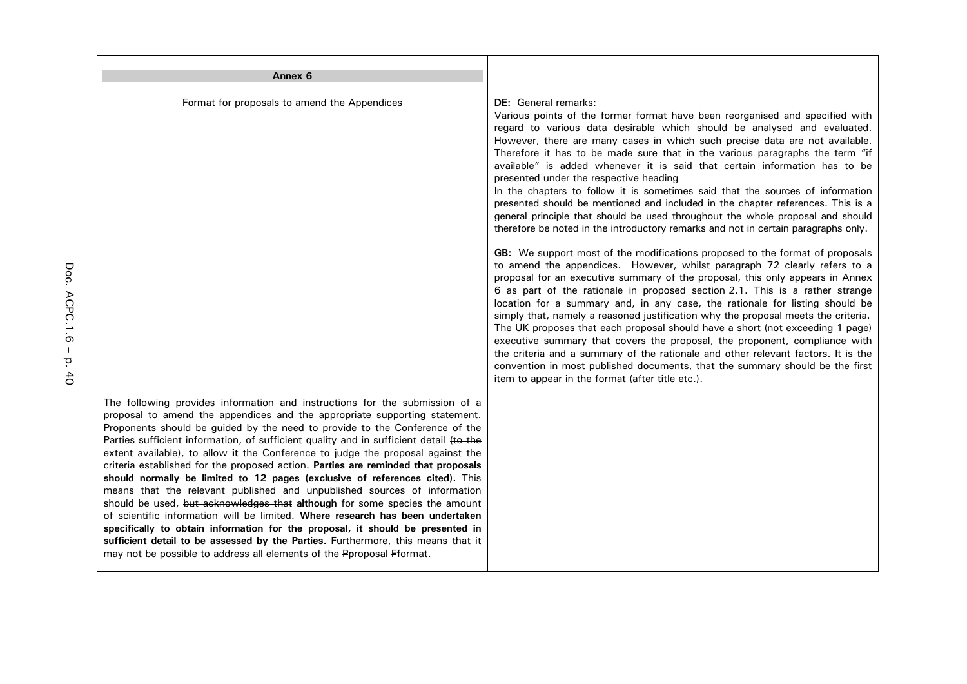| Annex <sub>6</sub>                                                                                                                                                                                                                                                                                                                                                                                                                                                                                                                                                                                                                                                                                                                                                                                                                                                                                                                                                                                                                                                                   |                                                                                                                                                                                                                                                                                                                                                                                                                                                                                                                                                                                                                                                                                                                                                                                                                                                                                                                                                                                                                                                                                                                                                                                                                                                                                                                                                                                                                                                                                                                                                                                                                                                                                                                        |
|--------------------------------------------------------------------------------------------------------------------------------------------------------------------------------------------------------------------------------------------------------------------------------------------------------------------------------------------------------------------------------------------------------------------------------------------------------------------------------------------------------------------------------------------------------------------------------------------------------------------------------------------------------------------------------------------------------------------------------------------------------------------------------------------------------------------------------------------------------------------------------------------------------------------------------------------------------------------------------------------------------------------------------------------------------------------------------------|------------------------------------------------------------------------------------------------------------------------------------------------------------------------------------------------------------------------------------------------------------------------------------------------------------------------------------------------------------------------------------------------------------------------------------------------------------------------------------------------------------------------------------------------------------------------------------------------------------------------------------------------------------------------------------------------------------------------------------------------------------------------------------------------------------------------------------------------------------------------------------------------------------------------------------------------------------------------------------------------------------------------------------------------------------------------------------------------------------------------------------------------------------------------------------------------------------------------------------------------------------------------------------------------------------------------------------------------------------------------------------------------------------------------------------------------------------------------------------------------------------------------------------------------------------------------------------------------------------------------------------------------------------------------------------------------------------------------|
| Format for proposals to amend the Appendices                                                                                                                                                                                                                                                                                                                                                                                                                                                                                                                                                                                                                                                                                                                                                                                                                                                                                                                                                                                                                                         | <b>DE:</b> General remarks:<br>Various points of the former format have been reorganised and specified with<br>regard to various data desirable which should be analysed and evaluated.<br>However, there are many cases in which such precise data are not available.<br>Therefore it has to be made sure that in the various paragraphs the term "if<br>available" is added whenever it is said that certain information has to be<br>presented under the respective heading<br>In the chapters to follow it is sometimes said that the sources of information<br>presented should be mentioned and included in the chapter references. This is a<br>general principle that should be used throughout the whole proposal and should<br>therefore be noted in the introductory remarks and not in certain paragraphs only.<br>GB: We support most of the modifications proposed to the format of proposals<br>to amend the appendices. However, whilst paragraph 72 clearly refers to a<br>proposal for an executive summary of the proposal, this only appears in Annex<br>6 as part of the rationale in proposed section 2.1. This is a rather strange<br>location for a summary and, in any case, the rationale for listing should be<br>simply that, namely a reasoned justification why the proposal meets the criteria.<br>The UK proposes that each proposal should have a short (not exceeding 1 page)<br>executive summary that covers the proposal, the proponent, compliance with<br>the criteria and a summary of the rationale and other relevant factors. It is the<br>convention in most published documents, that the summary should be the first<br>item to appear in the format (after title etc.). |
| The following provides information and instructions for the submission of a<br>proposal to amend the appendices and the appropriate supporting statement.<br>Proponents should be guided by the need to provide to the Conference of the<br>Parties sufficient information, of sufficient quality and in sufficient detail (to the<br>extent available), to allow it the Conference to judge the proposal against the<br>criteria established for the proposed action. Parties are reminded that proposals<br>should normally be limited to 12 pages (exclusive of references cited). This<br>means that the relevant published and unpublished sources of information<br>should be used, but acknowledges that although for some species the amount<br>of scientific information will be limited. Where research has been undertaken<br>specifically to obtain information for the proposal, it should be presented in<br>sufficient detail to be assessed by the Parties. Furthermore, this means that it<br>may not be possible to address all elements of the Pproposal Fformat. |                                                                                                                                                                                                                                                                                                                                                                                                                                                                                                                                                                                                                                                                                                                                                                                                                                                                                                                                                                                                                                                                                                                                                                                                                                                                                                                                                                                                                                                                                                                                                                                                                                                                                                                        |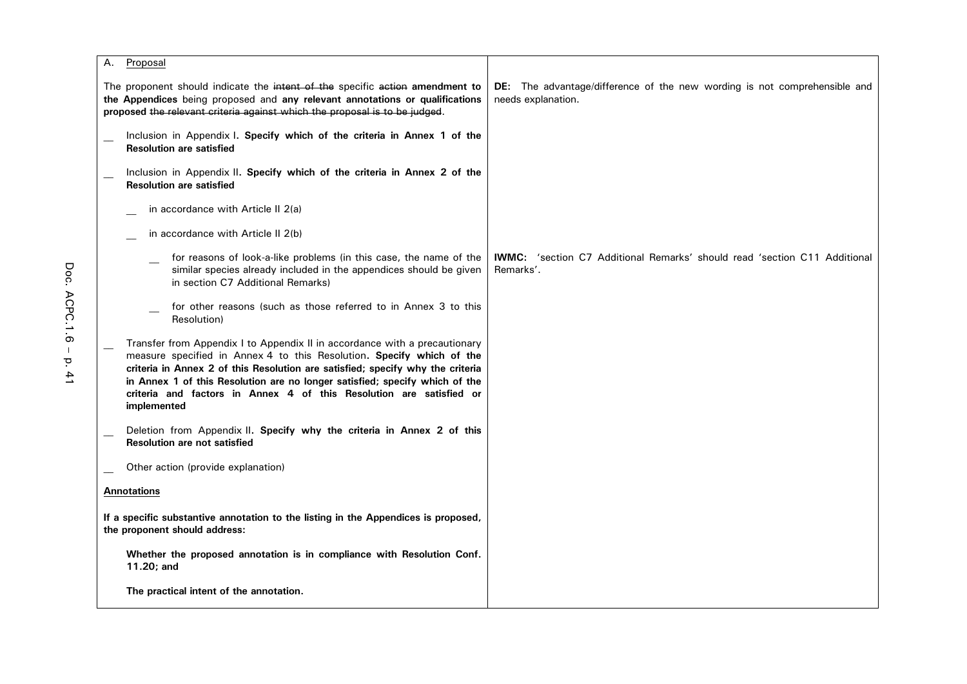| Proposal<br>А.                                                                                                                                                                                                                                                                                                                                                                                             |                                                                                                 |
|------------------------------------------------------------------------------------------------------------------------------------------------------------------------------------------------------------------------------------------------------------------------------------------------------------------------------------------------------------------------------------------------------------|-------------------------------------------------------------------------------------------------|
| The proponent should indicate the intent of the specific action amendment to<br>the Appendices being proposed and any relevant annotations or qualifications<br>proposed the relevant criteria against which the proposal is to be judged.                                                                                                                                                                 | DE: The advantage/difference of the new wording is not comprehensible and<br>needs explanation. |
| Inclusion in Appendix I. Specify which of the criteria in Annex 1 of the<br><b>Resolution are satisfied</b>                                                                                                                                                                                                                                                                                                |                                                                                                 |
| Inclusion in Appendix II. Specify which of the criteria in Annex 2 of the<br><b>Resolution are satisfied</b>                                                                                                                                                                                                                                                                                               |                                                                                                 |
| in accordance with Article II 2(a)                                                                                                                                                                                                                                                                                                                                                                         |                                                                                                 |
| in accordance with Article II 2(b)                                                                                                                                                                                                                                                                                                                                                                         |                                                                                                 |
| for reasons of look-a-like problems (in this case, the name of the<br>similar species already included in the appendices should be given<br>in section C7 Additional Remarks)                                                                                                                                                                                                                              | <b>IWMC:</b> 'section C7 Additional Remarks' should read 'section C11 Additional<br>Remarks'.   |
| for other reasons (such as those referred to in Annex 3 to this<br>Resolution)                                                                                                                                                                                                                                                                                                                             |                                                                                                 |
| Transfer from Appendix I to Appendix II in accordance with a precautionary<br>measure specified in Annex 4 to this Resolution. Specify which of the<br>criteria in Annex 2 of this Resolution are satisfied; specify why the criteria<br>in Annex 1 of this Resolution are no longer satisfied; specify which of the<br>criteria and factors in Annex 4 of this Resolution are satisfied or<br>implemented |                                                                                                 |
| Deletion from Appendix II. Specify why the criteria in Annex 2 of this<br><b>Resolution are not satisfied</b>                                                                                                                                                                                                                                                                                              |                                                                                                 |
| Other action (provide explanation)                                                                                                                                                                                                                                                                                                                                                                         |                                                                                                 |
| <b>Annotations</b>                                                                                                                                                                                                                                                                                                                                                                                         |                                                                                                 |
| If a specific substantive annotation to the listing in the Appendices is proposed,<br>the proponent should address:                                                                                                                                                                                                                                                                                        |                                                                                                 |
| Whether the proposed annotation is in compliance with Resolution Conf.<br>11.20; and                                                                                                                                                                                                                                                                                                                       |                                                                                                 |
| The practical intent of the annotation.                                                                                                                                                                                                                                                                                                                                                                    |                                                                                                 |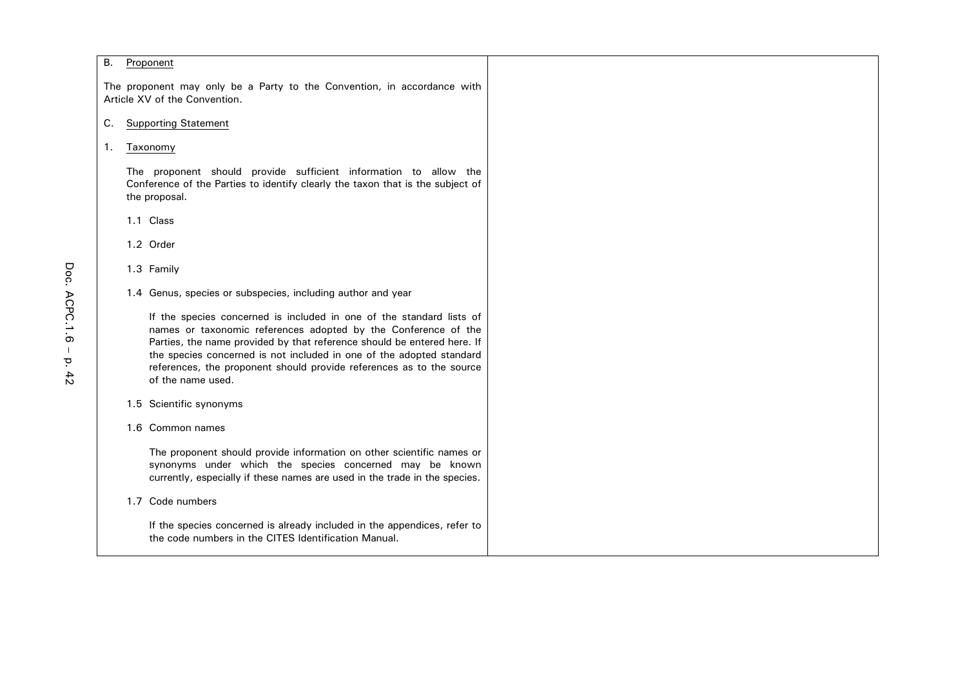### B. Proponent

The proponent may only be a Party to the Convention, in accordance with Article XV of the Convention.

## C. Supporting Statement

### 1. Taxonomy

The proponent should provide sufficient information to allow the Conference of the Parties to identify clearly the taxon that is the subject of the proposal.

1.1 Class

1.2 Order

1.3 Family

1.4 Genus, species or subspecies, including author and year

If the species concerned is included in one of the standard lists of names or taxonomic references adopted by the Conference of the Parties, the name provided by that reference should be entered here. If the species concerned is not included in one of the adopted standard references, the proponent should provide references as to the source of the name used.

- 1.5 Scientific synonyms
- 1.6 Common names

The proponent should provide information on other scientific names or synonyms under which the species concerned may be known currently, especially if these names are used in the trade in the species.

1.7 Code numbers

If the species concerned is already included in the appendices, refer to the code numbers in the CITES Identification Manual.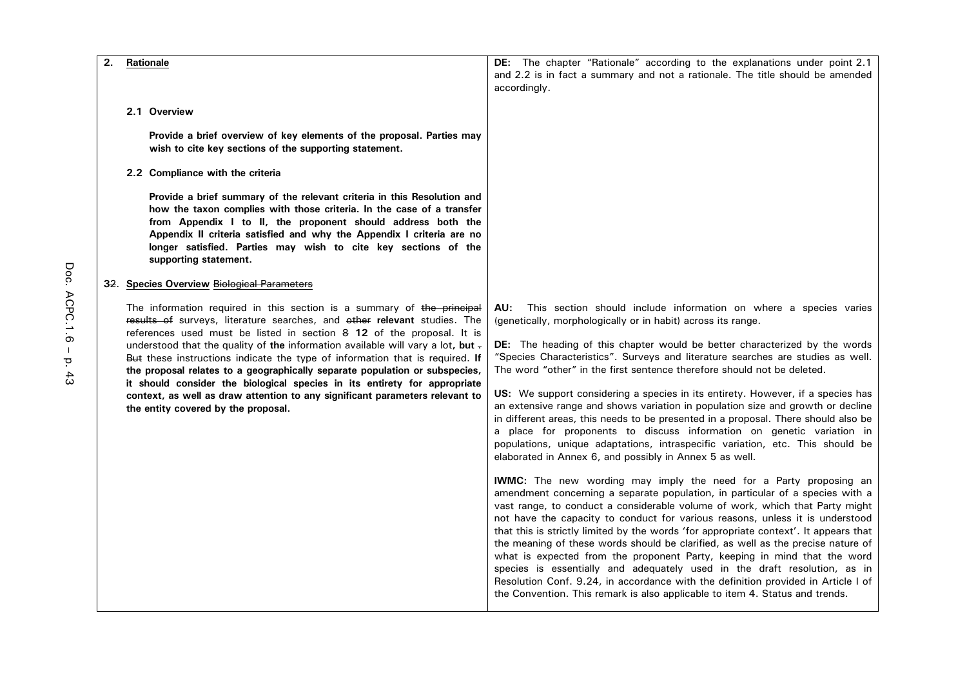| 2. | Rationale                                                                                                                                                                                                                                                                                                                                                                                                                                                                                                                                                                                                                                                                         | DE: The chapter "Rationale" according to the explanations under point 2.1                                                                                                                                                                                                                                                                                                                                                                                                                                                                                                                                                                                                                                                                                                                                                                                                    |
|----|-----------------------------------------------------------------------------------------------------------------------------------------------------------------------------------------------------------------------------------------------------------------------------------------------------------------------------------------------------------------------------------------------------------------------------------------------------------------------------------------------------------------------------------------------------------------------------------------------------------------------------------------------------------------------------------|------------------------------------------------------------------------------------------------------------------------------------------------------------------------------------------------------------------------------------------------------------------------------------------------------------------------------------------------------------------------------------------------------------------------------------------------------------------------------------------------------------------------------------------------------------------------------------------------------------------------------------------------------------------------------------------------------------------------------------------------------------------------------------------------------------------------------------------------------------------------------|
|    |                                                                                                                                                                                                                                                                                                                                                                                                                                                                                                                                                                                                                                                                                   | and 2.2 is in fact a summary and not a rationale. The title should be amended<br>accordingly.                                                                                                                                                                                                                                                                                                                                                                                                                                                                                                                                                                                                                                                                                                                                                                                |
|    | 2.1 Overview                                                                                                                                                                                                                                                                                                                                                                                                                                                                                                                                                                                                                                                                      |                                                                                                                                                                                                                                                                                                                                                                                                                                                                                                                                                                                                                                                                                                                                                                                                                                                                              |
|    | Provide a brief overview of key elements of the proposal. Parties may<br>wish to cite key sections of the supporting statement.                                                                                                                                                                                                                                                                                                                                                                                                                                                                                                                                                   |                                                                                                                                                                                                                                                                                                                                                                                                                                                                                                                                                                                                                                                                                                                                                                                                                                                                              |
|    | 2.2 Compliance with the criteria                                                                                                                                                                                                                                                                                                                                                                                                                                                                                                                                                                                                                                                  |                                                                                                                                                                                                                                                                                                                                                                                                                                                                                                                                                                                                                                                                                                                                                                                                                                                                              |
|    | Provide a brief summary of the relevant criteria in this Resolution and<br>how the taxon complies with those criteria. In the case of a transfer<br>from Appendix I to II, the proponent should address both the<br>Appendix II criteria satisfied and why the Appendix I criteria are no<br>longer satisfied. Parties may wish to cite key sections of the<br>supporting statement.                                                                                                                                                                                                                                                                                              |                                                                                                                                                                                                                                                                                                                                                                                                                                                                                                                                                                                                                                                                                                                                                                                                                                                                              |
|    | 32. Species Overview Biological Parameters                                                                                                                                                                                                                                                                                                                                                                                                                                                                                                                                                                                                                                        |                                                                                                                                                                                                                                                                                                                                                                                                                                                                                                                                                                                                                                                                                                                                                                                                                                                                              |
|    | The information required in this section is a summary of the principal<br>results of surveys, literature searches, and other relevant studies. The<br>references used must be listed in section 8 12 of the proposal. It is<br>understood that the quality of the information available will vary a lot, but -<br>But these instructions indicate the type of information that is required. If<br>the proposal relates to a geographically separate population or subspecies,<br>it should consider the biological species in its entirety for appropriate<br>context, as well as draw attention to any significant parameters relevant to<br>the entity covered by the proposal. | This section should include information on where a species varies<br>AU:<br>(genetically, morphologically or in habit) across its range.<br><b>DE:</b> The heading of this chapter would be better characterized by the words<br>"Species Characteristics". Surveys and literature searches are studies as well.<br>The word "other" in the first sentence therefore should not be deleted.<br>US: We support considering a species in its entirety. However, if a species has<br>an extensive range and shows variation in population size and growth or decline<br>in different areas, this needs to be presented in a proposal. There should also be<br>a place for proponents to discuss information on genetic variation in<br>populations, unique adaptations, intraspecific variation, etc. This should be<br>elaborated in Annex 6, and possibly in Annex 5 as well. |
|    |                                                                                                                                                                                                                                                                                                                                                                                                                                                                                                                                                                                                                                                                                   | IWMC: The new wording may imply the need for a Party proposing an<br>amendment concerning a separate population, in particular of a species with a<br>vast range, to conduct a considerable volume of work, which that Party might<br>not have the capacity to conduct for various reasons, unless it is understood<br>that this is strictly limited by the words 'for appropriate context'. It appears that<br>the meaning of these words should be clarified, as well as the precise nature of<br>what is expected from the proponent Party, keeping in mind that the word<br>species is essentially and adequately used in the draft resolution, as in<br>Resolution Conf. 9.24, in accordance with the definition provided in Article I of<br>the Convention. This remark is also applicable to item 4. Status and trends.                                               |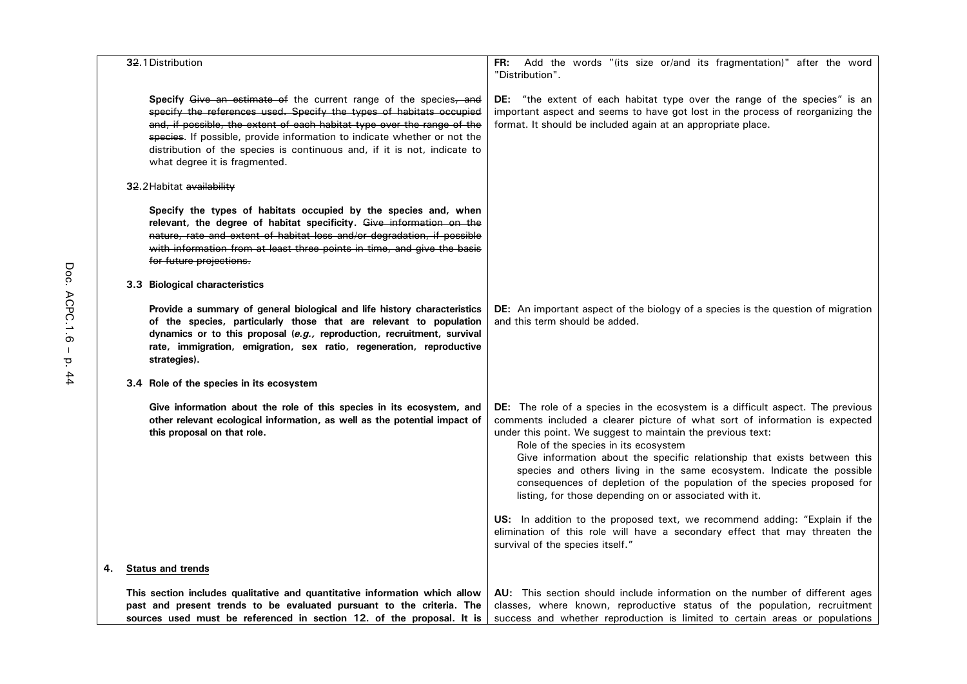| 32.1 Distribution                                                                                                                                                                                                                                                                                                                                                                                            | Add the words "(its size or/and its fragmentation)" after the word<br>FR:<br>"Distribution".                                                                                                                                                                                                                                                                                                                                                                                                                                                                     |
|--------------------------------------------------------------------------------------------------------------------------------------------------------------------------------------------------------------------------------------------------------------------------------------------------------------------------------------------------------------------------------------------------------------|------------------------------------------------------------------------------------------------------------------------------------------------------------------------------------------------------------------------------------------------------------------------------------------------------------------------------------------------------------------------------------------------------------------------------------------------------------------------------------------------------------------------------------------------------------------|
| Specify Give an estimate of the current range of the species, and<br>specify the references used. Specify the types of habitats occupied<br>and, if possible, the extent of each habitat type over the range of the<br>species. If possible, provide information to indicate whether or not the<br>distribution of the species is continuous and, if it is not, indicate to<br>what degree it is fragmented. | "the extent of each habitat type over the range of the species" is an<br>DE:<br>important aspect and seems to have got lost in the process of reorganizing the<br>format. It should be included again at an appropriate place.                                                                                                                                                                                                                                                                                                                                   |
| 32.2 Habitat availability                                                                                                                                                                                                                                                                                                                                                                                    |                                                                                                                                                                                                                                                                                                                                                                                                                                                                                                                                                                  |
| Specify the types of habitats occupied by the species and, when<br>relevant, the degree of habitat specificity. Give information on the<br>nature, rate and extent of habitat loss and/or degradation, if possible<br>with information from at least three points in time, and give the basis<br>for future projections.                                                                                     |                                                                                                                                                                                                                                                                                                                                                                                                                                                                                                                                                                  |
| 3.3 Biological characteristics                                                                                                                                                                                                                                                                                                                                                                               |                                                                                                                                                                                                                                                                                                                                                                                                                                                                                                                                                                  |
| Provide a summary of general biological and life history characteristics<br>of the species, particularly those that are relevant to population<br>dynamics or to this proposal (e.g., reproduction, recruitment, survival<br>rate, immigration, emigration, sex ratio, regeneration, reproductive<br>strategies).                                                                                            | DE: An important aspect of the biology of a species is the question of migration<br>and this term should be added.                                                                                                                                                                                                                                                                                                                                                                                                                                               |
| 3.4 Role of the species in its ecosystem                                                                                                                                                                                                                                                                                                                                                                     |                                                                                                                                                                                                                                                                                                                                                                                                                                                                                                                                                                  |
| Give information about the role of this species in its ecosystem, and<br>other relevant ecological information, as well as the potential impact of<br>this proposal on that role.                                                                                                                                                                                                                            | DE: The role of a species in the ecosystem is a difficult aspect. The previous<br>comments included a clearer picture of what sort of information is expected<br>under this point. We suggest to maintain the previous text:<br>Role of the species in its ecosystem<br>Give information about the specific relationship that exists between this<br>species and others living in the same ecosystem. Indicate the possible<br>consequences of depletion of the population of the species proposed for<br>listing, for those depending on or associated with it. |
|                                                                                                                                                                                                                                                                                                                                                                                                              | US: In addition to the proposed text, we recommend adding: "Explain if the<br>elimination of this role will have a secondary effect that may threaten the<br>survival of the species itself."                                                                                                                                                                                                                                                                                                                                                                    |
| 4.<br><b>Status and trends</b>                                                                                                                                                                                                                                                                                                                                                                               |                                                                                                                                                                                                                                                                                                                                                                                                                                                                                                                                                                  |
| This section includes qualitative and quantitative information which allow<br>past and present trends to be evaluated pursuant to the criteria. The<br>sources used must be referenced in section 12. of the proposal. It is                                                                                                                                                                                 | AU: This section should include information on the number of different ages<br>classes, where known, reproductive status of the population, recruitment<br>success and whether reproduction is limited to certain areas or populations                                                                                                                                                                                                                                                                                                                           |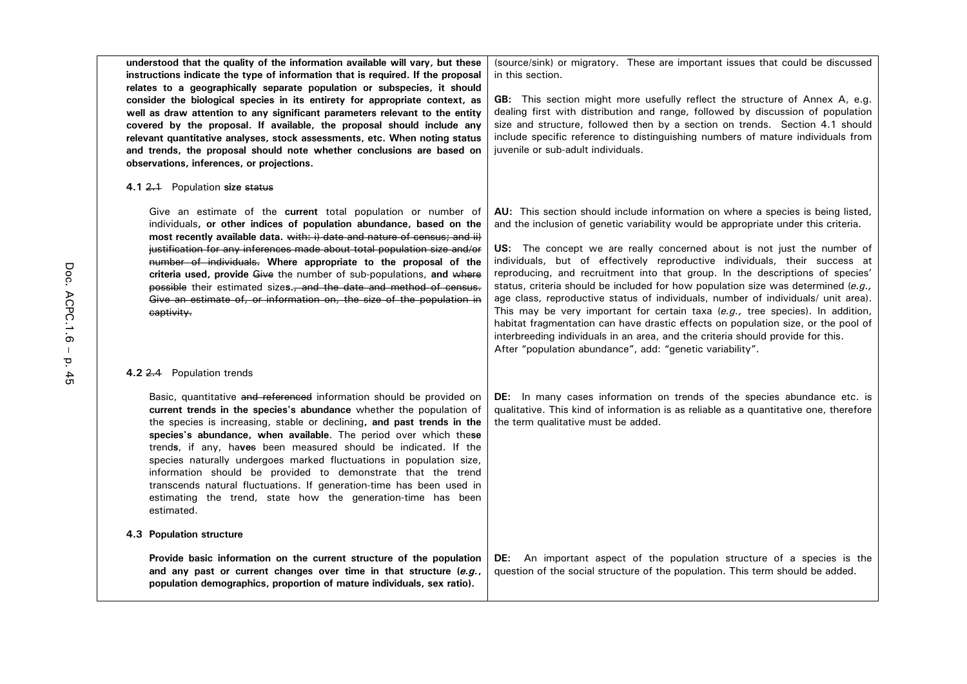| understood that the quality of the information available will vary, but these<br>instructions indicate the type of information that is required. If the proposal<br>relates to a geographically separate population or subspecies, it should<br>consider the biological species in its entirety for appropriate context, as<br>well as draw attention to any significant parameters relevant to the entity<br>covered by the proposal. If available, the proposal should include any<br>relevant quantitative analyses, stock assessments, etc. When noting status<br>and trends, the proposal should note whether conclusions are based on<br>observations, inferences, or projections. | (source/sink) or migratory. These are important issues that could be discussed<br>in this section.<br><b>GB:</b> This section might more usefully reflect the structure of Annex A, e.g.<br>dealing first with distribution and range, followed by discussion of population<br>size and structure, followed then by a section on trends. Section 4.1 should<br>include specific reference to distinguishing numbers of mature individuals from<br>juvenile or sub-adult individuals.                                                                                                                                                                                                                                                                                                                                                                                                                                  |
|------------------------------------------------------------------------------------------------------------------------------------------------------------------------------------------------------------------------------------------------------------------------------------------------------------------------------------------------------------------------------------------------------------------------------------------------------------------------------------------------------------------------------------------------------------------------------------------------------------------------------------------------------------------------------------------|-----------------------------------------------------------------------------------------------------------------------------------------------------------------------------------------------------------------------------------------------------------------------------------------------------------------------------------------------------------------------------------------------------------------------------------------------------------------------------------------------------------------------------------------------------------------------------------------------------------------------------------------------------------------------------------------------------------------------------------------------------------------------------------------------------------------------------------------------------------------------------------------------------------------------|
| 4.1 2.1 Population size status                                                                                                                                                                                                                                                                                                                                                                                                                                                                                                                                                                                                                                                           |                                                                                                                                                                                                                                                                                                                                                                                                                                                                                                                                                                                                                                                                                                                                                                                                                                                                                                                       |
| Give an estimate of the current total population or number of<br>individuals, or other indices of population abundance, based on the<br>most recently available data. with: i) date and nature of census; and ii)<br>justification for any inferences made about total population size and/or<br>number of individuals. Where appropriate to the proposal of the<br>criteria used, provide Give the number of sub-populations, and where<br>possible their estimated sizes., and the date and method of census.<br>Give an estimate of, or information on, the size of the population in<br>captivity.                                                                                   | AU: This section should include information on where a species is being listed,<br>and the inclusion of genetic variability would be appropriate under this criteria.<br>US: The concept we are really concerned about is not just the number of<br>individuals, but of effectively reproductive individuals, their success at<br>reproducing, and recruitment into that group. In the descriptions of species'<br>status, criteria should be included for how population size was determined $(e.g.,)$<br>age class, reproductive status of individuals, number of individuals/ unit area).<br>This may be very important for certain taxa $(e.g.,$ tree species). In addition,<br>habitat fragmentation can have drastic effects on population size, or the pool of<br>interbreeding individuals in an area, and the criteria should provide for this.<br>After "population abundance", add: "genetic variability". |
| 4.2 2.4 Population trends                                                                                                                                                                                                                                                                                                                                                                                                                                                                                                                                                                                                                                                                |                                                                                                                                                                                                                                                                                                                                                                                                                                                                                                                                                                                                                                                                                                                                                                                                                                                                                                                       |
| Basic, quantitative and referenced information should be provided on<br>current trends in the species's abundance whether the population of<br>the species is increasing, stable or declining, and past trends in the<br>species's abundance, when available. The period over which these<br>trends, if any, haves been measured should be indicated. If the<br>species naturally undergoes marked fluctuations in population size,<br>information should be provided to demonstrate that the trend<br>transcends natural fluctuations. If generation-time has been used in<br>estimating the trend, state how the generation-time has been<br>estimated.                                | DE: In many cases information on trends of the species abundance etc. is<br>qualitative. This kind of information is as reliable as a quantitative one, therefore<br>the term qualitative must be added.                                                                                                                                                                                                                                                                                                                                                                                                                                                                                                                                                                                                                                                                                                              |
| 4.3 Population structure                                                                                                                                                                                                                                                                                                                                                                                                                                                                                                                                                                                                                                                                 |                                                                                                                                                                                                                                                                                                                                                                                                                                                                                                                                                                                                                                                                                                                                                                                                                                                                                                                       |
| Provide basic information on the current structure of the population<br>and any past or current changes over time in that structure (e.g.,<br>population demographics, proportion of mature individuals, sex ratio).                                                                                                                                                                                                                                                                                                                                                                                                                                                                     | An important aspect of the population structure of a species is the<br>DE:<br>question of the social structure of the population. This term should be added.                                                                                                                                                                                                                                                                                                                                                                                                                                                                                                                                                                                                                                                                                                                                                          |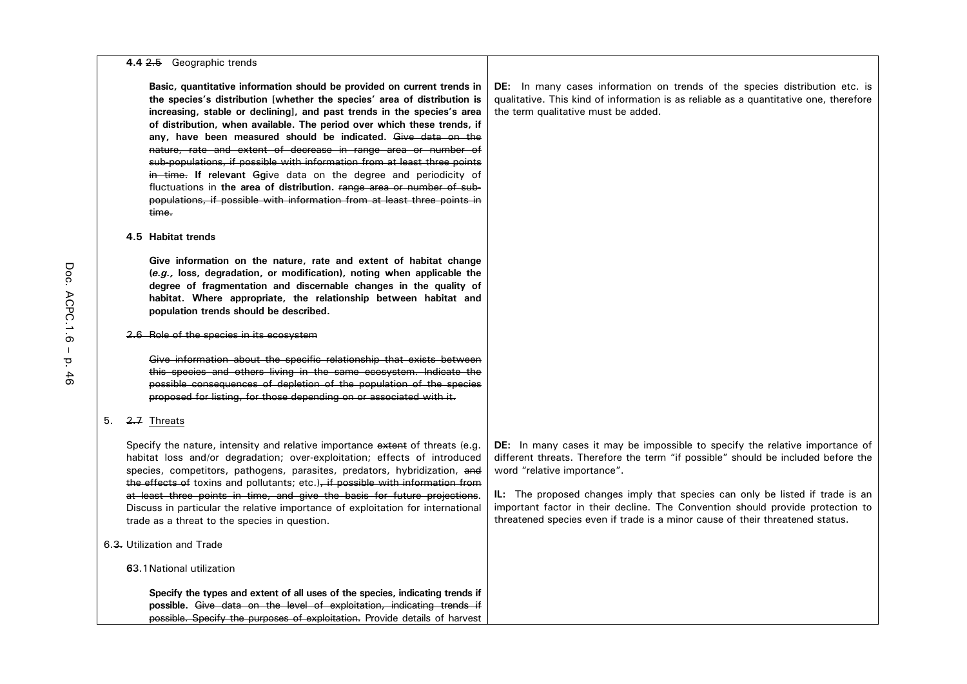#### **4.4** 2.5 Geographic trends

**Basic, quantitative information should be provided on current trends in the species's distribution [whether the species' area of distribution is increasing, stable or declining], and past trends in the species's area of distribution, when available. The period over which these trends, if any, have been measured should be indicated.** Give data on the nature, rate and extent of decrease in range area or number of sub-populations, if possible with information from at least three points in time. **If relevant** G**g**ive data on the degree and periodicity of fluctuations in **the area of distribution.** Fange area or number of subpopulations, if possible with information from at least three points in time.

#### **4.5 Habitat trends**

**Give information on the nature, rate and extent of habitat change (***e.g.,* **loss, degradation, or modification), noting when applicable the degree of fragmentation and discernable changes in the quality of habitat. Where appropriate, the relationship between habitat and population trends should be described.**

#### 2.6 Role of the species in its ecosystem

Give information about the specific relationship that exists between this species and others living in the same ecosystem. Indicate the possible consequences of depletion of the population of the species proposed for listing, for those depending on or associated with it.

#### 5. 2.7 Threats

Specify the nature, intensity and relative importance extent of threats (e.g. habitat loss and/or degradation; over-exploitation; effects of introduced species, competitors, pathogens, parasites, predators, hybridization, and the effects of toxins and pollutants; etc.), if possible with information from at least three points in time, and give the basis for future projections. Discuss in particular the relative importance of exploitation for international trade as a threat to the species in question.

## 6.3. Utilization and Trade

#### **6**3.1National utilization

**Specify the types and extent of all uses of the species, indicating trends if possible.** Give data on the level of exploitation, indicating trends if possible. Specify the purposes of exploitation. Provide details of harvest **DE:** In many cases information on trends of the species distribution etc. is qualitative. This kind of information is as reliable as a quantitative one, therefore the term qualitative must be added.

**DE:** In many cases it may be impossible to specify the relative importance of different threats. Therefore the term "if possible" should be included before the word "relative importance".

**IL:** The proposed changes imply that species can only be listed if trade is an important factor in their decline. The Convention should provide protection to threatened species even if trade is a minor cause of their threatened status.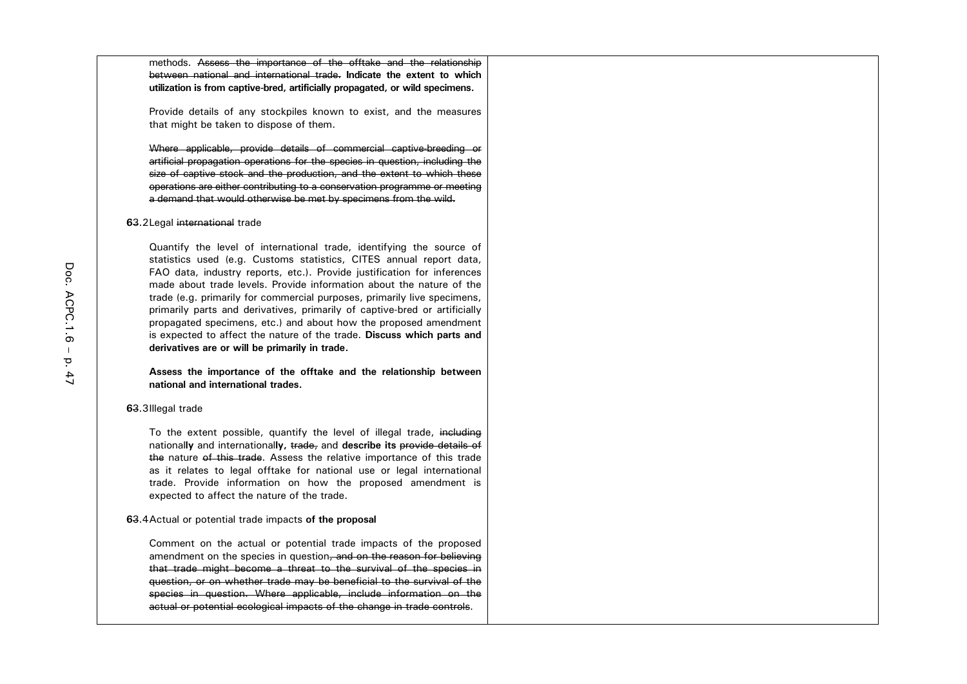methods. Assess the importance of the offtake and the relationship between national and international trade. **Indicate the extent to which utilization is from captive-bred, artificially propagated, or wild specimens.**

Provide details of any stockpiles known to exist, and the measures that might be taken to dispose of them.

Where applicable, provide details of commercial captive-breeding or artificial propagation operations for the species in question, including the size of captive stock and the production, and the extent to which these operations are either contributing to a conservation programme or meeting a demand that would otherwise be met by specimens from the wild.

#### **6**3.2Legal international trade

Quantify the level of international trade, identifying the source of statistics used (e.g. Customs statistics, CITES annual report data, FAO data, industry reports, etc.). Provide justification for inferences made about trade levels. Provide information about the nature of the trade (e.g. primarily for commercial purposes, primarily live specimens, primarily parts and derivatives, primarily of captive-bred or artificially propagated specimens, etc.) and about how the proposed amendment is expected to affect the nature of the trade. **Discuss which parts and derivatives are or will be primarily in trade.**

**Assess the importance of the offtake and the relationship between national and international trades.**

#### **6**3.3Illegal trade

To the extent possible, quantify the level of illegal trade, including national**ly** and international**ly,** trade, and **describe its** provide details of the nature of this trade. Assess the relative importance of this trade as it relates to legal offtake for national use or legal international trade. Provide information on how the proposed amendment is expected to affect the nature of the trade.

#### **6**3.4Actual or potential trade impacts **of the proposal**

Comment on the actual or potential trade impacts of the proposed amendment on the species in question, and on the reason for believing that trade might become a threat to the survival of the species in question, or on whether trade may be beneficial to the survival of the species in question. Where applicable, include information on the actual or potential ecological impacts of the change in trade controls.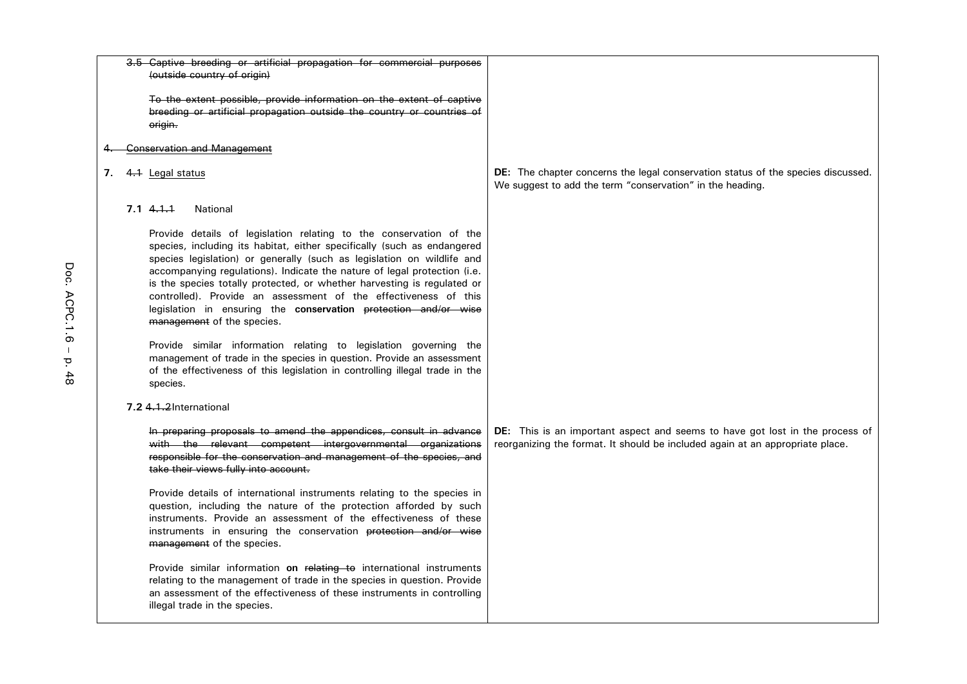|  | 3.5 Captive breeding or artificial propagation for commercial purposes                                                                                                                                                                                                                                                                                                                                                                                                                                                                             |                                                                                                                                                               |
|--|----------------------------------------------------------------------------------------------------------------------------------------------------------------------------------------------------------------------------------------------------------------------------------------------------------------------------------------------------------------------------------------------------------------------------------------------------------------------------------------------------------------------------------------------------|---------------------------------------------------------------------------------------------------------------------------------------------------------------|
|  | (outside country of origin)                                                                                                                                                                                                                                                                                                                                                                                                                                                                                                                        |                                                                                                                                                               |
|  | To the extent possible, provide information on the extent of captive<br>breeding or artificial propagation outside the country or countries of<br>origin.                                                                                                                                                                                                                                                                                                                                                                                          |                                                                                                                                                               |
|  | Conservation and Management                                                                                                                                                                                                                                                                                                                                                                                                                                                                                                                        |                                                                                                                                                               |
|  | 7. 4.1 Legal status                                                                                                                                                                                                                                                                                                                                                                                                                                                                                                                                | DE: The chapter concerns the legal conservation status of the species discussed.<br>We suggest to add the term "conservation" in the heading.                 |
|  | 7.141<br>National                                                                                                                                                                                                                                                                                                                                                                                                                                                                                                                                  |                                                                                                                                                               |
|  | Provide details of legislation relating to the conservation of the<br>species, including its habitat, either specifically (such as endangered<br>species legislation) or generally (such as legislation on wildlife and<br>accompanying regulations). Indicate the nature of legal protection (i.e.<br>is the species totally protected, or whether harvesting is regulated or<br>controlled). Provide an assessment of the effectiveness of this<br>legislation in ensuring the conservation protection and/or wise<br>management of the species. |                                                                                                                                                               |
|  | Provide similar information relating to legislation governing the<br>management of trade in the species in question. Provide an assessment<br>of the effectiveness of this legislation in controlling illegal trade in the<br>species.                                                                                                                                                                                                                                                                                                             |                                                                                                                                                               |
|  | 7.2 4.1.2 International                                                                                                                                                                                                                                                                                                                                                                                                                                                                                                                            |                                                                                                                                                               |
|  | In preparing proposals to amend the appendices, consult in advance<br>with the relevant competent intergovernmental organizations<br>responsible for the conservation and management of the species, and<br>take their views fully into account.                                                                                                                                                                                                                                                                                                   | DE: This is an important aspect and seems to have got lost in the process of<br>reorganizing the format. It should be included again at an appropriate place. |
|  | Provide details of international instruments relating to the species in<br>question, including the nature of the protection afforded by such<br>instruments. Provide an assessment of the effectiveness of these<br>instruments in ensuring the conservation protection and/or wise<br>management of the species.                                                                                                                                                                                                                                  |                                                                                                                                                               |
|  | Provide similar information on relating to international instruments<br>relating to the management of trade in the species in question. Provide<br>an assessment of the effectiveness of these instruments in controlling<br>illegal trade in the species.                                                                                                                                                                                                                                                                                         |                                                                                                                                                               |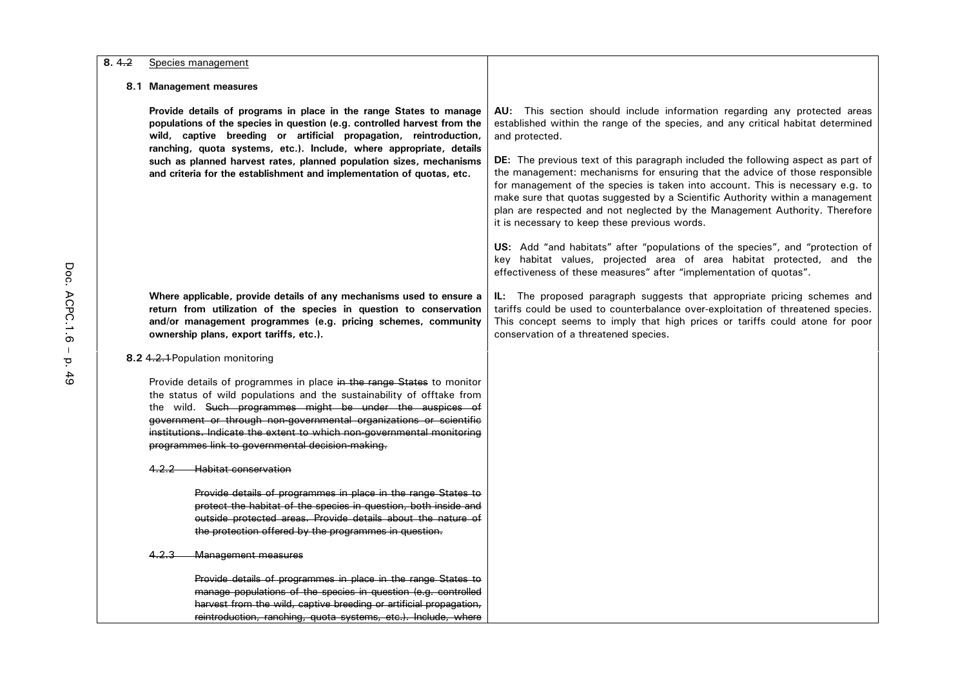| 8.4.2 | Species management                                                                                                                                                                                                                                                                                                                                                                                             |                                                                                                                                                                                                                                                                                                                                                                                                                                                                     |
|-------|----------------------------------------------------------------------------------------------------------------------------------------------------------------------------------------------------------------------------------------------------------------------------------------------------------------------------------------------------------------------------------------------------------------|---------------------------------------------------------------------------------------------------------------------------------------------------------------------------------------------------------------------------------------------------------------------------------------------------------------------------------------------------------------------------------------------------------------------------------------------------------------------|
|       | 8.1 Management measures                                                                                                                                                                                                                                                                                                                                                                                        |                                                                                                                                                                                                                                                                                                                                                                                                                                                                     |
|       | Provide details of programs in place in the range States to manage<br>populations of the species in question (e.g. controlled harvest from the<br>wild, captive breeding or artificial propagation, reintroduction,<br>ranching, quota systems, etc.). Include, where appropriate, details                                                                                                                     | AU: This section should include information regarding any protected areas<br>established within the range of the species, and any critical habitat determined<br>and protected.                                                                                                                                                                                                                                                                                     |
|       | such as planned harvest rates, planned population sizes, mechanisms<br>and criteria for the establishment and implementation of quotas, etc.                                                                                                                                                                                                                                                                   | DE: The previous text of this paragraph included the following aspect as part of<br>the management: mechanisms for ensuring that the advice of those responsible<br>for management of the species is taken into account. This is necessary e.g. to<br>make sure that quotas suggested by a Scientific Authority within a management<br>plan are respected and not neglected by the Management Authority. Therefore<br>it is necessary to keep these previous words. |
|       |                                                                                                                                                                                                                                                                                                                                                                                                                | US: Add "and habitats" after "populations of the species", and "protection of<br>key habitat values, projected area of area habitat protected, and the<br>effectiveness of these measures" after "implementation of quotas".                                                                                                                                                                                                                                        |
|       | Where applicable, provide details of any mechanisms used to ensure a<br>return from utilization of the species in question to conservation<br>and/or management programmes (e.g. pricing schemes, community<br>ownership plans, export tariffs, etc.).                                                                                                                                                         | IL: The proposed paragraph suggests that appropriate pricing schemes and<br>tariffs could be used to counterbalance over-exploitation of threatened species.<br>This concept seems to imply that high prices or tariffs could atone for poor<br>conservation of a threatened species.                                                                                                                                                                               |
|       | 8.2 4.2.1 Population monitoring                                                                                                                                                                                                                                                                                                                                                                                |                                                                                                                                                                                                                                                                                                                                                                                                                                                                     |
|       | Provide details of programmes in place in the range States to monitor<br>the status of wild populations and the sustainability of offtake from<br>the wild. Such programmes might be under the auspices of<br>government or through non-governmental organizations or scientific<br>institutions. Indicate the extent to which non-governmental monitoring<br>programmes link to governmental decision-making. |                                                                                                                                                                                                                                                                                                                                                                                                                                                                     |
|       | 4.2.2<br><b>Habitat conservation</b>                                                                                                                                                                                                                                                                                                                                                                           |                                                                                                                                                                                                                                                                                                                                                                                                                                                                     |
|       | Provide details of programmes in place in the range States to<br>protect the habitat of the species in question, both inside and<br>outside protected areas. Provide details about the nature of<br>the protection offered by the programmes in question.                                                                                                                                                      |                                                                                                                                                                                                                                                                                                                                                                                                                                                                     |
|       | Management measures<br>4.2.3                                                                                                                                                                                                                                                                                                                                                                                   |                                                                                                                                                                                                                                                                                                                                                                                                                                                                     |
|       | Provide details of programmes in place in the range States to<br>manage populations of the species in question (e.g. controlled<br>harvest from the wild, captive breeding or artificial propagation,<br>reintroduction, ranching, quota systems, etc.). Include, where                                                                                                                                        |                                                                                                                                                                                                                                                                                                                                                                                                                                                                     |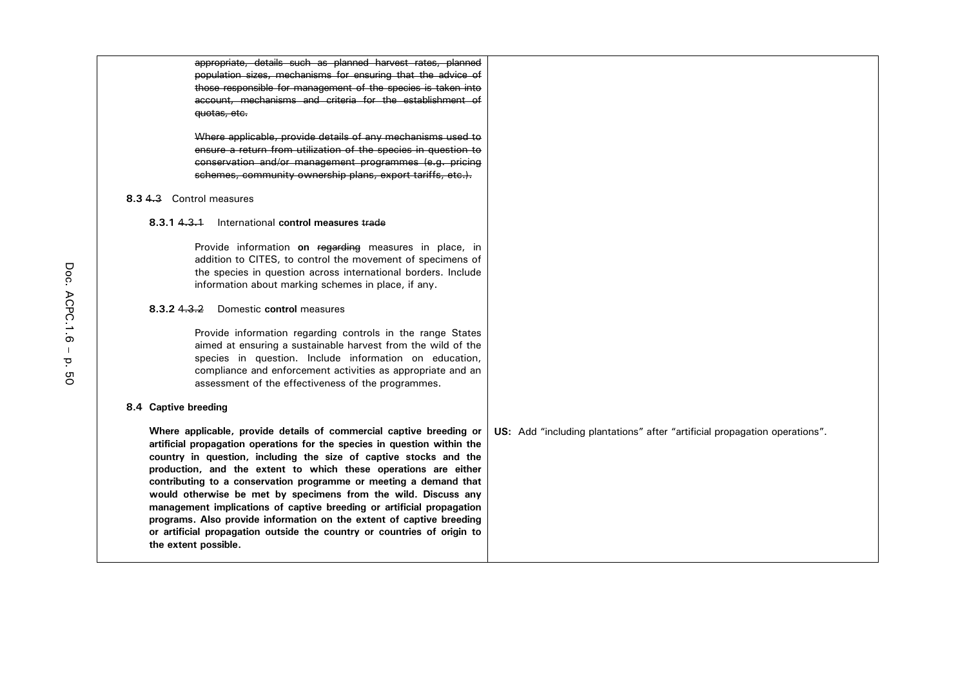| appropriate, details such as planned harvest rates, planned              |                                                                            |
|--------------------------------------------------------------------------|----------------------------------------------------------------------------|
| population sizes, mechanisms for ensuring that the advice of             |                                                                            |
| those responsible for management of the species is taken into            |                                                                            |
| account, mechanisms and criteria for the establishment of                |                                                                            |
| quotas, etc.                                                             |                                                                            |
|                                                                          |                                                                            |
| Where applicable, provide details of any mechanisms used to              |                                                                            |
| ensure a return from utilization of the species in question to           |                                                                            |
| conservation and/or management programmes (e.g. pricing                  |                                                                            |
| schemes, community ownership plans, export tariffs, etc.).               |                                                                            |
| 8.3 4.3 Control measures                                                 |                                                                            |
| 8.3.143.1<br>International control measures trade                        |                                                                            |
| Provide information on regarding measures in place, in                   |                                                                            |
| addition to CITES, to control the movement of specimens of               |                                                                            |
| the species in question across international borders. Include            |                                                                            |
| information about marking schemes in place, if any.                      |                                                                            |
|                                                                          |                                                                            |
| 8.3.243.2<br>Domestic control measures                                   |                                                                            |
| Provide information regarding controls in the range States               |                                                                            |
| aimed at ensuring a sustainable harvest from the wild of the             |                                                                            |
| species in question. Include information on education,                   |                                                                            |
| compliance and enforcement activities as appropriate and an              |                                                                            |
| assessment of the effectiveness of the programmes.                       |                                                                            |
|                                                                          |                                                                            |
| 8.4 Captive breeding                                                     |                                                                            |
| Where applicable, provide details of commercial captive breeding or      | US: Add "including plantations" after "artificial propagation operations". |
| artificial propagation operations for the species in question within the |                                                                            |
| country in question, including the size of captive stocks and the        |                                                                            |
| production, and the extent to which these operations are either          |                                                                            |
| contributing to a conservation programme or meeting a demand that        |                                                                            |
| would otherwise be met by specimens from the wild. Discuss any           |                                                                            |
| management implications of captive breeding or artificial propagation    |                                                                            |
| programs. Also provide information on the extent of captive breeding     |                                                                            |
| or artificial propagation outside the country or countries of origin to  |                                                                            |
| the extent possible.                                                     |                                                                            |
|                                                                          |                                                                            |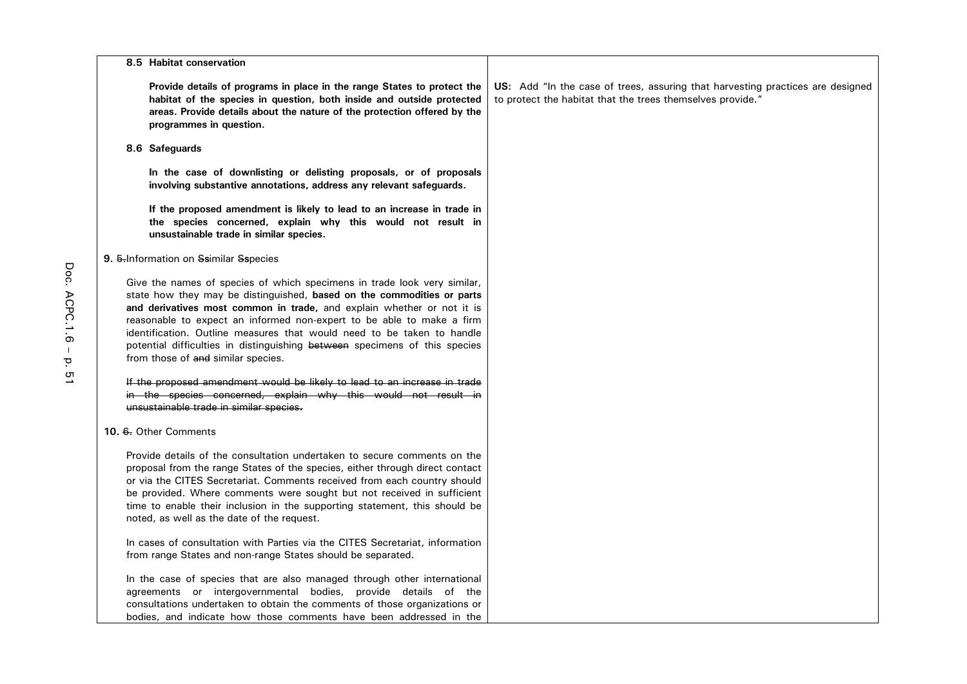| 8.5 Habitat conservation                                                                                                                                                                                                                                                                                                                                                                                                                                                                            |                                                                                                                                              |
|-----------------------------------------------------------------------------------------------------------------------------------------------------------------------------------------------------------------------------------------------------------------------------------------------------------------------------------------------------------------------------------------------------------------------------------------------------------------------------------------------------|----------------------------------------------------------------------------------------------------------------------------------------------|
| Provide details of programs in place in the range States to protect the<br>habitat of the species in question, both inside and outside protected<br>areas. Provide details about the nature of the protection offered by the<br>programmes in question.                                                                                                                                                                                                                                             | US: Add "In the case of trees, assuring that harvesting practices are designed<br>to protect the habitat that the trees themselves provide." |
| 8.6 Safeguards                                                                                                                                                                                                                                                                                                                                                                                                                                                                                      |                                                                                                                                              |
| In the case of downlisting or delisting proposals, or of proposals<br>involving substantive annotations, address any relevant safeguards.                                                                                                                                                                                                                                                                                                                                                           |                                                                                                                                              |
| If the proposed amendment is likely to lead to an increase in trade in<br>the species concerned, explain why this would not result in<br>unsustainable trade in similar species.                                                                                                                                                                                                                                                                                                                    |                                                                                                                                              |
| 9. 5-Information on Ssimilar Sspecies                                                                                                                                                                                                                                                                                                                                                                                                                                                               |                                                                                                                                              |
| Give the names of species of which specimens in trade look very similar,<br>state how they may be distinguished, based on the commodities or parts<br>and derivatives most common in trade, and explain whether or not it is<br>reasonable to expect an informed non-expert to be able to make a firm<br>identification. Outline measures that would need to be taken to handle<br>potential difficulties in distinguishing between specimens of this species<br>from those of and similar species. |                                                                                                                                              |
| If the proposed amendment would be likely to lead to an increase in trade<br>in the species concerned, explain why this would not result in<br>unsustainable trade in similar species.                                                                                                                                                                                                                                                                                                              |                                                                                                                                              |
| 10. 6. Other Comments                                                                                                                                                                                                                                                                                                                                                                                                                                                                               |                                                                                                                                              |
| Provide details of the consultation undertaken to secure comments on the<br>proposal from the range States of the species, either through direct contact<br>or via the CITES Secretariat. Comments received from each country should<br>be provided. Where comments were sought but not received in sufficient<br>time to enable their inclusion in the supporting statement, this should be<br>noted, as well as the date of the request.                                                          |                                                                                                                                              |
| In cases of consultation with Parties via the CITES Secretariat, information<br>from range States and non-range States should be separated.                                                                                                                                                                                                                                                                                                                                                         |                                                                                                                                              |
| In the case of species that are also managed through other international<br>agreements or intergovernmental bodies, provide details of the<br>consultations undertaken to obtain the comments of those organizations or<br>bodies, and indicate how those comments have been addressed in the                                                                                                                                                                                                       |                                                                                                                                              |